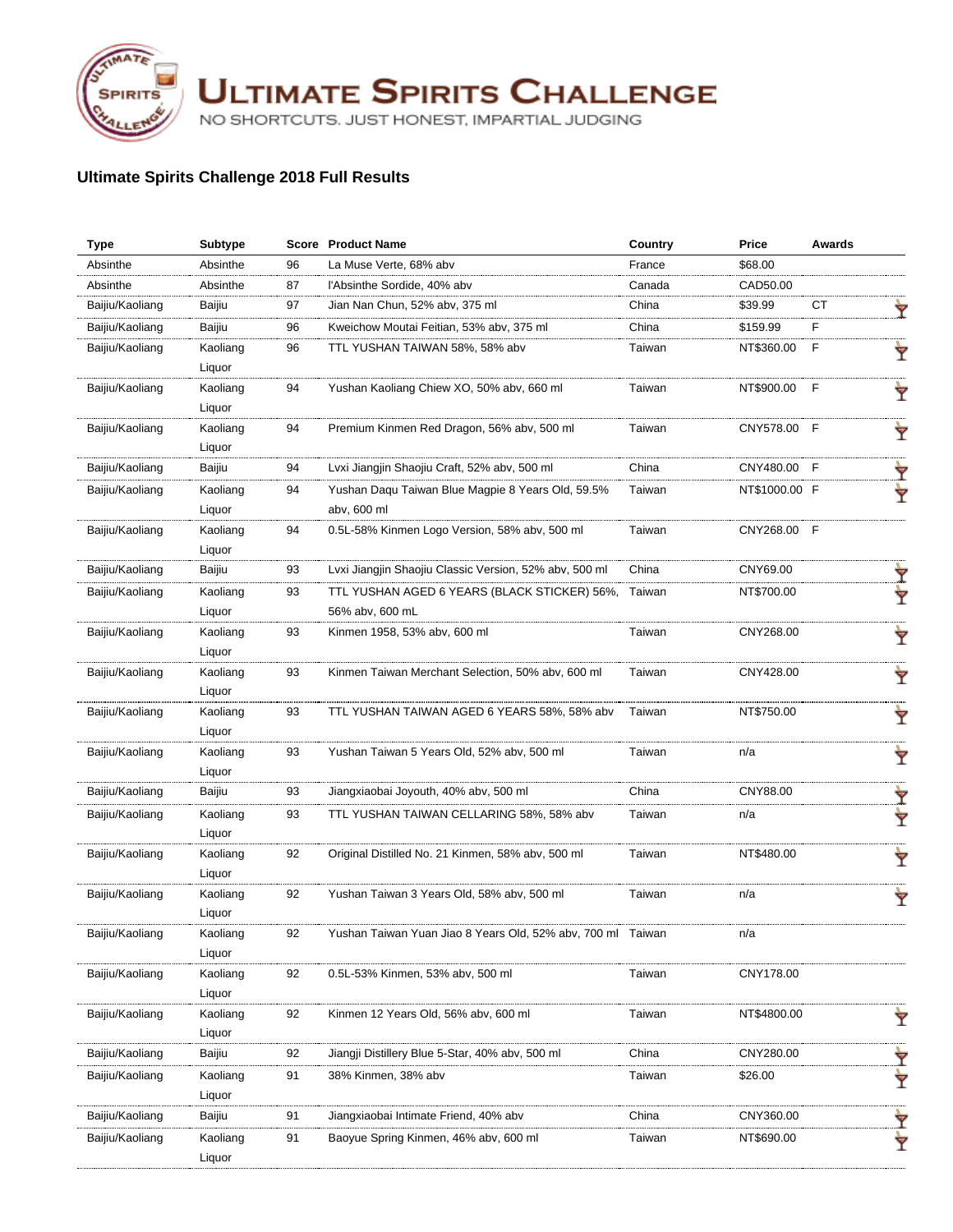

**ULTIMATE SPIRITS CHALLENGE** 

NO SHORTCUTS. JUST HONEST, IMPARTIAL JUDGING

## **Ultimate Spirits Challenge 2018 Full Results**

| <b>Type</b>     | Subtype  |    | <b>Score</b> Product Name                              | Country | Price         | <b>Awards</b> |   |
|-----------------|----------|----|--------------------------------------------------------|---------|---------------|---------------|---|
| Absinthe        | Absinthe | 96 | La Muse Verte, 68% abv                                 | France  | \$68.00       |               |   |
| Absinthe        | Absinthe | 87 | l'Absinthe Sordide, 40% abv                            | Canada  | CAD50.00      |               |   |
| Baijiu/Kaoliang | Baijiu   | 97 | Jian Nan Chun, 52% abv, 375 ml                         | China   | \$39.99       | СT            |   |
| Baijiu/Kaoliang | Baijiu   | 96 | Kweichow Moutai Feitian, 53% abv, 375 ml               | China   | \$159.99      | F             |   |
| Baijiu/Kaoliang | Kaoliang | 96 | TTL YUSHAN TAIWAN 58%, 58% abv                         | Taiwan  | NT\$360.00    | F             |   |
|                 | Liquor   |    |                                                        |         |               |               |   |
| Baijiu/Kaoliang | Kaoliang | 94 | Yushan Kaoliang Chiew XO, 50% abv, 660 ml              | Taiwan  | NT\$900.00    | F             | Ÿ |
|                 | Liquor   |    |                                                        |         |               |               |   |
| Baijiu/Kaoliang | Kaoliang | 94 | Premium Kinmen Red Dragon, 56% abv, 500 ml             | Taiwan  | CNY578.00     | -F            | Ÿ |
|                 | Liquor   |    |                                                        |         |               |               |   |
| Baijiu/Kaoliang | Baijiu   | 94 | Lvxi Jiangjin Shaojiu Craft, 52% abv, 500 ml           | China   | CNY480.00     | E             |   |
| Baijiu/Kaoliang | Kaoliang | 94 | Yushan Daqu Taiwan Blue Magpie 8 Years Old, 59.5%      | Taiwan  | NT\$1000.00 F |               |   |
|                 | Liquor   |    | abv, 600 ml                                            |         |               |               |   |
| Baijiu/Kaoliang | Kaoliang | 94 | 0.5L-58% Kinmen Logo Version, 58% abv, 500 ml          | Taiwan  | CNY268.00 F   |               |   |
|                 | Liquor   |    |                                                        |         |               |               |   |
| Baijiu/Kaoliang | Baijiu   | 93 | Lyxi Jiangjin Shaojiu Classic Version, 52% aby, 500 ml | China   | CNY69.00      |               |   |
| Baijiu/Kaoliang | Kaoliang | 93 | TTL YUSHAN AGED 6 YEARS (BLACK STICKER) 56%,           | Taiwan  | NT\$700.00    |               |   |
|                 | Liquor   |    | 56% abv, 600 mL                                        |         |               |               |   |
| Baijiu/Kaoliang | Kaoliang | 93 | Kinmen 1958, 53% abv, 600 ml                           | Taiwan  | CNY268.00     |               |   |
|                 | Liquor   |    |                                                        |         |               |               |   |
| Baijiu/Kaoliang | Kaoliang | 93 | Kinmen Taiwan Merchant Selection, 50% abv, 600 ml      | Taiwan  | CNY428.00     |               | Ÿ |
|                 | Liquor   |    |                                                        |         |               |               |   |
| Baijiu/Kaoliang | Kaoliang | 93 | TTL YUSHAN TAIWAN AGED 6 YEARS 58%, 58% abv            | Taiwan  | NT\$750.00    |               | Ÿ |
|                 | Liquor   |    |                                                        |         |               |               |   |
| Baijiu/Kaoliang | Kaoliang | 93 | Yushan Taiwan 5 Years Old, 52% abv, 500 ml             | Taiwan  | n/a           |               | Ÿ |
|                 | Liquor   |    |                                                        |         |               |               |   |
| Baijiu/Kaoliang | Baijiu   | 93 | Jiangxiaobai Joyouth, 40% abv, 500 ml                  | China   | CNY88.00      |               |   |
| Baijiu/Kaoliang | Kaoliang | 93 | TTL YUSHAN TAIWAN CELLARING 58%, 58% abv               | Taiwan  | n/a           |               | Ÿ |
|                 | Liquor   |    |                                                        |         |               |               |   |
| Baijiu/Kaoliang | Kaoliang | 92 | Original Distilled No. 21 Kinmen, 58% abv, 500 ml      | Taiwan  | NT\$480.00    |               | Ÿ |
|                 | Liquor   |    |                                                        |         |               |               |   |
| Baijiu/Kaoliang | Kaoliang | 92 | Yushan Taiwan 3 Years Old, 58% abv, 500 ml             | Taiwan  | n/a           |               | Ÿ |
|                 | Liquor   |    |                                                        |         |               |               |   |
| Baijiu/Kaoliang | Kaoliang | 92 | Yushan Taiwan Yuan Jiao 8 Years Old, 52% abv, 700 ml   |         |               |               |   |
|                 | Liquor   |    |                                                        |         |               |               |   |
| Baijiu/Kaoliang | Kaoliang | 92 | 0.5L-53% Kinmen, 53% abv, 500 ml                       | Taiwan  | CNY178.00     |               |   |
|                 | Liquor   |    |                                                        |         |               |               |   |
| Baijiu/Kaoliang | Kaoliang | 92 | Kinmen 12 Years Old, 56% abv, 600 ml                   | Taiwan  | NT\$4800.00   |               | Ý |
|                 | Liquor   |    |                                                        |         |               |               |   |
| Baijiu/Kaoliang | Baijiu   | 92 | Jiangji Distillery Blue 5-Star, 40% abv, 500 ml        | China   | CNY280.00     |               | Ŷ |
| Baijiu/Kaoliang | Kaoliang | 91 | 38% Kinmen, 38% abv                                    | Taiwan  | \$26.00       |               | Ý |
|                 | Liquor   |    |                                                        |         |               |               |   |
| Baijiu/Kaoliang | Baijiu   | 91 | Jiangxiaobai Intimate Friend, 40% abv                  | China   | CNY360.00     |               | Ÿ |
| Baijiu/Kaoliang | Kaoliang | 91 | Baoyue Spring Kinmen, 46% aby, 600 ml                  | Taiwan  | NT\$690.00    |               | Y |
|                 | Liquor   |    |                                                        |         |               |               |   |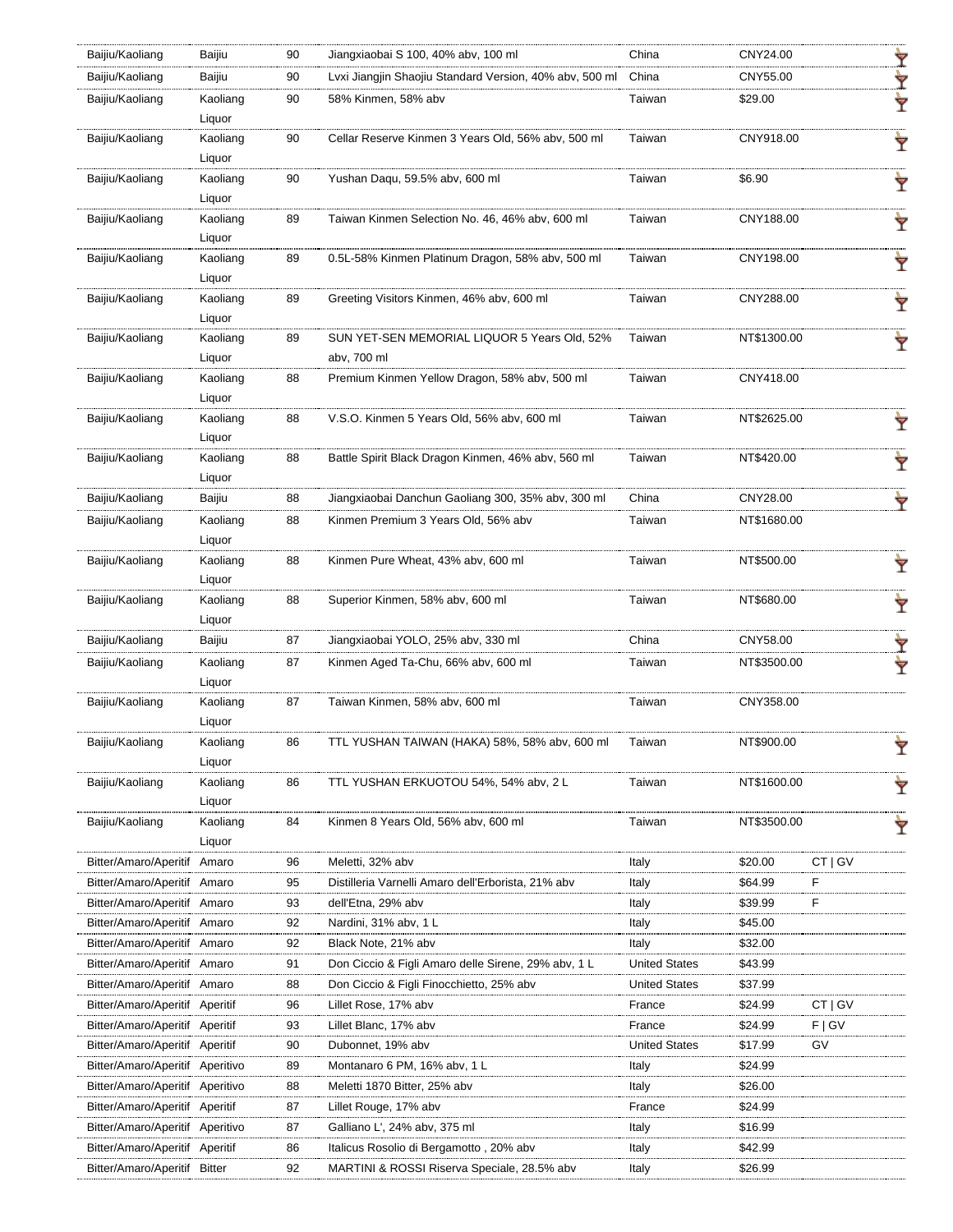| Baijiu/Kaoliang                 | Baijiu             | 90 | Jiangxiaobai S 100, 40% abv, 100 ml                         | China                | CNY24.00    |         | Y |
|---------------------------------|--------------------|----|-------------------------------------------------------------|----------------------|-------------|---------|---|
| Baijiu/Kaoliang                 | Baijiu             | 90 | Lyxi Jiangjin Shaojiu Standard Version, 40% aby, 500 ml     | China                | CNY55.00    |         | Y |
| Baijiu/Kaoliang                 | Kaoliang<br>Liquor | 90 | 58% Kinmen, 58% abv                                         | Taiwan               | \$29.00     |         | Y |
| Baijiu/Kaoliang                 | Kaoliang<br>Liquor | 90 | Cellar Reserve Kinmen 3 Years Old, 56% abv, 500 ml          | Taiwan               | CNY918.00   |         |   |
| Baijiu/Kaoliang                 | Kaoliang<br>Liquor | 90 | Yushan Daqu, 59.5% abv, 600 ml                              | Taiwan               | \$6.90      |         | Ÿ |
| Baijiu/Kaoliang                 | Kaoliang<br>Liquor | 89 | Taiwan Kinmen Selection No. 46, 46% abv, 600 ml             | Taiwan               | CNY188.00   |         | Ÿ |
| Baijiu/Kaoliang                 | Kaoliang<br>Liquor | 89 | 0.5L-58% Kinmen Platinum Dragon, 58% abv, 500 ml            | Taiwan               | CNY198.00   |         | Ŷ |
| Baijiu/Kaoliang                 | Kaoliang<br>Liquor | 89 | Greeting Visitors Kinmen, 46% abv, 600 ml                   | Taiwan               | CNY288.00   |         | Ŷ |
| Baijiu/Kaoliang                 | Kaoliang<br>Liquor | 89 | SUN YET-SEN MEMORIAL LIQUOR 5 Years Old, 52%<br>abv, 700 ml | Taiwan               | NT\$1300.00 |         |   |
| Baijiu/Kaoliang                 | Kaoliang<br>Liquor | 88 | Premium Kinmen Yellow Dragon, 58% abv, 500 ml               | Taiwan               | CNY418.00   |         |   |
| Baijiu/Kaoliang                 | Kaoliang<br>Liquor | 88 | V.S.O. Kinmen 5 Years Old, 56% abv, 600 ml                  | Taiwan               | NT\$2625.00 |         |   |
| Baijiu/Kaoliang                 | Kaoliang<br>Liquor | 88 | Battle Spirit Black Dragon Kinmen, 46% abv, 560 ml          | Taiwan               | NT\$420.00  |         | Ŷ |
| Baijiu/Kaoliang                 | Baijiu             | 88 | Jiangxiaobai Danchun Gaoliang 300, 35% abv, 300 ml          | China                | CNY28.00    |         | Y |
| Baijiu/Kaoliang                 | Kaoliang<br>Liquor | 88 | Kinmen Premium 3 Years Old, 56% abv                         | Taiwan               | NT\$1680.00 |         |   |
| Baijiu/Kaoliang                 | Kaoliang<br>Liquor | 88 | Kinmen Pure Wheat, 43% abv, 600 ml                          | Taiwan               | NT\$500.00  |         | Ÿ |
| Baijiu/Kaoliang                 | Kaoliang<br>Liquor | 88 | Superior Kinmen, 58% abv, 600 ml                            | Taiwan               | NT\$680.00  |         | Ÿ |
| Baijiu/Kaoliang                 | Baijiu             | 87 | Jiangxiaobai YOLO, 25% abv, 330 ml                          | China                | CNY58.00    |         | Ŷ |
| Baijiu/Kaoliang                 | Kaoliang<br>Liquor | 87 | Kinmen Aged Ta-Chu, 66% abv, 600 ml                         | Taiwan               | NT\$3500.00 |         |   |
| Baijiu/Kaoliang                 | Kaoliang<br>Liquor | 87 | Taiwan Kinmen, 58% abv, 600 ml                              | Taiwan               | CNY358.00   |         |   |
| Baijiu/Kaoliang                 | Kaoliang<br>Liquor |    | TTL YUSHAN TAIWAN (HAKA) 58%, 58% abv, 600 ml               |                      |             |         | r |
| Baijiu/Kaoliang                 | Kaoliang<br>Liquor | 86 | TTL YUSHAN ERKUOTOU 54%, 54% abv, 2 L                       | Taiwan               | NT\$1600.00 |         | Ÿ |
| Baijiu/Kaoliang                 | Kaoliang<br>Liquor | 84 | Kinmen 8 Years Old, 56% abv, 600 ml                         | Taiwan               | NT\$3500.00 |         | Ÿ |
| Bitter/Amaro/Aperitif           | Amaro              | 96 | Meletti, 32% abv                                            | Italy                | \$20.00     | CT   GV |   |
| Bitter/Amaro/Aperitif           | Amaro              | 95 | Distilleria Varnelli Amaro dell'Erborista, 21% abv          | Italy                | \$64.99     | F       |   |
| Bitter/Amaro/Aperitif           | Amaro              | 93 | dell'Etna, 29% abv                                          | Italy                | \$39.99     | F       |   |
| Bitter/Amaro/Aperitif Amaro     |                    | 92 | Nardini, 31% abv, 1 L                                       | Italy                | \$45.00     |         |   |
| Bitter/Amaro/Aperitif Amaro     |                    | 92 | Black Note, 21% abv                                         | Italy                | \$32.00     |         |   |
| Bitter/Amaro/Aperitif           | Amaro              | 91 | Don Ciccio & Figli Amaro delle Sirene, 29% abv, 1 L         | <b>United States</b> | \$43.99     |         |   |
| Bitter/Amaro/Aperitif           | Amaro              | 88 | Don Ciccio & Figli Finocchietto, 25% abv                    | <b>United States</b> | \$37.99     |         |   |
| Bitter/Amaro/Aperitif Aperitif  |                    | 96 | Lillet Rose, 17% abv                                        | France               | \$24.99     | CT   GV |   |
| Bitter/Amaro/Aperitif           | Aperitif           | 93 | Lillet Blanc, 17% abv                                       | France               | \$24.99     | F   G V |   |
| Bitter/Amaro/Aperitif Aperitif  |                    | 90 | Dubonnet, 19% abv                                           | <b>United States</b> | \$17.99     | G٧      |   |
| Bitter/Amaro/Aperitif Aperitivo |                    | 89 | Montanaro 6 PM, 16% abv, 1 L                                | Italy                | \$24.99     |         |   |
| Bitter/Amaro/Aperitif           | Aperitivo          | 88 | Meletti 1870 Bitter, 25% abv                                | Italy                | \$26.00     |         |   |
| Bitter/Amaro/Aperitif Aperitif  |                    | 87 | Lillet Rouge, 17% abv                                       | France               | \$24.99     |         |   |
| Bitter/Amaro/Aperitif Aperitivo |                    | 87 | Galliano L', 24% abv, 375 ml                                | Italy                | \$16.99     |         |   |
| Bitter/Amaro/Aperitif Aperitif  |                    | 86 | Italicus Rosolio di Bergamotto, 20% abv                     | Italy                | \$42.99     |         |   |
| Bitter/Amaro/Aperitif Bitter    |                    | 92 | MARTINI & ROSSI Riserva Speciale, 28.5% abv                 | Italy                | \$26.99     |         |   |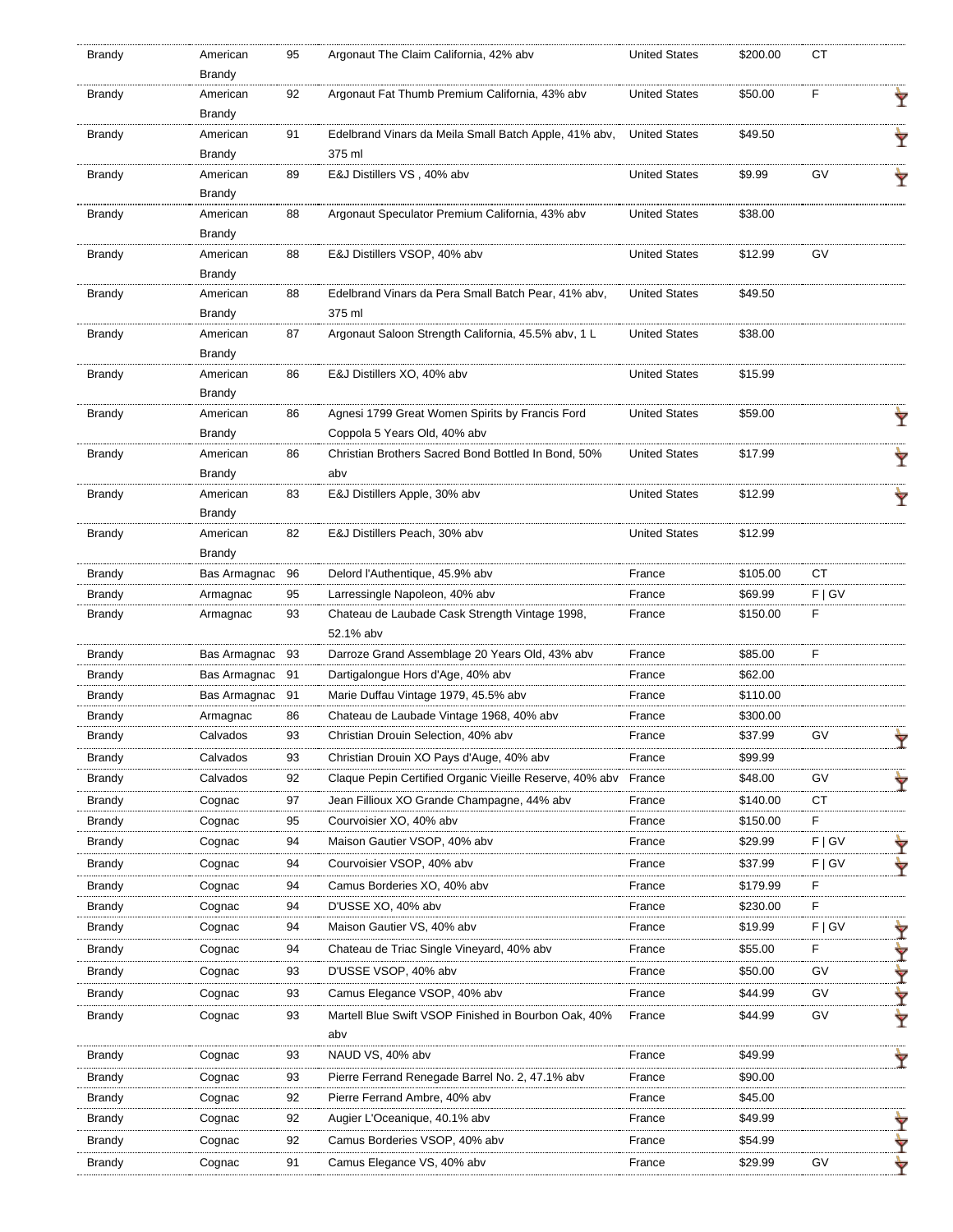| <b>Brandy</b> | American                  | 95 | Argonaut The Claim California, 42% abv                          | <b>United States</b> | \$200.00 | СT        |   |
|---------------|---------------------------|----|-----------------------------------------------------------------|----------------------|----------|-----------|---|
|               | Brandy                    |    |                                                                 |                      |          |           |   |
| Brandy        | American                  | 92 | Argonaut Fat Thumb Premium California, 43% abv                  | <b>United States</b> | \$50.00  | F         | Ÿ |
|               | Brandy                    |    |                                                                 |                      |          |           |   |
| Brandy        | American                  | 91 | Edelbrand Vinars da Meila Small Batch Apple, 41% abv,<br>375 ml | <b>United States</b> | \$49.50  |           |   |
|               | <b>Brandy</b><br>American | 89 | E&J Distillers VS, 40% abv                                      | <b>United States</b> | \$9.99   | GV        |   |
| <b>Brandy</b> | Brandy                    |    |                                                                 |                      |          |           |   |
| <b>Brandy</b> | American                  | 88 | Argonaut Speculator Premium California, 43% abv                 | <b>United States</b> | \$38.00  |           |   |
|               | Brandy                    |    |                                                                 |                      |          |           |   |
| Brandy        | American                  | 88 | E&J Distillers VSOP, 40% abv                                    | <b>United States</b> | \$12.99  | GV        |   |
|               | Brandy                    |    |                                                                 |                      |          |           |   |
| Brandy        | American                  | 88 | Edelbrand Vinars da Pera Small Batch Pear, 41% abv,             | <b>United States</b> | \$49.50  |           |   |
|               | <b>Brandy</b>             |    | 375 ml                                                          |                      |          |           |   |
| <b>Brandy</b> | American                  | 87 | Argonaut Saloon Strength California, 45.5% abv, 1 L             | <b>United States</b> | \$38.00  |           |   |
|               | <b>Brandy</b>             |    |                                                                 |                      |          |           |   |
| <b>Brandy</b> | American                  | 86 | E&J Distillers XO, 40% abv                                      | <b>United States</b> | \$15.99  |           |   |
|               | Brandy                    |    |                                                                 |                      |          |           |   |
| <b>Brandy</b> | American                  | 86 | Agnesi 1799 Great Women Spirits by Francis Ford                 | <b>United States</b> | \$59.00  |           |   |
|               | <b>Brandy</b>             |    | Coppola 5 Years Old, 40% abv                                    |                      |          |           |   |
| Brandy        | American                  | 86 | Christian Brothers Sacred Bond Bottled In Bond, 50%             | <b>United States</b> | \$17.99  |           | Ÿ |
|               | Brandy                    |    | abv                                                             |                      |          |           |   |
| <b>Brandy</b> | American                  | 83 | E&J Distillers Apple, 30% abv                                   | <b>United States</b> | \$12.99  |           |   |
|               | Brandy                    |    |                                                                 |                      |          |           |   |
| Brandy        | American                  | 82 | E&J Distillers Peach, 30% abv                                   | <b>United States</b> | \$12.99  |           |   |
|               | Brandy                    |    |                                                                 |                      |          |           |   |
| Brandy        | Bas Armagnac              | 96 | Delord l'Authentique, 45.9% abv                                 | France               | \$105.00 | <b>CT</b> |   |
| Brandy        | Armagnac                  | 95 | Larressingle Napoleon, 40% abv                                  | France               | \$69.99  | F   G V   |   |
| Brandy        | Armagnac                  | 93 | Chateau de Laubade Cask Strength Vintage 1998,                  | France               | \$150.00 | F         |   |
|               |                           |    | 52.1% abv                                                       |                      |          |           |   |
| Brandy        | Bas Armagnac              | 93 | Darroze Grand Assemblage 20 Years Old, 43% abv                  | France               | \$85.00  | F         |   |
| <b>Brandy</b> | Bas Armagnac              | 91 | Dartigalongue Hors d'Age, 40% abv                               | France               | \$62.00  |           |   |
| Brandy        | Bas Armagnac              | 91 | Marie Duffau Vintage 1979, 45.5% abv                            | France               | \$110.00 |           |   |
| Brandy        | Armagnac                  | 86 | Chateau de Laubade Vintage 1968, 40% abv                        | France               | \$300.00 |           |   |
| Brandy        | Calvados                  | 93 | Christian Drouin Selection, 40% abv                             | France               | \$37.99  | GV        | ▼ |
| Brandy        | Calvados                  | 93 | Christian Drouin XO Pays d'Auge, 40% abv                        | France               | \$99.99  |           |   |
| Brandy        | Calvados                  | 92 | Claque Pepin Certified Organic Vieille Reserve, 40% aby         | France               | \$48.00  | GV        |   |
| Brandy        | Cognac                    | 97 | Jean Fillioux XO Grande Champagne, 44% abv                      | France               | \$140.00 | СT        |   |
| Brandy        | Cognac                    | 95 | Courvoisier XO, 40% abv                                         | France               | \$150.00 | F         |   |
| Brandy        | Cognac                    | 94 | Maison Gautier VSOP, 40% abv                                    | France               | \$29.99  | F   G V   |   |
| Brandy        | Cognac                    | 94 | Courvoisier VSOP, 40% abv                                       | France               | \$37.99  | F   G V   |   |
|               |                           |    |                                                                 |                      |          |           | ₩ |
| Brandy        | Cognac                    | 94 | Camus Borderies XO, 40% abv                                     | France               | \$179.99 | F         |   |
| Brandy        | Cognac                    | 94 | D'USSE XO, 40% abv                                              | France               | \$230.00 | F         |   |
| Brandy        | Cognac                    | 94 | Maison Gautier VS, 40% abv                                      | France               | \$19.99  | F   G V   | Ÿ |
| Brandy        | Cognac                    | 94 | Chateau de Triac Single Vineyard, 40% abv                       | France               | \$55.00  | F         | Y |
| Brandy        | Cognac                    | 93 | D'USSE VSOP, 40% abv                                            | France               | \$50.00  | GV        | Ÿ |
| Brandy        | Cognac                    | 93 | Camus Elegance VSOP, 40% abv                                    | France               | \$44.99  | <b>GV</b> | ₩ |
| Brandy        | Cognac                    | 93 | Martell Blue Swift VSOP Finished in Bourbon Oak, 40%            | France               | \$44.99  | GV        | Ŷ |
|               |                           |    | abv                                                             |                      |          |           |   |
| Brandy        | Cognac                    | 93 | NAUD VS, 40% abv                                                | France               | \$49.99  |           |   |
| Brandy        | Cognac                    | 93 | Pierre Ferrand Renegade Barrel No. 2, 47.1% abv                 | France               | \$90.00  |           |   |
| Brandy        | Cognac                    | 92 | Pierre Ferrand Ambre, 40% abv                                   | France               | \$45.00  |           |   |
| Brandy        | Cognac                    | 92 | Augier L'Oceanique, 40.1% abv                                   | France               | \$49.99  |           |   |
| Brandy        | Cognac                    | 92 | Camus Borderies VSOP, 40% abv                                   | France               | \$54.99  |           | ₩ |
| <b>Brandy</b> | Cognac                    | 91 | Camus Elegance VS, 40% abv                                      | France               | \$29.99  | GV        | ∀ |
|               |                           |    |                                                                 |                      |          |           |   |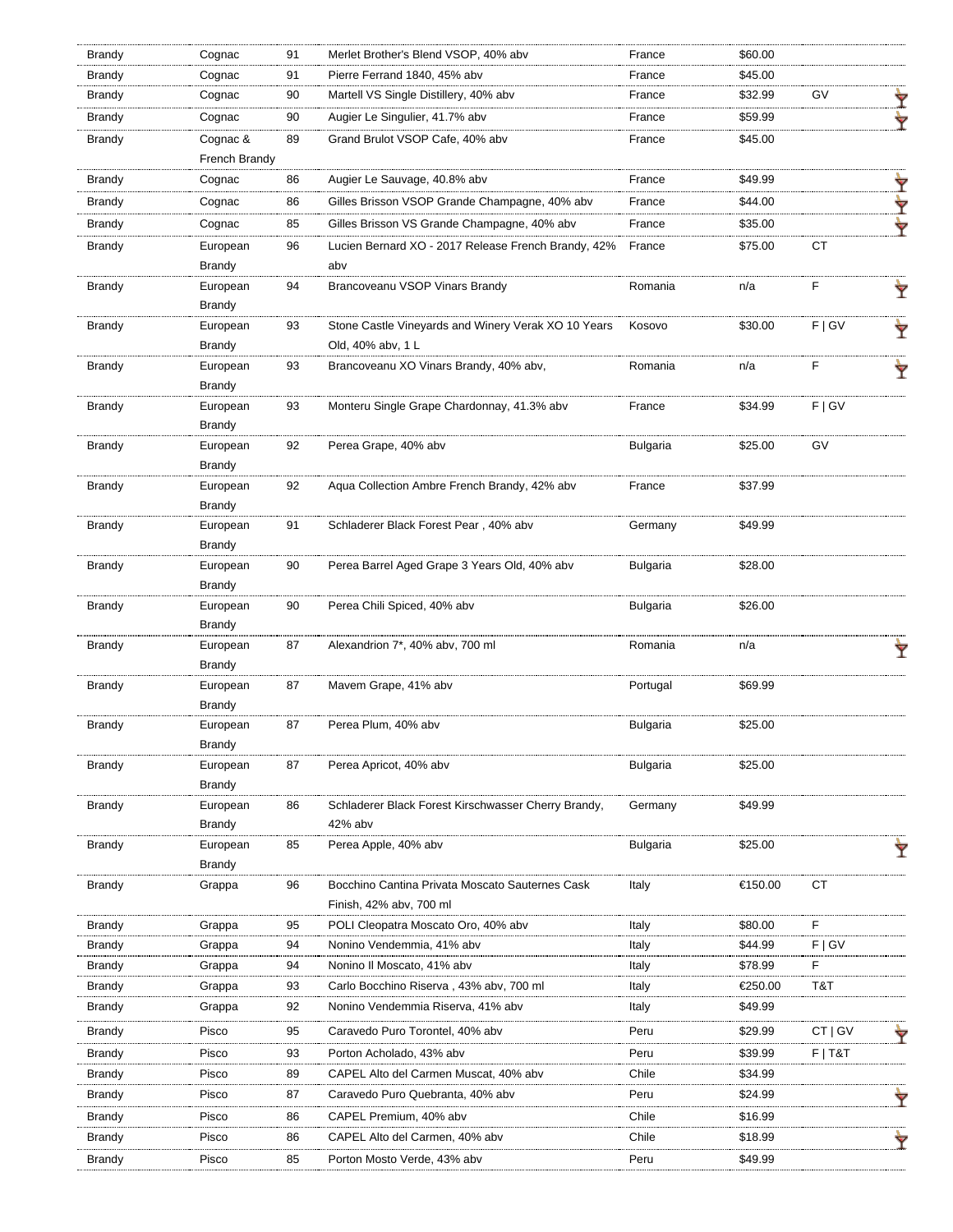| Brandy        | Cognac        | 91 | Merlet Brother's Blend VSOP, 40% abv                | France          | \$60.00 |           |   |
|---------------|---------------|----|-----------------------------------------------------|-----------------|---------|-----------|---|
| Brandy        | Cognac        | 91 | Pierre Ferrand 1840, 45% abv                        | France          | \$45.00 |           |   |
| Brandy        | Cognac        | 90 | Martell VS Single Distillery, 40% abv               | France          | \$32.99 | GV        | Ÿ |
| Brandy        | Cognac        | 90 | Augier Le Singulier, 41.7% abv                      | France          | \$59.99 |           | ∀ |
| <b>Brandy</b> | Cognac &      | 89 | Grand Brulot VSOP Cafe, 40% abv                     | France          | \$45.00 |           |   |
|               | French Brandy |    |                                                     |                 |         |           |   |
| Brandy        | Cognac        | 86 | Augier Le Sauvage, 40.8% abv                        | France          | \$49.99 |           | Y |
| Brandy        | Cognac        | 86 | Gilles Brisson VSOP Grande Champagne, 40% abv       | France          | \$44.00 |           | Y |
| Brandy        | Cognac        | 85 | Gilles Brisson VS Grande Champagne, 40% abv         | France          | \$35.00 |           | Y |
| Brandy        | European      | 96 | Lucien Bernard XO - 2017 Release French Brandy, 42% | France          | \$75.00 | CT        |   |
|               | Brandy        |    | abv                                                 |                 |         |           |   |
| Brandy        | European      | 94 | Brancoveanu VSOP Vinars Brandy                      | Romania         | n/a     | F         |   |
|               | Brandy        |    |                                                     |                 |         |           | Ÿ |
| <b>Brandy</b> | European      | 93 | Stone Castle Vineyards and Winery Verak XO 10 Years | Kosovo          | \$30.00 | F   G V   |   |
|               | Brandy        |    | Old, 40% abv, 1 L                                   |                 |         |           |   |
| Brandy        | European      | 93 | Brancoveanu XO Vinars Brandy, 40% abv,              | Romania         | n/a     | F         |   |
|               | Brandy        |    |                                                     |                 |         |           |   |
| <b>Brandy</b> | European      | 93 | Monteru Single Grape Chardonnay, 41.3% abv          | France          | \$34.99 | F   G V   |   |
|               | Brandy        |    |                                                     |                 |         |           |   |
| Brandy        | European      | 92 | Perea Grape, 40% abv                                | <b>Bulgaria</b> | \$25.00 | GV        |   |
|               | Brandy        |    |                                                     |                 |         |           |   |
| Brandy        | European      | 92 | Aqua Collection Ambre French Brandy, 42% abv        | France          | \$37.99 |           |   |
|               | Brandy        |    |                                                     |                 |         |           |   |
| Brandy        | European      | 91 | Schladerer Black Forest Pear, 40% abv               | Germany         | \$49.99 |           |   |
|               | <b>Brandy</b> |    |                                                     |                 |         |           |   |
| Brandy        | European      | 90 | Perea Barrel Aged Grape 3 Years Old, 40% abv        | Bulgaria        | \$28.00 |           |   |
|               | <b>Brandy</b> |    |                                                     |                 |         |           |   |
| <b>Brandy</b> | European      | 90 | Perea Chili Spiced, 40% abv                         | <b>Bulgaria</b> | \$26.00 |           |   |
|               | Brandy        |    |                                                     |                 |         |           |   |
| Brandy        | European      | 87 | Alexandrion 7*, 40% abv, 700 ml                     | Romania         | n/a     |           |   |
|               | Brandy        |    |                                                     |                 |         |           |   |
| Brandy        | European      | 87 | Mavem Grape, 41% abv                                | Portugal        | \$69.99 |           |   |
|               | Brandy        |    |                                                     |                 |         |           |   |
| <b>Brandy</b> | European      | 87 | Perea Plum, 40% abv                                 | Bulgaria        | \$25.00 |           |   |
|               | Brandy        |    |                                                     |                 |         |           |   |
| <b>Brandy</b> | European      | 87 | Perea Apricot, 40% abv                              | <b>Bulgaria</b> | \$25.00 |           |   |
|               | Brandy        |    |                                                     |                 |         |           |   |
| Brandy        | European      | 86 | Schladerer Black Forest Kirschwasser Cherry Brandy, | Germany         | \$49.99 |           |   |
|               | Brandy        |    | 42% abv                                             |                 |         |           |   |
| <b>Brandy</b> | European      | 85 | Perea Apple, 40% abv                                | Bulgaria        | \$25.00 |           | Ÿ |
|               | <b>Brandy</b> |    |                                                     |                 |         |           |   |
| <b>Brandy</b> | Grappa        | 96 | Bocchino Cantina Privata Moscato Sauternes Cask     | Italy           | €150.00 | CT        |   |
|               |               |    | Finish, 42% abv, 700 ml                             |                 |         |           |   |
| <b>Brandy</b> | Grappa        | 95 | POLI Cleopatra Moscato Oro, 40% abv                 | Italy           | \$80.00 | F         |   |
| Brandy        | Grappa        | 94 | Nonino Vendemmia, 41% abv                           | Italy           | \$44.99 | F   G V   |   |
| Brandy        | Grappa        | 94 | Nonino II Moscato, 41% abv                          | Italy           | \$78.99 | E         |   |
| Brandy        | Grappa        | 93 | Carlo Bocchino Riserva, 43% abv, 700 ml             | Italy           | €250.00 | T&T       |   |
| Brandy        | Grappa        | 92 | Nonino Vendemmia Riserva, 41% abv                   | Italy           | \$49.99 |           |   |
| Brandy        | Pisco         | 95 | Caravedo Puro Torontel, 40% abv                     | Peru            | \$29.99 | $CT  $ GV |   |
| Brandy        | Pisco         | 93 | Porton Acholado, 43% abv                            | Peru            | \$39.99 | $F$   T&T |   |
| Brandy        | Pisco         | 89 | CAPEL Alto del Carmen Muscat, 40% abv               | Chile           | \$34.99 |           |   |
| Brandy        | Pisco         | 87 | Caravedo Puro Quebranta, 40% abv                    | Peru            | \$24.99 |           |   |
| Brandy        | Pisco         | 86 | CAPEL Premium, 40% abv                              | Chile           | \$16.99 |           |   |
| Brandy        | Pisco         | 86 | CAPEL Alto del Carmen, 40% abv                      | Chile           | \$18.99 |           | Ÿ |
| <b>Brandy</b> | Pisco         | 85 | Porton Mosto Verde, 43% abv                         | Peru            | \$49.99 |           |   |
|               |               |    |                                                     |                 |         |           |   |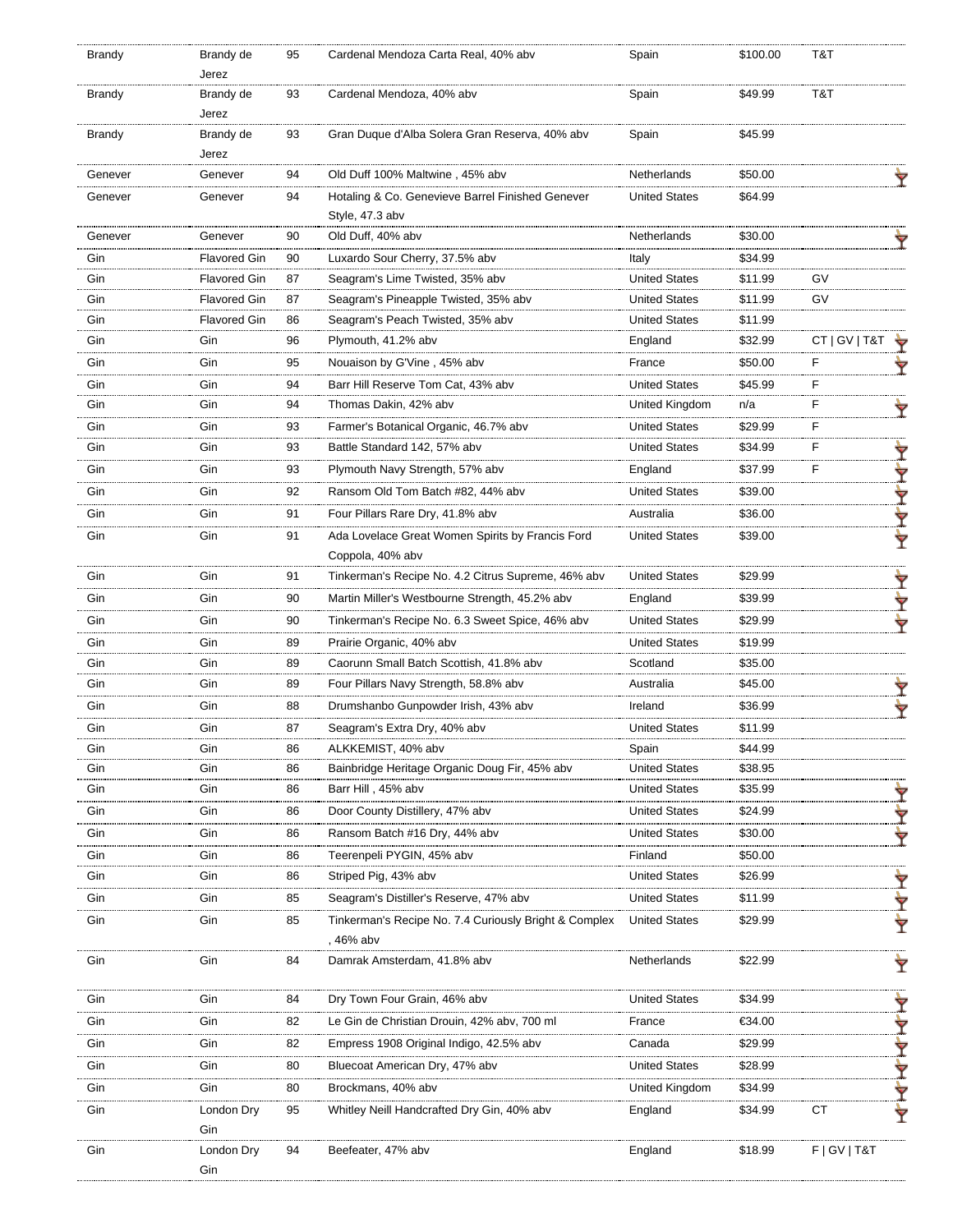| <b>Brandy</b> | Brandy de<br>Jerez  | 95 | Cardenal Mendoza Carta Real, 40% abv                                | Spain                | \$100.00 | T&T             |   |
|---------------|---------------------|----|---------------------------------------------------------------------|----------------------|----------|-----------------|---|
| <b>Brandy</b> | Brandy de<br>Jerez  | 93 | Cardenal Mendoza, 40% abv                                           | Spain                | \$49.99  | T&T             |   |
| Brandy        | Brandy de<br>Jerez  | 93 | Gran Duque d'Alba Solera Gran Reserva, 40% abv                      | Spain                | \$45.99  |                 |   |
| Genever       | Genever             | 94 | Old Duff 100% Maltwine, 45% abv                                     | Netherlands          | \$50.00  |                 |   |
| Genever       | Genever             | 94 | Hotaling & Co. Genevieve Barrel Finished Genever<br>Style, 47.3 abv | <b>United States</b> | \$64.99  |                 |   |
| Genever       | Genever             | 90 | Old Duff, 40% abv                                                   | Netherlands          | \$30.00  |                 |   |
| Gin           | <b>Flavored Gin</b> | 90 | Luxardo Sour Cherry, 37.5% abv                                      | Italy                | \$34.99  |                 |   |
| Gin           | <b>Flavored Gin</b> | 87 | Seagram's Lime Twisted, 35% abv                                     | <b>United States</b> | \$11.99  | GV              |   |
| Gin           | <b>Flavored Gin</b> | 87 | Seagram's Pineapple Twisted, 35% abv                                | <b>United States</b> | \$11.99  | GV              |   |
| Gin           | <b>Flavored Gin</b> | 86 | Seagram's Peach Twisted, 35% abv                                    | <b>United States</b> | \$11.99  |                 |   |
| Gin           | Gin                 | 96 | Plymouth, 41.2% abv                                                 | England              | \$32.99  | CT   GV   T&T   |   |
| Gin           | Gin                 | 95 | Nouaison by G'Vine, 45% abv                                         | France               | \$50.00  | F               |   |
| Gin           | Gin                 | 94 | Barr Hill Reserve Tom Cat, 43% abv                                  | <b>United States</b> | \$45.99  | F               |   |
| Gin           | Gin                 | 94 | Thomas Dakin, 42% abv                                               | United Kingdom       | n/a      | F               |   |
| Gin           | Gin                 | 93 | Farmer's Botanical Organic, 46.7% abv                               | <b>United States</b> | \$29.99  | F               |   |
| Gin           | Gin                 | 93 | Battle Standard 142, 57% abv                                        | <b>United States</b> | \$34.99  | F               |   |
| Gin           | Gin                 | 93 | Plymouth Navy Strength, 57% abv                                     | England              | \$37.99  | F               | Ÿ |
|               |                     |    |                                                                     |                      |          |                 | Y |
| Gin           | Gin                 | 92 | Ransom Old Tom Batch #82, 44% abv                                   | <b>United States</b> | \$39.00  |                 | Y |
| Gin           | Gin                 | 91 | Four Pillars Rare Dry, 41.8% abv                                    | Australia            | \$36.00  |                 | Ÿ |
| Gin           | Gin                 | 91 | Ada Lovelace Great Women Spirits by Francis Ford                    | <b>United States</b> | \$39.00  |                 | Ŷ |
|               |                     |    | Coppola, 40% abv                                                    |                      |          |                 |   |
| Gin           | Gin                 | 91 | Tinkerman's Recipe No. 4.2 Citrus Supreme, 46% abv                  | <b>United States</b> | \$29.99  |                 | Ÿ |
| Gin           | Gin                 | 90 | Martin Miller's Westbourne Strength, 45.2% abv                      | England              | \$39.99  |                 | Y |
| Gin           | Gin                 | 90 | Tinkerman's Recipe No. 6.3 Sweet Spice, 46% abv                     | <b>United States</b> | \$29.99  |                 | Ÿ |
| Gin           | Gin                 | 89 | Prairie Organic, 40% abv                                            | <b>United States</b> | \$19.99  |                 |   |
| Gin           | Gin                 | 89 | Caorunn Small Batch Scottish, 41.8% abv                             | Scotland             | \$35.00  |                 |   |
| Gin           | Gin                 | 89 | Four Pillars Navy Strength, 58.8% abv                               | Australia            | \$45.00  |                 | Ŷ |
| Gin           | Gin                 | 88 | Drumshanbo Gunpowder Irish, 43% abv                                 | Ireland              | \$36.99  |                 | ∀ |
| Gin           | Gin                 | 87 | Seagram's Extra Dry, 40% abv                                        | <b>United States</b> | \$11.99  |                 |   |
| Gin           | Gin                 | 86 | ALKKEMIST, 40% abv                                                  | Spain                | \$44.99  |                 |   |
| Gin           | Gin                 | 86 | Bainbridge Heritage Organic Doug Fir, 45% abv                       | <b>United States</b> | \$38.95  |                 |   |
| Gin           | Gin                 | 86 | Barr Hill, 45% abv                                                  | <b>United States</b> | \$35.99  |                 | Ϋ |
| Gin           | Gin                 | 86 | Door County Distillery, 47% abv                                     | <b>United States</b> | \$24.99  |                 | Y |
| Gin           | Gin                 | 86 | Ransom Batch #16 Dry, 44% abv                                       | <b>United States</b> | \$30.00  |                 | ₩ |
| Gin           | Gin                 | 86 | Teerenpeli PYGIN, 45% abv                                           | Finland              | \$50.00  |                 |   |
| Gin           | Gin                 | 86 | Striped Pig, 43% abv                                                | <b>United States</b> | \$26.99  |                 | Ŷ |
| Gin           | Gin                 | 85 | Seagram's Distiller's Reserve, 47% abv                              | <b>United States</b> | \$11.99  |                 | Y |
| Gin           | Gin                 | 85 | Tinkerman's Recipe No. 7.4 Curiously Bright & Complex<br>, 46% abv  | <b>United States</b> | \$29.99  |                 | Y |
| Gin           | Gin                 | 84 | Damrak Amsterdam, 41.8% abv                                         | Netherlands          | \$22.99  |                 | Ÿ |
| Gin           | Gin                 | 84 | Dry Town Four Grain, 46% abv                                        | <b>United States</b> | \$34.99  |                 |   |
| Gin           | Gin                 | 82 | Le Gin de Christian Drouin, 42% abv, 700 ml                         | France               | €34.00   |                 | Y |
| Gin           | Gin                 | 82 | Empress 1908 Original Indigo, 42.5% abv                             | Canada               | \$29.99  |                 | Y |
| Gin           | Gin                 | 80 | Bluecoat American Dry, 47% abv                                      | <b>United States</b> | \$28.99  |                 | Y |
| Gin           | Gin                 | 80 | Brockmans, 40% abv                                                  | United Kingdom       | \$34.99  |                 |   |
| Gin           | London Dry          | 95 | Whitley Neill Handcrafted Dry Gin, 40% abv                          | England              | \$34.99  | СT              |   |
|               | Gin                 |    |                                                                     |                      |          |                 | Y |
| Gin           | London Dry<br>Gin   | 94 | Beefeater, 47% abv                                                  | England              | \$18.99  | F   G V   T & T |   |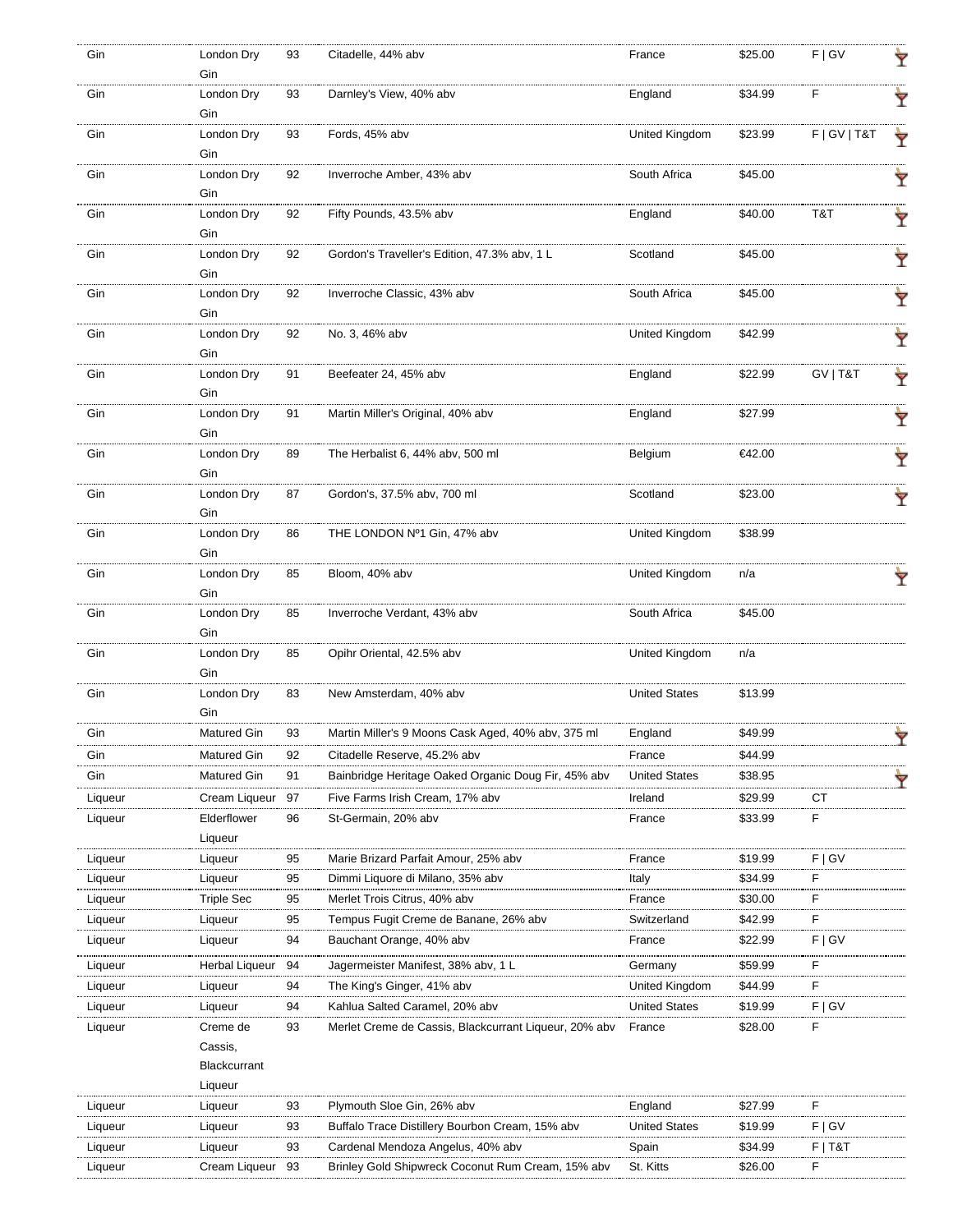| Gin     | London Dry         | 93 | Citadelle, 44% abv                                    | France               | \$25.00 | F   G V         | Ŷ |
|---------|--------------------|----|-------------------------------------------------------|----------------------|---------|-----------------|---|
|         | Gin                |    |                                                       |                      |         |                 |   |
| Gin     | London Dry<br>Gin  | 93 | Darnley's View, 40% abv                               | England              | \$34.99 | F               | Ŷ |
| Gin     | London Dry         | 93 | Fords, 45% abv                                        | United Kingdom       | \$23.99 | F   G V   T & T | Ÿ |
|         | Gin                |    |                                                       |                      |         |                 |   |
| Gin     | London Dry<br>Gin  | 92 | Inverroche Amber, 43% abv                             | South Africa         | \$45.00 |                 | Ÿ |
| Gin     | London Dry         | 92 | Fifty Pounds, 43.5% abv                               | England              | \$40.00 | T&T             | Ÿ |
|         | Gin                |    |                                                       |                      |         |                 |   |
| Gin     | London Dry<br>Gin  | 92 | Gordon's Traveller's Edition, 47.3% abv, 1 L          | Scotland             | \$45.00 |                 | Ÿ |
| Gin     | London Dry         | 92 | Inverroche Classic, 43% abv                           | South Africa         | \$45.00 |                 | Ŷ |
|         | Gin                |    |                                                       |                      |         |                 |   |
| Gin     | London Dry         | 92 | No. 3, 46% abv                                        | United Kingdom       | \$42.99 |                 | Ÿ |
|         | Gin                |    |                                                       |                      |         |                 |   |
| Gin     | London Dry         | 91 | Beefeater 24, 45% abv                                 | England              | \$22.99 | GV   T&T        | Ÿ |
|         | Gin                |    |                                                       |                      |         |                 |   |
| Gin     | London Dry         | 91 | Martin Miller's Original, 40% abv                     | England              | \$27.99 |                 | Y |
|         | Gin                |    |                                                       |                      |         |                 |   |
| Gin     | London Dry         | 89 | The Herbalist 6, 44% abv, 500 ml                      | Belgium              | €42.00  |                 | Y |
|         | Gin<br>London Dry  |    |                                                       | Scotland             | \$23.00 |                 |   |
| Gin     | Gin                | 87 | Gordon's, 37.5% abv, 700 ml                           |                      |         |                 | Ÿ |
| Gin     | London Dry         | 86 | THE LONDON Nº1 Gin, 47% abv                           | United Kingdom       | \$38.99 |                 |   |
|         | Gin                |    |                                                       |                      |         |                 |   |
| Gin     | London Dry         | 85 | Bloom, 40% abv                                        | United Kingdom       | n/a     |                 |   |
|         | Gin                |    |                                                       |                      |         |                 |   |
| Gin     | London Dry         | 85 | Inverroche Verdant, 43% abv                           | South Africa         | \$45.00 |                 |   |
|         | Gin                |    |                                                       |                      |         |                 |   |
| Gin     | London Dry         | 85 | Opihr Oriental, 42.5% abv                             | United Kingdom       | n/a     |                 |   |
|         | Gin                |    |                                                       |                      |         |                 |   |
| Gin     | London Dry<br>Gin  | 83 | New Amsterdam, 40% abv                                | <b>United States</b> | \$13.99 |                 |   |
| Gin     | <b>Matured Gin</b> | 93 | Martin Miller's 9 Moons Cask Aged, 40% abv, 375 ml    | England              | \$49.99 |                 |   |
| Gin     | Matured Gin        | 92 | Citadelle Reserve, 45.2% abv                          | France               | \$44.99 |                 | Ÿ |
| Gin     | <b>Matured Gin</b> | 91 | Bainbridge Heritage Oaked Organic Doug Fir, 45% abv   | <b>United States</b> | \$38.95 |                 | Ÿ |
| Liqueur | Cream Liqueur      | 97 | Five Farms Irish Cream, 17% abv                       | Ireland              | \$29.99 | СT              |   |
| Liqueur | Elderflower        | 96 | St-Germain, 20% abv                                   | France               | \$33.99 | F               |   |
|         | Liqueur            |    |                                                       |                      |         |                 |   |
| Liqueur | Liqueur            | 95 | Marie Brizard Parfait Amour, 25% abv                  | France               | \$19.99 | F   G V         |   |
| Liqueur | Liqueur            | 95 | Dimmi Liquore di Milano, 35% abv                      | Italy                | \$34.99 | F               |   |
| Liqueur | <b>Triple Sec</b>  | 95 | Merlet Trois Citrus, 40% abv                          | France               | \$30.00 | F               |   |
| Liqueur | Liqueur            | 95 | Tempus Fugit Creme de Banane, 26% abv                 | Switzerland          | \$42.99 | F               |   |
| Liqueur | Liqueur            | 94 | Bauchant Orange, 40% abv                              | France               | \$22.99 | F   G V         |   |
| Liqueur | Herbal Liqueur     | 94 | Jagermeister Manifest, 38% abv, 1 L                   | Germany              | \$59.99 | F               |   |
| Liqueur | Liqueur            | 94 | The King's Ginger, 41% abv                            | United Kingdom       | \$44.99 | F               |   |
| Liqueur | Liqueur            | 94 | Kahlua Salted Caramel, 20% abv                        | <b>United States</b> | \$19.99 | F   G V         |   |
| Liqueur | Creme de           | 93 | Merlet Creme de Cassis, Blackcurrant Liqueur, 20% abv | France               | \$28.00 | F               |   |
|         | Cassis,            |    |                                                       |                      |         |                 |   |
|         | Blackcurrant       |    |                                                       |                      |         |                 |   |
|         | Liqueur            |    |                                                       |                      |         |                 |   |
| Liqueur | Liqueur            | 93 | Plymouth Sloe Gin, 26% abv                            | England              | \$27.99 | F               |   |
| Liqueur | Liqueur            | 93 | Buffalo Trace Distillery Bourbon Cream, 15% abv       | <b>United States</b> | \$19.99 | F   G V         |   |
| Liqueur | Liqueur            | 93 | Cardenal Mendoza Angelus, 40% abv                     | Spain                | \$34.99 | $F$   T&T       |   |
| Liqueur | Cream Liqueur      | 93 | Brinley Gold Shipwreck Coconut Rum Cream, 15% abv     | St. Kitts            | \$26.00 | F               |   |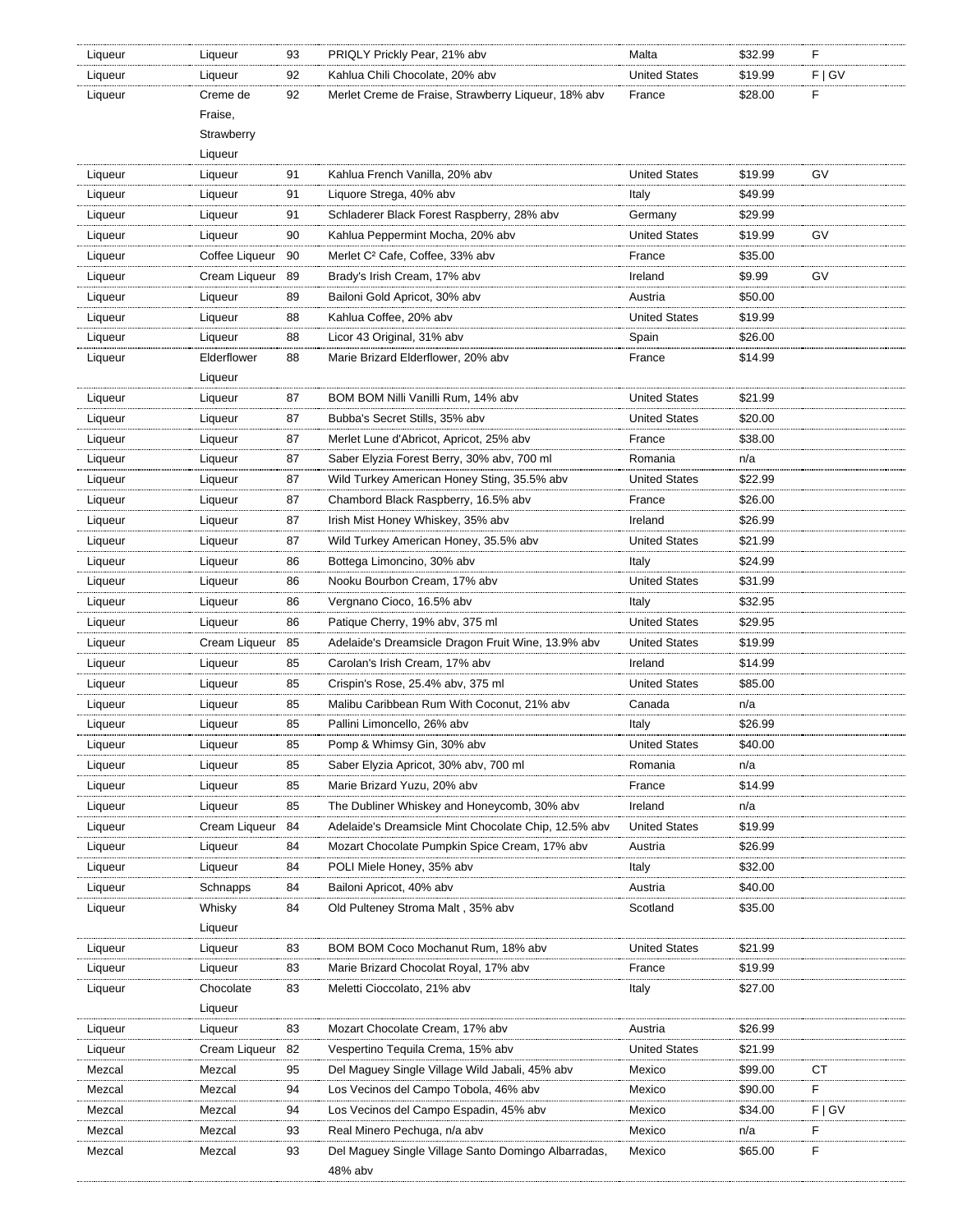| Liqueur | Liqueur        | 93 | PRIQLY Prickly Pear, 21% abv                         | Malta                | \$32.99 | F         |
|---------|----------------|----|------------------------------------------------------|----------------------|---------|-----------|
| Liqueur | Liqueur        | 92 | Kahlua Chili Chocolate, 20% abv                      | <b>United States</b> | \$19.99 | F   G V   |
| Liqueur | Creme de       | 92 | Merlet Creme de Fraise, Strawberry Liqueur, 18% abv  | France               | \$28.00 | F         |
|         | Fraise,        |    |                                                      |                      |         |           |
|         | Strawberry     |    |                                                      |                      |         |           |
|         | Liqueur        |    |                                                      |                      |         |           |
| Liqueur | Liqueur        | 91 | Kahlua French Vanilla, 20% abv                       | <b>United States</b> | \$19.99 | GV        |
| Liqueur | Liqueur        | 91 | Liquore Strega, 40% abv                              | Italy                | \$49.99 |           |
| Liqueur | Liqueur        | 91 | Schladerer Black Forest Raspberry, 28% abv           | Germany              | \$29.99 |           |
| Liqueur | Liqueur        | 90 | Kahlua Peppermint Mocha, 20% abv                     | <b>United States</b> | \$19.99 | GV        |
| Liqueur | Coffee Liqueur | 90 | Merlet C <sup>2</sup> Cafe, Coffee, 33% abv          | France               | \$35.00 |           |
| Liqueur | Cream Liqueur  | 89 | Brady's Irish Cream, 17% abv                         | Ireland              | \$9.99  | <b>GV</b> |
| Liqueur | Liqueur        | 89 | Bailoni Gold Apricot, 30% abv                        | Austria              | \$50.00 |           |
| Liqueur | Liqueur        | 88 | Kahlua Coffee, 20% abv                               | <b>United States</b> | \$19.99 |           |
| Liqueur | Liqueur        | 88 | Licor 43 Original, 31% abv                           | Spain                | \$26.00 |           |
| Liqueur | Elderflower    | 88 | Marie Brizard Elderflower, 20% abv                   | France               | \$14.99 |           |
|         | Liqueur        |    |                                                      |                      |         |           |
| Liqueur | Liqueur        | 87 | BOM BOM Nilli Vanilli Rum, 14% abv                   | <b>United States</b> | \$21.99 |           |
| Liqueur | Liqueur        | 87 | Bubba's Secret Stills, 35% abv                       | <b>United States</b> | \$20.00 |           |
| Liqueur | Liqueur        | 87 | Merlet Lune d'Abricot, Apricot, 25% abv              | France               | \$38.00 |           |
|         |                |    |                                                      | Romania              |         |           |
| Liqueur | Liqueur        | 87 | Saber Elyzia Forest Berry, 30% abv, 700 ml           |                      | n/a     |           |
| Liqueur | Liqueur        | 87 | Wild Turkey American Honey Sting, 35.5% abv          | <b>United States</b> | \$22.99 |           |
| Liqueur | Liqueur        | 87 | Chambord Black Raspberry, 16.5% abv                  | France               | \$26.00 |           |
| Liqueur | Liqueur        | 87 | Irish Mist Honey Whiskey, 35% abv                    | Ireland              | \$26.99 |           |
| Liqueur | Liqueur        | 87 | Wild Turkey American Honey, 35.5% abv                | <b>United States</b> | \$21.99 |           |
| Liqueur | Liqueur        | 86 | Bottega Limoncino, 30% abv                           | Italy                | \$24.99 |           |
| Liqueur | Liqueur        | 86 | Nooku Bourbon Cream, 17% abv                         | <b>United States</b> | \$31.99 |           |
| Liqueur | Liqueur        | 86 | Vergnano Cioco, 16.5% abv                            | Italy                | \$32.95 |           |
| Liqueur | Liqueur        | 86 | Patique Cherry, 19% abv, 375 ml                      | <b>United States</b> | \$29.95 |           |
| Liqueur | Cream Liqueur  | 85 | Adelaide's Dreamsicle Dragon Fruit Wine, 13.9% abv   | <b>United States</b> | \$19.99 |           |
| Liqueur | Liqueur        | 85 | Carolan's Irish Cream, 17% abv                       | Ireland              | \$14.99 |           |
| Liqueur | Liqueur        | 85 | Crispin's Rose, 25.4% abv, 375 ml                    | <b>United States</b> | \$85.00 |           |
| Liqueur | Liqueur        | 85 | Malibu Caribbean Rum With Coconut, 21% abv           | Canada               | n/a     |           |
| Liqueur | Liqueur        | 85 | Pallini Limoncello, 26% abv                          | Italy                | \$26.99 |           |
| Liqueur | Liqueur        | 85 | Pomp & Whimsy Gin, 30% abv                           | <b>United States</b> | \$40.00 |           |
| Liqueur | Liqueur        | 85 | Saber Elyzia Apricot, 30% abv, 700 ml                | Romania              | n/a     |           |
| Liqueur | Liqueur        | 85 | Marie Brizard Yuzu, 20% abv                          | France               | \$14.99 |           |
| Liqueur | Liqueur        | 85 | The Dubliner Whiskey and Honeycomb, 30% abv          | Ireland              | n/a     |           |
| Liqueur | Cream Liqueur  | 84 | Adelaide's Dreamsicle Mint Chocolate Chip, 12.5% abv | <b>United States</b> | \$19.99 |           |
| Liqueur | Liqueur        | 84 | Mozart Chocolate Pumpkin Spice Cream, 17% abv        | Austria              | \$26.99 |           |
| Liqueur | Liqueur        | 84 | POLI Miele Honey, 35% abv                            | Italy                | \$32.00 |           |
| Liqueur | Schnapps       | 84 | Bailoni Apricot, 40% abv                             | Austria              | \$40.00 |           |
| Liqueur | Whisky         | 84 | Old Pulteney Stroma Malt, 35% abv                    | Scotland             | \$35.00 |           |
|         | Liqueur        |    |                                                      |                      |         |           |
| Liqueur | Liqueur        | 83 | BOM BOM Coco Mochanut Rum, 18% abv                   | <b>United States</b> | \$21.99 |           |
| Liqueur | Liqueur        | 83 | Marie Brizard Chocolat Royal, 17% abv                | France               | \$19.99 |           |
| Liqueur | Chocolate      | 83 | Meletti Cioccolato, 21% abv                          | Italy                | \$27.00 |           |
|         | Liqueur        |    |                                                      |                      |         |           |
| Liqueur | Liqueur        | 83 | Mozart Chocolate Cream, 17% abv                      | Austria              | \$26.99 |           |
| Liqueur | Cream Liqueur  | 82 | Vespertino Tequila Crema, 15% abv                    | <b>United States</b> | \$21.99 |           |
| Mezcal  | Mezcal         | 95 | Del Maguey Single Village Wild Jabali, 45% abv       | Mexico               | \$99.00 | СT        |
| Mezcal  | Mezcal         | 94 | Los Vecinos del Campo Tobola, 46% abv                | Mexico               | \$90.00 | F         |
| Mezcal  | Mezcal         | 94 | Los Vecinos del Campo Espadin, 45% abv               | Mexico               | \$34.00 | F   G V   |
| Mezcal  | Mezcal         | 93 | Real Minero Pechuga, n/a abv                         | Mexico               | n/a     | F         |
| Mezcal  | Mezcal         | 93 | Del Maguey Single Village Santo Domingo Albarradas,  | Mexico               | \$65.00 | F         |
|         |                |    | 48% abv                                              |                      |         |           |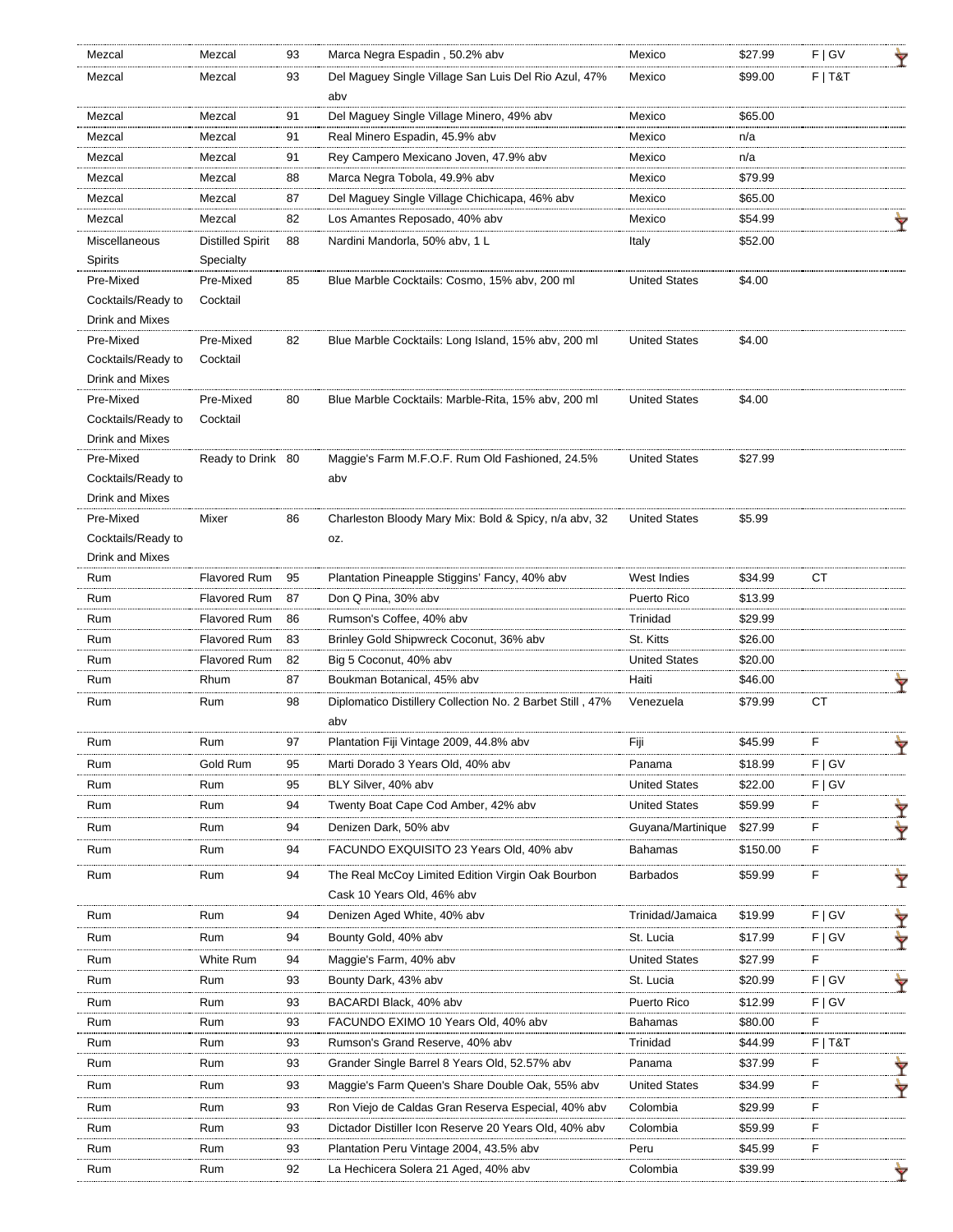| Mezcal             | Mezcal                  | 93 | Marca Negra Espadin, 50.2% abv                              | Mexico               | \$27.99  | F   G V   |   |
|--------------------|-------------------------|----|-------------------------------------------------------------|----------------------|----------|-----------|---|
| Mezcal             | Mezcal                  | 93 | Del Maguey Single Village San Luis Del Rio Azul, 47%<br>aby | Mexico               | \$99.00  | $F$   T&T |   |
| Mezcal             | Mezcal                  | 91 | Del Maguey Single Village Minero, 49% abv                   | Mexico               | \$65.00  |           |   |
| Mezcal             | Mezcal                  | 91 | Real Minero Espadin, 45.9% abv                              | Mexico               | n/a      |           |   |
| Mezcal             | Mezcal                  | 91 | Rey Campero Mexicano Joven, 47.9% abv                       | Mexico               | n/a      |           |   |
| Mezcal             | Mezcal                  | 88 | Marca Negra Tobola, 49.9% abv                               | Mexico               | \$79.99  |           |   |
| Mezcal             | Mezcal                  | 87 | Del Maguey Single Village Chichicapa, 46% abv               | Mexico               | \$65.00  |           |   |
| Mezcal             | Mezcal                  | 82 | Los Amantes Reposado, 40% abv                               | Mexico               | \$54.99  |           |   |
| Miscellaneous      | <b>Distilled Spirit</b> | 88 | Nardini Mandorla, 50% abv, 1 L                              | Italy                | \$52.00  |           |   |
| Spirits            | Specialty               |    |                                                             |                      |          |           |   |
| Pre-Mixed          | Pre-Mixed               | 85 | Blue Marble Cocktails: Cosmo, 15% abv, 200 ml               | <b>United States</b> | \$4.00   |           |   |
| Cocktails/Ready to | Cocktail                |    |                                                             |                      |          |           |   |
| Drink and Mixes    |                         |    |                                                             |                      |          |           |   |
| Pre-Mixed          | Pre-Mixed               | 82 | Blue Marble Cocktails: Long Island, 15% abv, 200 ml         | <b>United States</b> | \$4.00   |           |   |
| Cocktails/Ready to | Cocktail                |    |                                                             |                      |          |           |   |
| Drink and Mixes    |                         |    |                                                             |                      |          |           |   |
| Pre-Mixed          | Pre-Mixed               | 80 | Blue Marble Cocktails: Marble-Rita, 15% abv, 200 ml         | <b>United States</b> | \$4.00   |           |   |
| Cocktails/Ready to | Cocktail                |    |                                                             |                      |          |           |   |
| Drink and Mixes    |                         |    |                                                             |                      |          |           |   |
| Pre-Mixed          | Ready to Drink 80       |    | Maggie's Farm M.F.O.F. Rum Old Fashioned, 24.5%             | <b>United States</b> | \$27.99  |           |   |
| Cocktails/Ready to |                         |    | aby                                                         |                      |          |           |   |
| Drink and Mixes    |                         |    |                                                             |                      |          |           |   |
| Pre-Mixed          | Mixer                   | 86 | Charleston Bloody Mary Mix: Bold & Spicy, n/a abv, 32       | <b>United States</b> | \$5.99   |           |   |
| Cocktails/Ready to |                         |    | OZ.                                                         |                      |          |           |   |
| Drink and Mixes    |                         |    |                                                             |                      |          |           |   |
| Rum                | Flavored Rum            | 95 | Plantation Pineapple Stiggins' Fancy, 40% abv               | West Indies          | \$34.99  | СT        |   |
| Rum                | Flavored Rum            | 87 | Don Q Pina, 30% abv                                         | Puerto Rico          | \$13.99  |           |   |
| Rum                | <b>Flavored Rum</b>     | 86 | Rumson's Coffee, 40% abv                                    | Trinidad             | \$29.99  |           |   |
| Rum                | <b>Flavored Rum</b>     | 83 | Brinley Gold Shipwreck Coconut, 36% abv                     | St. Kitts            | \$26.00  |           |   |
| Rum                | <b>Flavored Rum</b>     | 82 | Big 5 Coconut, 40% abv                                      | <b>United States</b> | \$20.00  |           |   |
| Rum                | Rhum                    | 87 | Boukman Botanical, 45% abv                                  | Haiti                | \$46.00  |           |   |
| Rum                | Rum                     | 98 | Diplomatico Distillery Collection No. 2 Barbet Still, 47%   | Venezuela            | \$79.99  | <b>CT</b> |   |
|                    |                         |    | abv                                                         |                      |          |           |   |
| Rum                |                         |    | Plantation Fiji Vintage 2009, 44.8% abv                     | Fiji                 | \$45.99  |           |   |
| Rum                | Gold Rum                | 95 | Marti Dorado 3 Years Old, 40% abv                           | Panama               | \$18.99  | F   G V   |   |
| Rum                | Rum                     | 95 | BLY Silver, 40% abv                                         | <b>United States</b> | \$22.00  | F   G V   |   |
| Rum                | Rum                     | 94 | Twenty Boat Cape Cod Amber, 42% aby                         | <b>United States</b> | \$59.99  | F.        |   |
| Rum                | Rum                     | 94 | Denizen Dark, 50% abv                                       | Guyana/Martinique    | \$27.99  | F         |   |
| Rum                | Rum                     | 94 | FACUNDO EXQUISITO 23 Years Old, 40% abv                     | <b>Bahamas</b>       | \$150.00 | F         |   |
|                    |                         |    |                                                             |                      |          |           |   |
| Rum                | Rum                     | 94 | The Real McCoy Limited Edition Virgin Oak Bourbon           | <b>Barbados</b>      | \$59.99  | F         | Ÿ |
|                    |                         |    | Cask 10 Years Old, 46% abv                                  |                      |          |           |   |
| Rum                | Rum                     | 94 | Denizen Aged White, 40% abv                                 | Trinidad/Jamaica     | \$19.99  | F   G V   |   |
| Rum                | Rum                     | 94 | Bounty Gold, 40% abv                                        | St. Lucia            | \$17.99  | F   G V   |   |
| Rum                | White Rum               | 94 | Maggie's Farm, 40% abv                                      | United States        | \$27.99  | F         |   |
| Rum                | Rum                     | 93 | Bounty Dark, 43% aby                                        | St. Lucia            | \$20.99  | F   G V   |   |
| Rum                | Rum                     | 93 | BACARDI Black, 40% abv                                      | Puerto Rico          | \$12.99  | F   G V   |   |
| Rum                | Rum                     | 93 | FACUNDO EXIMO 10 Years Old, 40% abv                         | Bahamas              | \$80.00  | F         |   |
| Rum                | Rum                     | 93 | Rumson's Grand Reserve, 40% abv                             | Trinidad             | \$44.99  | $F$   T&T |   |
| Rum                | Rum                     | 93 | Grander Single Barrel 8 Years Old, 52.57% abv               | Panama               | \$37.99  | F         |   |
| Rum                | Rum                     | 93 | Maggie's Farm Queen's Share Double Oak, 55% abv             | United States        | \$34.99  | F         |   |
| Rum                | Rum                     | 93 | Ron Viejo de Caldas Gran Reserva Especial, 40% abv          | Colombia             | \$29.99  | F         |   |
| Rum                | Rum                     | 93 | Dictador Distiller Icon Reserve 20 Years Old, 40% abv       | Colombia             | \$59.99  | F         |   |
| Rum                | Rum                     | 93 | Plantation Peru Vintage 2004, 43.5% abv                     | Peru                 | \$45.99  | F         |   |
| Rum                | Rum                     | 92 | La Hechicera Solera 21 Aged, 40% abv                        | Colombia             | \$39.99  |           |   |
|                    |                         |    |                                                             |                      |          |           |   |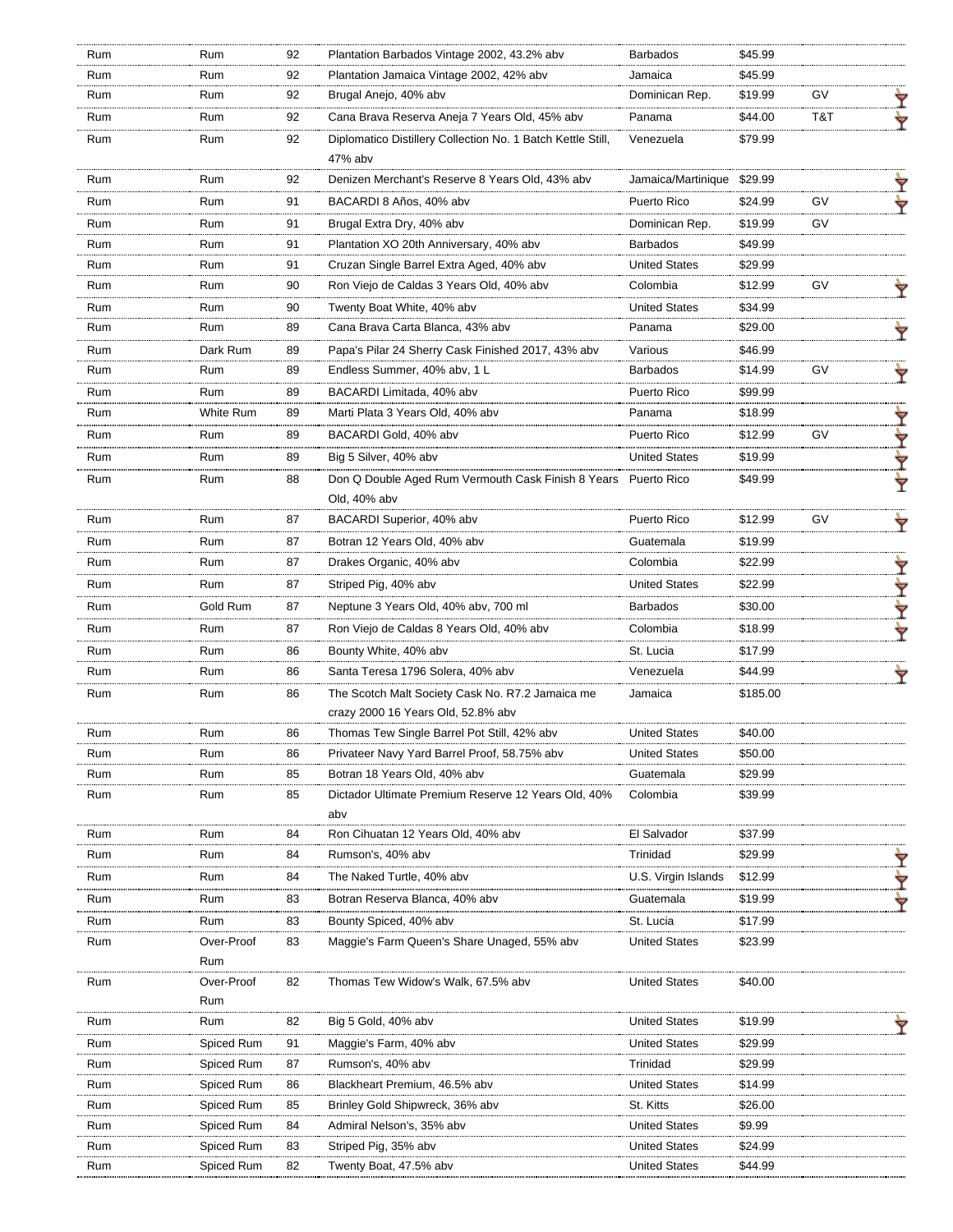| Rum | Rum               | 92       | Plantation Barbados Vintage 2002, 43.2% abv                                         | <b>Barbados</b>                   | \$45.99            |           |        |
|-----|-------------------|----------|-------------------------------------------------------------------------------------|-----------------------------------|--------------------|-----------|--------|
| Rum | Rum               | 92       | Plantation Jamaica Vintage 2002, 42% abv                                            | Jamaica                           | \$45.99            |           |        |
| Rum | Rum               | 92       | Brugal Anejo, 40% abv                                                               | Dominican Rep.                    | \$19.99            | GV        |        |
| Rum | Rum               | 92       | Cana Brava Reserva Aneja 7 Years Old, 45% abv                                       | Panama                            | \$44.00            | T&T       |        |
| Rum | Rum               | 92       | Diplomatico Distillery Collection No. 1 Batch Kettle Still,<br>47% abv              | Venezuela                         | \$79.99            |           |        |
| Rum | Rum               | 92       | Denizen Merchant's Reserve 8 Years Old, 43% abv                                     | Jamaica/Martinique \$29.99        |                    |           | ▼      |
| Rum | Rum               | 91       | BACARDI 8 Años, 40% abv                                                             | Puerto Rico                       | \$24.99            | GV        |        |
| Rum | Rum               | 91       | Brugal Extra Dry, 40% abv                                                           | Dominican Rep.                    | \$19.99            | <b>GV</b> |        |
| Rum | Rum               | 91       | Plantation XO 20th Anniversary, 40% abv                                             | <b>Barbados</b>                   | \$49.99            |           |        |
| Rum | Rum               | 91       | Cruzan Single Barrel Extra Aged, 40% abv                                            | <b>United States</b>              | \$29.99            |           |        |
| Rum | Rum               | 90       | Ron Viejo de Caldas 3 Years Old, 40% abv                                            | Colombia                          | \$12.99            | GV        |        |
| Rum | Rum               | 90       | Twenty Boat White, 40% abv                                                          | <b>United States</b>              | \$34.99            |           |        |
| Rum | Rum               | 89       | Cana Brava Carta Blanca, 43% abv                                                    | Panama                            | \$29.00            |           |        |
| Rum | Dark Rum          | 89       | Papa's Pilar 24 Sherry Cask Finished 2017, 43% abv                                  | Various                           | \$46.99            |           |        |
| Rum | Rum               | 89       | Endless Summer, 40% abv, 1 L                                                        | <b>Barbados</b>                   | \$14.99            | GV        |        |
| Rum | Rum               | 89       | BACARDI Limitada, 40% abv                                                           | Puerto Rico                       | \$99.99            |           |        |
| Rum | White Rum         | 89       | Marti Plata 3 Years Old, 40% abv                                                    | Panama                            | \$18.99            |           |        |
| Rum | Rum               | 89       | BACARDI Gold, 40% abv                                                               | Puerto Rico                       | \$12.99            | GV        | Ÿ      |
| Rum | Rum               | 89       | Big 5 Silver, 40% abv                                                               | <b>United States</b>              | \$19.99            |           | Y      |
| Rum | Rum               | 88       | Don Q Double Aged Rum Vermouth Cask Finish 8 Years<br>Old, 40% abv                  | Puerto Rico                       | \$49.99            |           | Ÿ<br>Ÿ |
| Rum | Rum               | 87       | BACARDI Superior, 40% abv                                                           | Puerto Rico                       | \$12.99            | GV        |        |
| Rum | Rum               | 87       | Botran 12 Years Old, 40% abv                                                        | Guatemala                         | \$19.99            |           |        |
| Rum | Rum               | 87       | Drakes Organic, 40% abv                                                             | Colombia                          | \$22.99            |           |        |
| Rum | Rum               | 87       |                                                                                     | <b>United States</b>              | \$22.99            |           | Ÿ      |
|     |                   |          | Striped Pig, 40% abv                                                                |                                   |                    |           | Ÿ      |
| Rum | Gold Rum          | 87       | Neptune 3 Years Old, 40% aby, 700 ml                                                | <b>Barbados</b>                   | \$30.00            |           | Y      |
| Rum | Rum               | 87       | Ron Viejo de Caldas 8 Years Old, 40% abv                                            | Colombia                          | \$18.99            |           | ₩      |
| Rum | Rum               | 86       | Bounty White, 40% abv                                                               | St. Lucia                         | \$17.99            |           |        |
| Rum | Rum               | 86       | Santa Teresa 1796 Solera, 40% abv                                                   | Venezuela                         | \$44.99            |           | Ÿ      |
| Rum | Rum               | 86       | The Scotch Malt Society Cask No. R7.2 Jamaica me                                    | Jamaica                           | \$185.00           |           |        |
|     |                   |          | crazy 2000 16 Years Old, 52.8% abv                                                  |                                   |                    |           |        |
| Rum | Rum               | 86       | Thomas Tew Single Barrel Pot Still, 42% abv                                         | <b>United States</b>              | \$40.00            |           |        |
| Rum | Rum               | 86       | Privateer Navy Yard Barrel Proof, 58.75% abv                                        | <b>United States</b>              | \$50.00            |           |        |
| Rum | Rum               | 85       | Botran 18 Years Old, 40% abv<br>Dictador Ultimate Premium Reserve 12 Years Old, 40% | Guatemala<br>Colombia             | \$29.99<br>\$39.99 |           |        |
| Rum | Rum               | 85       | abv                                                                                 |                                   |                    |           |        |
| Rum | Rum               | 84       | Ron Cihuatan 12 Years Old, 40% abv                                                  | El Salvador                       | \$37.99            |           |        |
| Rum | Rum               | 84       | Rumson's, 40% abv                                                                   | Trinidad                          | \$29.99            |           |        |
| Rum | Rum               | 84       | The Naked Turtle, 40% abv                                                           | U.S. Virgin Islands               | \$12.99            |           |        |
| Rum | Rum               | 83       | Botran Reserva Blanca, 40% abv                                                      | Guatemala                         | \$19.99            |           | Ÿ      |
|     |                   |          |                                                                                     |                                   |                    |           | ₩      |
| Rum | Rum<br>Over-Proof | 83<br>83 | Bounty Spiced, 40% abv<br>Maggie's Farm Queen's Share Unaged, 55% abv               | St. Lucia<br><b>United States</b> | \$17.99<br>\$23.99 |           |        |
| Rum | Rum               |          |                                                                                     |                                   |                    |           |        |
| Rum | Over-Proof        | 82       | Thomas Tew Widow's Walk, 67.5% abv                                                  | <b>United States</b>              | \$40.00            |           |        |
|     | Rum               |          |                                                                                     |                                   |                    |           |        |
| Rum | Rum               | 82       | Big 5 Gold, 40% abv                                                                 | <b>United States</b>              | \$19.99            |           |        |
| Rum | Spiced Rum        | 91       | Maggie's Farm, 40% abv                                                              | <b>United States</b>              | \$29.99            |           |        |
| Rum | Spiced Rum        | 87       | Rumson's, 40% abv                                                                   | Trinidad                          | \$29.99            |           |        |
| Rum | Spiced Rum        | 86       | Blackheart Premium, 46.5% abv                                                       | <b>United States</b>              | \$14.99            |           |        |
| Rum | Spiced Rum        | 85       | Brinley Gold Shipwreck, 36% abv                                                     | St. Kitts                         | \$26.00            |           |        |
| Rum | Spiced Rum        | 84       | Admiral Nelson's, 35% abv                                                           | <b>United States</b>              | \$9.99             |           |        |
| Rum | Spiced Rum        | 83       | Striped Pig, 35% abv                                                                | <b>United States</b>              | \$24.99            |           |        |
| Rum | Spiced Rum        | 82       | Twenty Boat, 47.5% abv                                                              | <b>United States</b>              | \$44.99            |           |        |
|     |                   |          |                                                                                     |                                   |                    |           |        |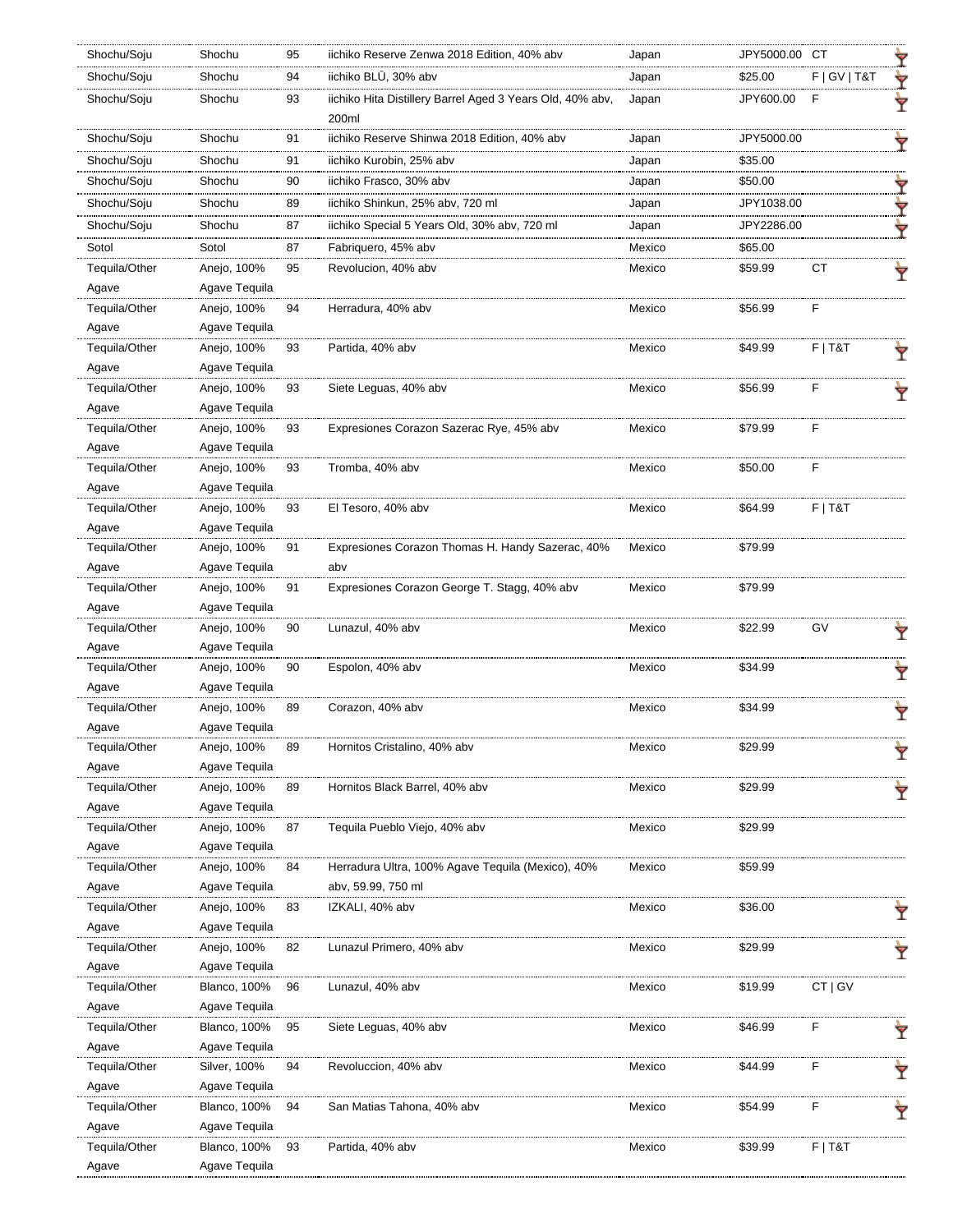| Shochu/Soju   | Shochu              | 95 | iichiko Reserve Zenwa 2018 Edition, 40% abv                        | Japan  | JPY5000.00 CT |                 |   |
|---------------|---------------------|----|--------------------------------------------------------------------|--------|---------------|-----------------|---|
| Shochu/Soju   | Shochu              | 94 | iichiko BLŪ, 30% abv                                               | Japan  | \$25.00       | F   G V   T & T | Y |
| Shochu/Soju   | Shochu              | 93 | iichiko Hita Distillery Barrel Aged 3 Years Old, 40% abv,<br>200ml | Japan  | JPY600.00     | E               | Ÿ |
| Shochu/Soju   | Shochu              | 91 | iichiko Reserve Shinwa 2018 Edition, 40% abv                       | Japan  | JPY5000.00    |                 | Ÿ |
| Shochu/Soju   | Shochu              | 91 | iichiko Kurobin, 25% abv                                           | Japan  | \$35.00       |                 |   |
| Shochu/Soju   | Shochu              | 90 | iichiko Frasco, 30% abv                                            | Japan  | \$50.00       |                 |   |
| Shochu/Soju   | Shochu              | 89 | iichiko Shinkun, 25% abv, 720 ml                                   | Japan  | JPY1038.00    |                 | Ŷ |
| Shochu/Soju   | Shochu              |    |                                                                    |        |               |                 | Y |
|               |                     | 87 | iichiko Special 5 Years Old, 30% abv, 720 ml                       | Japan  | JPY2286.00    |                 | ₩ |
| Sotol         | Sotol               | 87 | Fabriquero, 45% abv                                                | Mexico | \$65.00       |                 |   |
| Tequila/Other | Anejo, 100%         | 95 | Revolucion, 40% abv                                                | Mexico | \$59.99       | СT              |   |
| Agave         | Agave Tequila       |    |                                                                    |        |               |                 |   |
| Tequila/Other | Anejo, 100%         | 94 | Herradura, 40% abv                                                 | Mexico | \$56.99       | F               |   |
| Agave         | Agave Tequila       |    |                                                                    |        |               |                 |   |
| Tequila/Other | Anejo, 100%         | 93 | Partida, 40% abv                                                   | Mexico | \$49.99       | $F$   T&T       |   |
| Agave         | Agave Teguila       |    |                                                                    |        |               |                 |   |
| Tequila/Other | Anejo, 100%         | 93 | Siete Leguas, 40% abv                                              | Mexico | \$56.99       | F               |   |
| Agave         | Agave Tequila       |    |                                                                    |        |               |                 |   |
| Tequila/Other | Anejo, 100%         | 93 | Expresiones Corazon Sazerac Rye, 45% abv                           | Mexico | \$79.99       | E               |   |
| Agave         | Agave Tequila       |    |                                                                    |        |               |                 |   |
| Tequila/Other | Anejo, 100%         | 93 | Tromba, 40% abv                                                    | Mexico | \$50.00       | F               |   |
| Agave         | Agave Tequila       |    |                                                                    |        |               |                 |   |
| Tequila/Other | Anejo, 100%         | 93 | El Tesoro, 40% abv                                                 | Mexico | \$64.99       | $F$   T&T       |   |
| Agave         | Agave Tequila       |    |                                                                    |        |               |                 |   |
| Tequila/Other | Anejo, 100%         | 91 | Expresiones Corazon Thomas H. Handy Sazerac, 40%                   | Mexico | \$79.99       |                 |   |
| Agave         | Agave Tequila       |    | abv                                                                |        |               |                 |   |
| Tequila/Other | Anejo, 100%         | 91 | Expresiones Corazon George T. Stagg, 40% abv                       | Mexico | \$79.99       |                 |   |
| Agave         | Agave Tequila       |    |                                                                    |        |               |                 |   |
| Tequila/Other | Anejo, 100%         | 90 | Lunazul, 40% abv                                                   | Mexico | \$22.99       | GV              |   |
| Agave         | Agave Tequila       |    |                                                                    |        |               |                 |   |
| Tequila/Other | Anejo, 100%         | 90 | Espolon, 40% abv                                                   | Mexico | \$34.99       |                 | Ŷ |
| Agave         | Agave Tequila       |    |                                                                    |        |               |                 |   |
| Tequila/Other | Anejo, 100%         | 89 | Corazon, 40% abv                                                   | Mexico | \$34.99       |                 | Ÿ |
| Agave         | Agave Tequila       |    |                                                                    |        |               |                 |   |
| Tequila/Other | Anejo, 100%         | 89 | Hornitos Cristalino, 40% abv                                       | Mexico | \$29.99       |                 | Ŷ |
| Agave         | Agave Teguila       |    |                                                                    |        |               |                 |   |
| Tequila/Other | Anejo, 100%         | 89 | Hornitos Black Barrel, 40% abv                                     | Mexico | \$29.99       |                 |   |
| Agave         | Agave Tequila       |    |                                                                    |        |               |                 |   |
| Tequila/Other | Anejo, 100%         | 87 | Tequila Pueblo Viejo, 40% abv                                      | Mexico | \$29.99       |                 |   |
| Agave         | Agave Tequila       |    |                                                                    |        |               |                 |   |
| Tequila/Other | Anejo, 100%         | 84 | Herradura Ultra, 100% Agave Tequila (Mexico), 40%                  | Mexico | \$59.99       |                 |   |
| Agave         | Agave Tequila       |    | abv, 59.99, 750 ml                                                 |        |               |                 |   |
| Tequila/Other | Anejo, 100%         | 83 | IZKALI, 40% abv                                                    | Mexico | \$36.00       |                 |   |
| Agave         | Agave Tequila       |    |                                                                    |        |               |                 |   |
| Tequila/Other | Anejo, 100%         | 82 | Lunazul Primero, 40% abv                                           | Mexico | \$29.99       |                 |   |
| Agave         | Agave Tequila       |    |                                                                    |        |               |                 |   |
| Tequila/Other | <b>Blanco, 100%</b> | 96 | Lunazul, 40% abv                                                   | Mexico | \$19.99       | CT   GV         |   |
| Agave         | Agave Tequila       |    |                                                                    |        |               |                 |   |
| Tequila/Other | <b>Blanco, 100%</b> | 95 | Siete Leguas, 40% abv                                              | Mexico | \$46.99       | F               | Ÿ |
| Agave         | Agave Tequila       |    |                                                                    |        |               |                 |   |
| Tequila/Other | Silver, 100%        | 94 | Revoluccion, 40% abv                                               | Mexico | \$44.99       | F               |   |
| Agave         | Agave Tequila       |    |                                                                    |        |               |                 |   |
| Tequila/Other | <b>Blanco, 100%</b> | 94 | San Matias Tahona, 40% abv                                         | Mexico | \$54.99       | F               |   |
| Agave         | Agave Tequila       |    |                                                                    |        |               |                 |   |
| Tequila/Other | <b>Blanco, 100%</b> | 93 | Partida, 40% abv                                                   | Mexico | \$39.99       | $F$   T&T       |   |
| Agave         | Agave Tequila       |    |                                                                    |        |               |                 |   |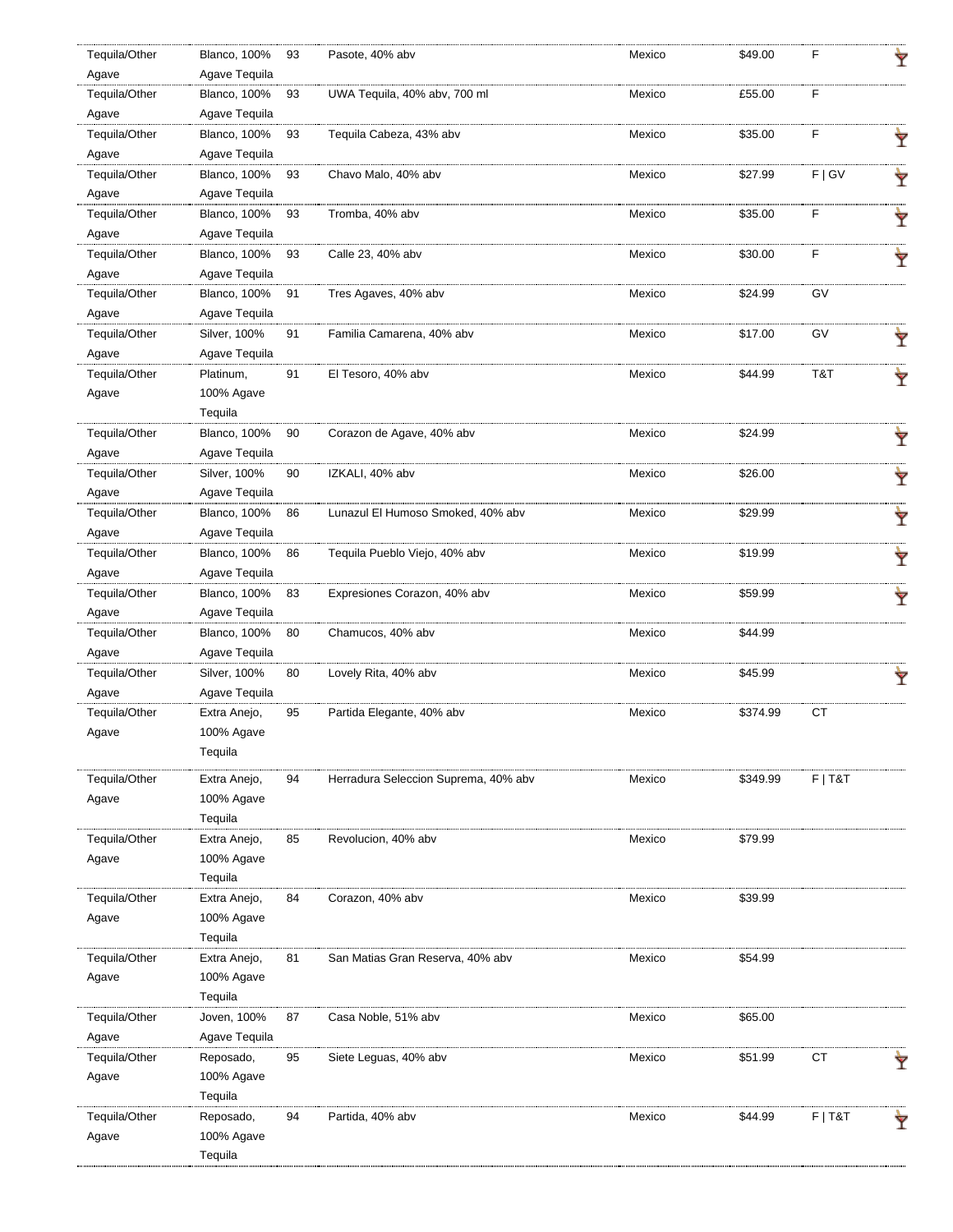| Tequila/Other | <b>Blanco, 100%</b> | 93 | Pasote, 40% abv                      | Mexico | \$49.00  | F         |   |
|---------------|---------------------|----|--------------------------------------|--------|----------|-----------|---|
| Agave         | Agave Tequila       |    |                                      |        |          |           |   |
| Tequila/Other | <b>Blanco, 100%</b> | 93 | UWA Tequila, 40% abv, 700 ml         | Mexico | £55.00   | F         |   |
| Agave         | Agave Tequila       |    |                                      |        |          |           |   |
| Tequila/Other | <b>Blanco, 100%</b> | 93 | Teguila Cabeza, 43% abv              | Mexico | \$35.00  | F         | Y |
| Agave         | Agave Tequila       |    |                                      |        |          |           |   |
| Tequila/Other | <b>Blanco, 100%</b> | 93 | Chavo Malo, 40% abv                  | Mexico | \$27.99  | F   G V   | Ÿ |
| Agave         | Agave Tequila       |    |                                      |        |          |           |   |
| Tequila/Other | <b>Blanco, 100%</b> | 93 | Tromba, 40% abv                      | Mexico | \$35.00  | F         | Ÿ |
| Agave         | Agave Tequila       |    |                                      |        |          |           |   |
| Tequila/Other | <b>Blanco, 100%</b> | 93 | Calle 23, 40% abv                    | Mexico | \$30.00  | F         | Ÿ |
| Agave         | Agave Tequila       |    |                                      |        |          |           |   |
| Tequila/Other | <b>Blanco, 100%</b> | 91 | Tres Agaves, 40% abv                 | Mexico | \$24.99  | GV        |   |
| Agave         | Agave Tequila       |    |                                      |        |          |           |   |
| Tequila/Other | Silver, 100%        | 91 | Familia Camarena, 40% abv            | Mexico | \$17.00  | GV        | Ÿ |
| Agave         | Agave Tequila       |    |                                      |        |          |           |   |
| Tequila/Other | Platinum,           | 91 | El Tesoro, 40% abv                   | Mexico | \$44.99  | T&T       | Ŷ |
| Agave         | 100% Agave          |    |                                      |        |          |           |   |
|               | Tequila             |    |                                      |        |          |           |   |
| Tequila/Other | <b>Blanco, 100%</b> | 90 | Corazon de Agave, 40% abv            | Mexico | \$24.99  |           | Ŷ |
| Agave         | Agave Tequila       |    |                                      |        |          |           |   |
| Tequila/Other | Silver, 100%        | 90 | IZKALI, 40% abv                      | Mexico | \$26.00  |           | Ÿ |
| Agave         | Agave Tequila       |    |                                      |        |          |           |   |
| Tequila/Other | <b>Blanco, 100%</b> | 86 | Lunazul El Humoso Smoked, 40% abv    | Mexico | \$29.99  |           | Ÿ |
| Agave         | Agave Tequila       |    |                                      |        |          |           |   |
| Tequila/Other | <b>Blanco, 100%</b> | 86 | Tequila Pueblo Viejo, 40% abv        | Mexico | \$19.99  |           | Ŷ |
| Agave         | Agave Tequila       |    |                                      |        |          |           |   |
| Tequila/Other | <b>Blanco, 100%</b> | 83 | Expresiones Corazon, 40% abv         | Mexico | \$59.99  |           | Ŷ |
| Agave         | Agave Tequila       |    |                                      |        |          |           |   |
| Tequila/Other | <b>Blanco, 100%</b> | 80 | Chamucos, 40% abv                    | Mexico | \$44.99  |           |   |
| Agave         | Agave Tequila       |    |                                      |        |          |           |   |
| Tequila/Other | Silver, 100%        | 80 | Lovely Rita, 40% abv                 | Mexico | \$45.99  |           |   |
| Agave         | Agave Tequila       |    |                                      |        |          |           |   |
| Tequila/Other | Extra Anejo,        | 95 | Partida Elegante, 40% abv            | Mexico | \$374.99 | CT        |   |
| Agave         | 100% Agave          |    |                                      |        |          |           |   |
|               | Tequila             |    |                                      |        |          |           |   |
| Tequila/Other | Extra Anejo,        | 94 | Herradura Seleccion Suprema, 40% abv | Mexico | \$349.99 | $F$   T&T |   |
| Agave         | 100% Agave          |    |                                      |        |          |           |   |
|               | Tequila             |    |                                      |        |          |           |   |
| Tequila/Other | Extra Anejo,        | 85 | Revolucion, 40% abv                  | Mexico | \$79.99  |           |   |
| Agave         | 100% Agave          |    |                                      |        |          |           |   |
|               | Tequila             |    |                                      |        |          |           |   |
| Tequila/Other | Extra Anejo,        | 84 | Corazon, 40% abv                     | Mexico | \$39.99  |           |   |
| Agave         | 100% Agave          |    |                                      |        |          |           |   |
|               | Tequila             |    |                                      |        |          |           |   |
| Tequila/Other | Extra Anejo,        | 81 | San Matias Gran Reserva, 40% abv     | Mexico | \$54.99  |           |   |
| Agave         | 100% Agave          |    |                                      |        |          |           |   |
|               | Tequila             |    |                                      |        |          |           |   |
| Tequila/Other | Joven, 100%         | 87 | Casa Noble, 51% abv                  | Mexico | \$65.00  |           |   |
| Agave         | Agave Tequila       |    |                                      |        |          |           |   |
| Tequila/Other | Reposado,           | 95 | Siete Leguas, 40% abv                | Mexico | \$51.99  | CT        |   |
| Agave         | 100% Agave          |    |                                      |        |          |           |   |
|               | Tequila             |    |                                      |        |          |           |   |
| Tequila/Other | Reposado,           | 94 | Partida, 40% abv                     | Mexico | \$44.99  | $F$   T&T |   |
| Agave         | 100% Agave          |    |                                      |        |          |           |   |
|               | Tequila             |    |                                      |        |          |           |   |
|               |                     |    |                                      |        |          |           |   |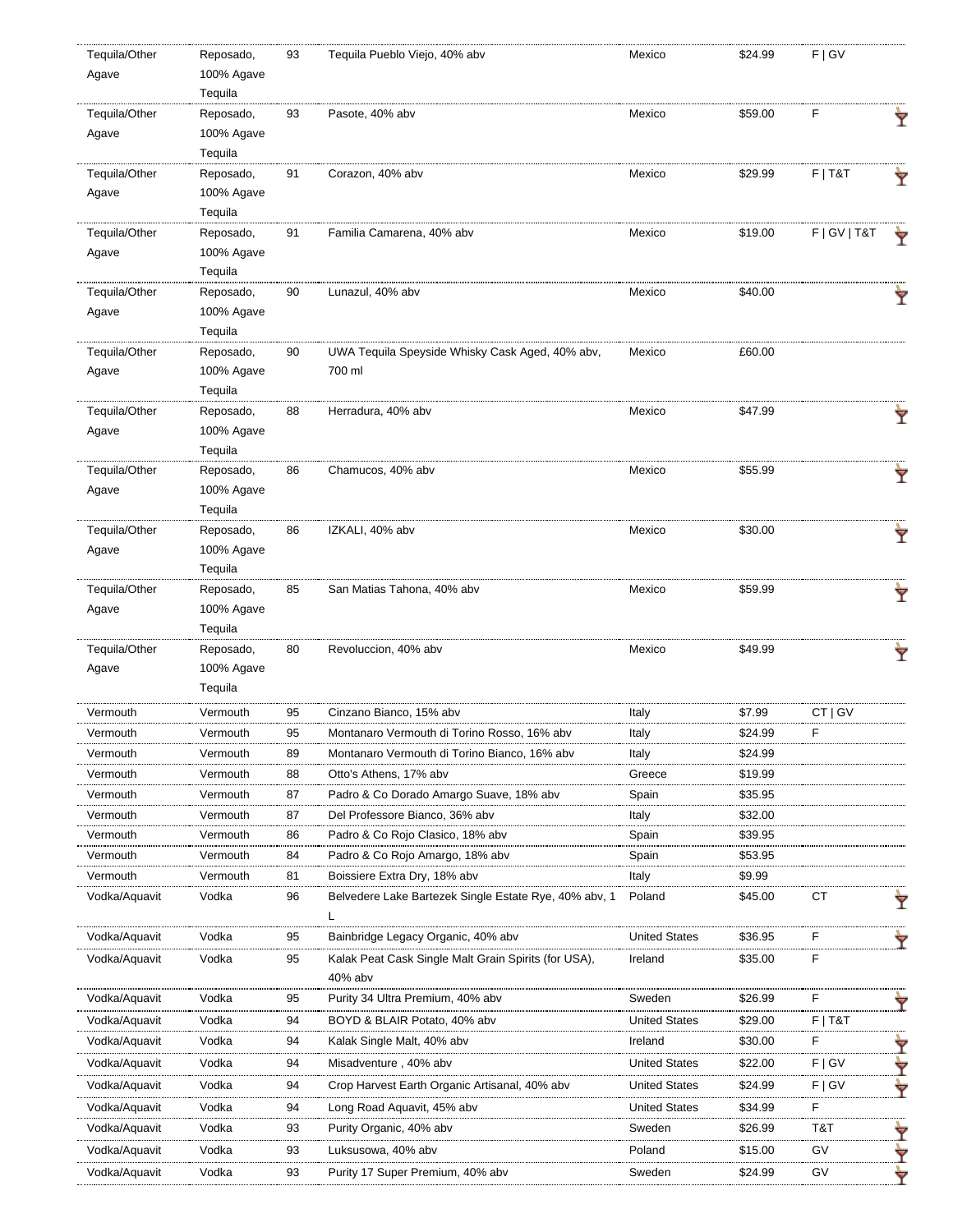| Tequila/Other | Reposado,             | 93 | Tequila Pueblo Viejo, 40% abv                                   | Mexico               | \$24.99 | F   G V         |   |
|---------------|-----------------------|----|-----------------------------------------------------------------|----------------------|---------|-----------------|---|
| Agave         | 100% Agave            |    |                                                                 |                      |         |                 |   |
|               | Tequila               |    |                                                                 |                      |         |                 |   |
| Tequila/Other | Reposado,             | 93 | Pasote, 40% abv                                                 | Mexico               | \$59.00 | F               | Ÿ |
| Agave         | 100% Agave            |    |                                                                 |                      |         |                 |   |
|               | Tequila               |    |                                                                 |                      |         |                 |   |
| Tequila/Other | Reposado,             | 91 | Corazon, 40% abv                                                | Mexico               | \$29.99 | $F$   T&T       | Ŷ |
| Agave         | 100% Agave            |    |                                                                 |                      |         |                 |   |
|               | Tequila               |    |                                                                 |                      |         |                 |   |
| Tequila/Other | Reposado,             | 91 | Familia Camarena, 40% abv                                       | Mexico               | \$19.00 | F   G V   T & T | Ÿ |
| Agave         | 100% Agave            |    |                                                                 |                      |         |                 |   |
|               | Tequila               |    |                                                                 |                      |         |                 |   |
| Tequila/Other | Reposado,             | 90 | Lunazul, 40% abv                                                | Mexico               | \$40.00 |                 | Ŷ |
| Agave         | 100% Agave            |    |                                                                 |                      |         |                 |   |
|               | Tequila               |    |                                                                 |                      |         |                 |   |
| Tequila/Other | Reposado,             | 90 | UWA Tequila Speyside Whisky Cask Aged, 40% abv,                 | Mexico               | £60.00  |                 |   |
| Agave         | 100% Agave            |    | 700 ml                                                          |                      |         |                 |   |
|               | Tequila               |    |                                                                 |                      |         |                 |   |
| Tequila/Other | Reposado,             | 88 | Herradura, 40% abv                                              | Mexico               | \$47.99 |                 | Ÿ |
| Agave         | 100% Agave            |    |                                                                 |                      |         |                 |   |
|               | Tequila               |    |                                                                 |                      |         |                 |   |
| Tequila/Other | Reposado,             | 86 | Chamucos, 40% abv                                               | Mexico               | \$55.99 |                 | Ÿ |
| Agave         | 100% Agave            |    |                                                                 |                      |         |                 |   |
|               | Tequila               |    |                                                                 |                      |         |                 |   |
| Tequila/Other | Reposado,             | 86 | IZKALI, 40% abv                                                 | Mexico               | \$30.00 |                 | Ÿ |
| Agave         | 100% Agave            |    |                                                                 |                      |         |                 |   |
|               | Tequila               |    |                                                                 |                      |         |                 |   |
| Tequila/Other | Reposado,             | 85 | San Matias Tahona, 40% abv                                      | Mexico               | \$59.99 |                 | Ŷ |
| Agave         | 100% Agave            |    |                                                                 |                      |         |                 |   |
|               | Tequila               |    |                                                                 |                      |         |                 |   |
| Tequila/Other | Reposado,             | 80 | Revoluccion, 40% abv                                            | Mexico               | \$49.99 |                 | Ÿ |
| Agave         | 100% Agave<br>Tequila |    |                                                                 |                      |         |                 |   |
|               |                       |    |                                                                 |                      |         |                 |   |
| Vermouth      | Vermouth              | 95 | Cinzano Bianco, 15% abv                                         | Italy                | \$7.99  | CT   GV         |   |
| Vermouth      | Vermouth              | 95 | Montanaro Vermouth di Torino Rosso, 16% abv                     | Italy                | \$24.99 | F               |   |
| Vermouth      | Vermouth              | 89 | Montanaro Vermouth di Torino Bianco, 16% abv                    | Italy                | \$24.99 |                 |   |
| Vermouth      | Vermouth              | 88 | Otto's Athens, 17% abv                                          | Greece               | \$19.99 |                 |   |
| Vermouth      | Vermouth              | 87 | Padro & Co Dorado Amargo Suave, 18% abv                         | Spain                | \$35.95 |                 |   |
| Vermouth      | Vermouth              | 87 | Del Professore Bianco, 36% abv                                  | Italy                | \$32.00 |                 |   |
| Vermouth      | Vermouth              | 86 | Padro & Co Rojo Clasico, 18% abv                                | Spain                | \$39.95 |                 |   |
| Vermouth      | Vermouth              | 84 | Padro & Co Rojo Amargo, 18% abv                                 | Spain                | \$53.95 |                 |   |
| Vermouth      | Vermouth              | 81 | Boissiere Extra Dry, 18% abv                                    | Italy                | \$9.99  |                 |   |
| Vodka/Aquavit | Vodka                 | 96 | Belvedere Lake Bartezek Single Estate Rye, 40% abv, 1           | Poland               | \$45.00 | СT              | Ÿ |
|               |                       |    | L                                                               |                      |         |                 |   |
| Vodka/Aquavit | Vodka                 | 95 | Bainbridge Legacy Organic, 40% abv                              | <b>United States</b> | \$36.95 | F               |   |
| Vodka/Aquavit | Vodka                 | 95 | Kalak Peat Cask Single Malt Grain Spirits (for USA),<br>40% abv | Ireland              | \$35.00 | F               |   |
| Vodka/Aquavit | Vodka                 | 95 | Purity 34 Ultra Premium, 40% abv                                | Sweden               | \$26.99 | F               |   |
| Vodka/Aquavit | Vodka                 | 94 | BOYD & BLAIR Potato, 40% abv                                    | <b>United States</b> | \$29.00 | $F$   T&T       | Ÿ |
| Vodka/Aquavit | Vodka                 | 94 | Kalak Single Malt, 40% abv                                      | Ireland              | \$30.00 | F               |   |
|               |                       |    |                                                                 |                      |         |                 | Ŷ |
| Vodka/Aquavit | Vodka                 | 94 | Misadventure, 40% abv                                           | <b>United States</b> | \$22.00 | F   G V         | Ÿ |
| Vodka/Aquavit | Vodka                 | 94 | Crop Harvest Earth Organic Artisanal, 40% abv                   | <b>United States</b> | \$24.99 | F   G V         | ₩ |
| Vodka/Aquavit | Vodka                 | 94 | Long Road Aquavit, 45% abv                                      | <b>United States</b> | \$34.99 | F               |   |
| Vodka/Aquavit | Vodka                 | 93 | Purity Organic, 40% abv                                         | Sweden               | \$26.99 | T&T             | Ÿ |
| Vodka/Aquavit | Vodka                 | 93 | Luksusowa, 40% abv                                              | Poland               | \$15.00 | GV              | Y |
| Vodka/Aquavit | Vodka                 | 93 | Purity 17 Super Premium, 40% abv                                | Sweden               | \$24.99 | GV              | ₩ |
|               |                       |    |                                                                 |                      |         |                 |   |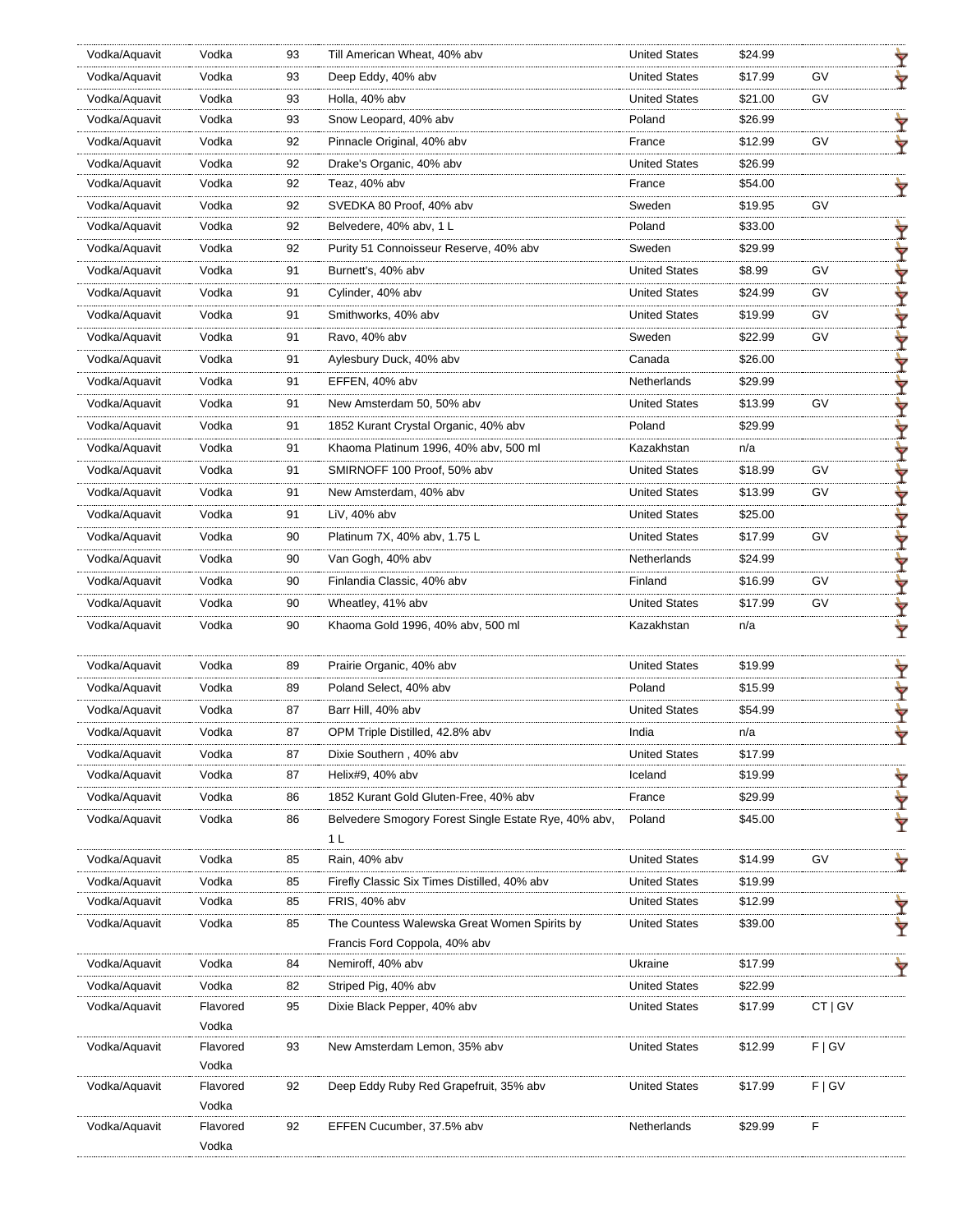| Vodka/Aquavit | Vodka             | 93       | Till American Wheat, 40% abv                                | <b>United States</b>               | \$24.99        |         |   |
|---------------|-------------------|----------|-------------------------------------------------------------|------------------------------------|----------------|---------|---|
| Vodka/Aquavit | Vodka             | 93       | Deep Eddy, 40% abv                                          | <b>United States</b>               | \$17.99        | GV      |   |
| Vodka/Aquavit | Vodka             | 93       | Holla, 40% abv                                              | <b>United States</b>               | \$21.00        | GV      |   |
| Vodka/Aquavit | Vodka             | 93       | Snow Leopard, 40% abv                                       | Poland                             | \$26.99        |         |   |
| Vodka/Aquavit | Vodka             | 92       | Pinnacle Original, 40% abv                                  | France                             | \$12.99        | GV      |   |
| Vodka/Aquavit | Vodka             | 92       | Drake's Organic, 40% abv                                    | <b>United States</b>               | \$26.99        |         |   |
| Vodka/Aquavit | Vodka             | 92       | Teaz, 40% abv                                               | France                             | \$54.00        |         |   |
| Vodka/Aquavit | Vodka             | 92       | SVEDKA 80 Proof, 40% abv                                    | Sweden                             | \$19.95        | GV      |   |
| Vodka/Aquavit | Vodka             | 92       | Belvedere, 40% abv, 1 L                                     | Poland                             | \$33.00        |         |   |
| Vodka/Aquavit | Vodka             | 92       | Purity 51 Connoisseur Reserve, 40% abv                      | Sweden                             | \$29.99        |         |   |
| Vodka/Aquavit | Vodka             | 91       | Burnett's, 40% abv                                          | <b>United States</b>               | \$8.99         | GV      |   |
| Vodka/Aquavit | Vodka             | 91       | Cylinder, 40% abv                                           | <b>United States</b>               | \$24.99        | GV      | ۰ |
| Vodka/Aquavit | Vodka             | 91       | Smithworks, 40% abv                                         | <b>United States</b>               | \$19.99        | GV      |   |
| Vodka/Aquavit | Vodka             | 91       | Ravo, 40% abv                                               | Sweden                             | \$22.99        | GV      | Ÿ |
| Vodka/Aquavit | Vodka             | 91       | Aylesbury Duck, 40% abv                                     | Canada                             | \$26.00        |         |   |
| Vodka/Aquavit | Vodka             | 91       | EFFEN, 40% abv                                              | Netherlands                        | \$29.99        |         | Ÿ |
| Vodka/Aquavit | Vodka             | 91       | New Amsterdam 50, 50% abv                                   | <b>United States</b>               | \$13.99        | GV      | ₩ |
| Vodka/Aquavit | Vodka             | 91       | 1852 Kurant Crystal Organic, 40% abv                        | Poland                             | \$29.99        |         |   |
| Vodka/Aquavit | Vodka             | 91       | Khaoma Platinum 1996, 40% abv, 500 ml                       | Kazakhstan                         | n/a            |         |   |
| Vodka/Aquavit | Vodka             | 91       | SMIRNOFF 100 Proof, 50% abv                                 | <b>United States</b>               | \$18.99        | GV      | ۰ |
| Vodka/Aquavit | Vodka             | 91       | New Amsterdam, 40% abv                                      | <b>United States</b>               | \$13.99        | GV      |   |
| Vodka/Aquavit | Vodka             | 91       | LiV, 40% abv                                                | <b>United States</b>               | \$25.00        |         |   |
| Vodka/Aquavit | Vodka             | 90       | Platinum 7X, 40% abv, 1.75 L                                | <b>United States</b>               | \$17.99        | GV      | ∀ |
| Vodka/Aquavit | Vodka             | 90       | Van Gogh, 40% abv                                           | Netherlands                        | \$24.99        |         |   |
| Vodka/Aquavit | Vodka             | 90       | Finlandia Classic, 40% abv                                  | Finland                            | \$16.99        | GV      | Ÿ |
|               |                   |          |                                                             |                                    |                | GV      | ₩ |
| Vodka/Aquavit | Vodka<br>Vodka    | 90<br>90 | Wheatley, 41% abv                                           | <b>United States</b><br>Kazakhstan | \$17.99<br>n/a |         |   |
| Vodka/Aquavit |                   |          | Khaoma Gold 1996, 40% abv, 500 ml                           |                                    |                |         | Ÿ |
| Vodka/Aquavit | Vodka             | 89       | Prairie Organic, 40% abv                                    | <b>United States</b>               | \$19.99        |         | Ÿ |
| Vodka/Aquavit | Vodka             | 89       | Poland Select, 40% abv                                      | Poland                             | \$15.99        |         |   |
| Vodka/Aquavit | Vodka             | 87       | Barr Hill, 40% abv                                          | <b>United States</b>               | \$54.99        |         |   |
| Vodka/Aquavit | Vodka             | 87       | OPM Triple Distilled, 42.8% abv                             | India                              | n/a            |         | ₩ |
| Vodka/Aquavit | Vodka             | 87       | Dixie Southern, 40% abv                                     | <b>United States</b>               | \$17.99        |         |   |
| Vodka/Aquavit | Vodka             | 87       | Helix#9, 40% abv                                            | Iceland                            | \$19.99        |         |   |
| Vodka/Aquavit | Vodka             | 86       | 1852 Kurant Gold Gluten-Free, 40% abv                       | France                             | \$29.99        |         | Y |
| Vodka/Aquavit | Vodka             | 86       | Belvedere Smogory Forest Single Estate Rye, 40% abv.<br>1 L | Poland                             | \$45.00        |         | Ŷ |
| Vodka/Aquavit | Vodka             | 85       | Rain, 40% abv                                               | <b>United States</b>               | \$14.99        | GV      | ▼ |
| Vodka/Aquavit | Vodka             | 85       | Firefly Classic Six Times Distilled, 40% abv                | <b>United States</b>               | \$19.99        |         |   |
| Vodka/Aquavit | Vodka             | 85       | FRIS, 40% abv                                               | <b>United States</b>               | \$12.99        |         |   |
| Vodka/Aquavit | Vodka             | 85       | The Countess Walewska Great Women Spirits by                | <b>United States</b>               | \$39.00        |         |   |
|               |                   |          | Francis Ford Coppola, 40% abv                               |                                    |                |         |   |
| Vodka/Aquavit | Vodka             | 84       | Nemiroff, 40% abv                                           | Ukraine                            | \$17.99        |         |   |
| Vodka/Aquavit | Vodka             | 82       | Striped Pig, 40% abv                                        | <b>United States</b>               | \$22.99        |         |   |
| Vodka/Aquavit | Flavored          | 95       | Dixie Black Pepper, 40% abv                                 | <b>United States</b>               | \$17.99        | CT   GV |   |
|               | Vodka             |          |                                                             |                                    |                |         |   |
| Vodka/Aquavit | Flavored          | 93       | New Amsterdam Lemon, 35% abv                                | <b>United States</b>               | \$12.99        | F   G V |   |
|               | Vodka             |          |                                                             |                                    |                |         |   |
| Vodka/Aquavit | Flavored          | 92       | Deep Eddy Ruby Red Grapefruit, 35% abv                      | <b>United States</b>               | \$17.99        | F   G V |   |
|               | Vodka             |          |                                                             |                                    |                | F       |   |
| Vodka/Aquavit | Flavored<br>Vodka | 92       | EFFEN Cucumber, 37.5% abv                                   | Netherlands                        | \$29.99        |         |   |
|               |                   |          |                                                             |                                    |                |         |   |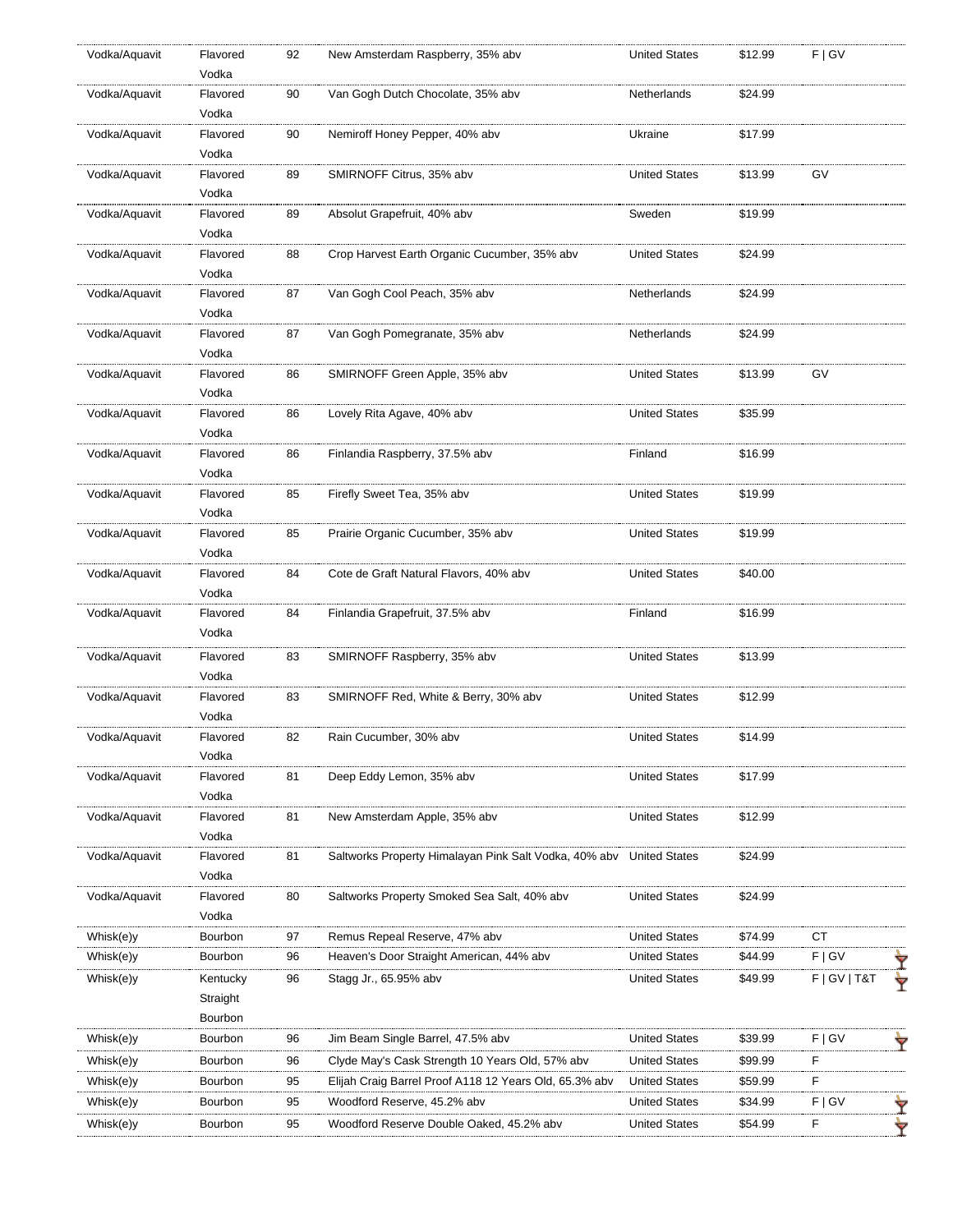| Vodka/Aquavit | Flavored<br>Vodka                                                                                                                                                      | 92                                                                                                                                                                            | New Amsterdam Raspberry, 35% abv                       | <b>United States</b>                                                                                                                                                                                                                                                                                                                                   | \$12.99                                                                                                                                                                         | F   G V                                                                              |    |
|---------------|------------------------------------------------------------------------------------------------------------------------------------------------------------------------|-------------------------------------------------------------------------------------------------------------------------------------------------------------------------------|--------------------------------------------------------|--------------------------------------------------------------------------------------------------------------------------------------------------------------------------------------------------------------------------------------------------------------------------------------------------------------------------------------------------------|---------------------------------------------------------------------------------------------------------------------------------------------------------------------------------|--------------------------------------------------------------------------------------|----|
| Vodka/Aquavit | Flavored                                                                                                                                                               | 90                                                                                                                                                                            | Van Gogh Dutch Chocolate, 35% abv                      | Netherlands                                                                                                                                                                                                                                                                                                                                            | \$24.99                                                                                                                                                                         |                                                                                      |    |
|               | Vodka                                                                                                                                                                  |                                                                                                                                                                               |                                                        |                                                                                                                                                                                                                                                                                                                                                        |                                                                                                                                                                                 |                                                                                      |    |
| Vodka/Aquavit | Flavored                                                                                                                                                               | 90                                                                                                                                                                            | Nemiroff Honey Pepper, 40% abv                         | Ukraine                                                                                                                                                                                                                                                                                                                                                | \$17.99                                                                                                                                                                         |                                                                                      |    |
|               |                                                                                                                                                                        |                                                                                                                                                                               |                                                        |                                                                                                                                                                                                                                                                                                                                                        |                                                                                                                                                                                 |                                                                                      |    |
|               |                                                                                                                                                                        |                                                                                                                                                                               |                                                        |                                                                                                                                                                                                                                                                                                                                                        |                                                                                                                                                                                 |                                                                                      |    |
|               | Flavored                                                                                                                                                               | 89                                                                                                                                                                            |                                                        | Sweden                                                                                                                                                                                                                                                                                                                                                 | \$19.99                                                                                                                                                                         |                                                                                      |    |
|               | Vodka                                                                                                                                                                  |                                                                                                                                                                               |                                                        |                                                                                                                                                                                                                                                                                                                                                        |                                                                                                                                                                                 |                                                                                      |    |
| Vodka/Aquavit | Flavored                                                                                                                                                               | 88                                                                                                                                                                            |                                                        | <b>United States</b>                                                                                                                                                                                                                                                                                                                                   | \$24.99                                                                                                                                                                         |                                                                                      |    |
|               | Vodka                                                                                                                                                                  |                                                                                                                                                                               |                                                        |                                                                                                                                                                                                                                                                                                                                                        |                                                                                                                                                                                 |                                                                                      |    |
| Vodka/Aquavit | Flavored                                                                                                                                                               | 87                                                                                                                                                                            | Van Gogh Cool Peach, 35% abv                           | Netherlands                                                                                                                                                                                                                                                                                                                                            | \$24.99                                                                                                                                                                         |                                                                                      |    |
|               | Vodka                                                                                                                                                                  |                                                                                                                                                                               |                                                        |                                                                                                                                                                                                                                                                                                                                                        |                                                                                                                                                                                 |                                                                                      |    |
| Vodka/Aquavit | Flavored                                                                                                                                                               | 87                                                                                                                                                                            | Van Gogh Pomegranate, 35% abv                          | Netherlands                                                                                                                                                                                                                                                                                                                                            | \$24.99                                                                                                                                                                         |                                                                                      |    |
|               | Vodka                                                                                                                                                                  |                                                                                                                                                                               |                                                        |                                                                                                                                                                                                                                                                                                                                                        |                                                                                                                                                                                 |                                                                                      |    |
| Vodka/Aquavit | Flavored                                                                                                                                                               | 86                                                                                                                                                                            | SMIRNOFF Green Apple, 35% abv                          | <b>United States</b>                                                                                                                                                                                                                                                                                                                                   | \$13.99                                                                                                                                                                         | GV                                                                                   |    |
|               | Vodka                                                                                                                                                                  |                                                                                                                                                                               |                                                        |                                                                                                                                                                                                                                                                                                                                                        |                                                                                                                                                                                 |                                                                                      |    |
| Vodka/Aquavit | Flavored                                                                                                                                                               | 86                                                                                                                                                                            | Lovely Rita Agave, 40% abv                             | <b>United States</b>                                                                                                                                                                                                                                                                                                                                   | \$35.99                                                                                                                                                                         |                                                                                      |    |
|               | Vodka                                                                                                                                                                  |                                                                                                                                                                               |                                                        |                                                                                                                                                                                                                                                                                                                                                        |                                                                                                                                                                                 |                                                                                      |    |
| Vodka/Aquavit | Flavored                                                                                                                                                               | 86                                                                                                                                                                            | Finlandia Raspberry, 37.5% abv                         | Finland                                                                                                                                                                                                                                                                                                                                                | \$16.99                                                                                                                                                                         |                                                                                      |    |
|               | Vodka                                                                                                                                                                  |                                                                                                                                                                               |                                                        |                                                                                                                                                                                                                                                                                                                                                        |                                                                                                                                                                                 |                                                                                      |    |
|               | Flavored                                                                                                                                                               | 85                                                                                                                                                                            | Firefly Sweet Tea, 35% abv                             | <b>United States</b>                                                                                                                                                                                                                                                                                                                                   | \$19.99                                                                                                                                                                         |                                                                                      |    |
|               |                                                                                                                                                                        |                                                                                                                                                                               |                                                        |                                                                                                                                                                                                                                                                                                                                                        |                                                                                                                                                                                 |                                                                                      |    |
|               |                                                                                                                                                                        |                                                                                                                                                                               |                                                        |                                                                                                                                                                                                                                                                                                                                                        |                                                                                                                                                                                 |                                                                                      |    |
|               |                                                                                                                                                                        |                                                                                                                                                                               |                                                        |                                                                                                                                                                                                                                                                                                                                                        |                                                                                                                                                                                 |                                                                                      |    |
|               |                                                                                                                                                                        |                                                                                                                                                                               |                                                        |                                                                                                                                                                                                                                                                                                                                                        |                                                                                                                                                                                 |                                                                                      |    |
|               |                                                                                                                                                                        |                                                                                                                                                                               |                                                        |                                                                                                                                                                                                                                                                                                                                                        |                                                                                                                                                                                 |                                                                                      |    |
|               |                                                                                                                                                                        |                                                                                                                                                                               |                                                        |                                                                                                                                                                                                                                                                                                                                                        |                                                                                                                                                                                 |                                                                                      |    |
|               |                                                                                                                                                                        |                                                                                                                                                                               |                                                        |                                                                                                                                                                                                                                                                                                                                                        |                                                                                                                                                                                 |                                                                                      |    |
|               |                                                                                                                                                                        |                                                                                                                                                                               |                                                        |                                                                                                                                                                                                                                                                                                                                                        |                                                                                                                                                                                 |                                                                                      |    |
|               |                                                                                                                                                                        |                                                                                                                                                                               |                                                        |                                                                                                                                                                                                                                                                                                                                                        |                                                                                                                                                                                 |                                                                                      |    |
|               |                                                                                                                                                                        |                                                                                                                                                                               |                                                        |                                                                                                                                                                                                                                                                                                                                                        |                                                                                                                                                                                 |                                                                                      |    |
|               |                                                                                                                                                                        |                                                                                                                                                                               |                                                        |                                                                                                                                                                                                                                                                                                                                                        |                                                                                                                                                                                 |                                                                                      |    |
|               |                                                                                                                                                                        |                                                                                                                                                                               |                                                        |                                                                                                                                                                                                                                                                                                                                                        |                                                                                                                                                                                 |                                                                                      |    |
|               |                                                                                                                                                                        |                                                                                                                                                                               |                                                        |                                                                                                                                                                                                                                                                                                                                                        |                                                                                                                                                                                 |                                                                                      |    |
|               | Vodka                                                                                                                                                                  |                                                                                                                                                                               |                                                        |                                                                                                                                                                                                                                                                                                                                                        |                                                                                                                                                                                 |                                                                                      |    |
| Vodka/Aquavit | Flavored                                                                                                                                                               | 81                                                                                                                                                                            | New Amsterdam Apple, 35% abv                           | <b>United States</b>                                                                                                                                                                                                                                                                                                                                   | \$12.99                                                                                                                                                                         |                                                                                      |    |
|               | Vodka                                                                                                                                                                  |                                                                                                                                                                               |                                                        |                                                                                                                                                                                                                                                                                                                                                        |                                                                                                                                                                                 |                                                                                      |    |
| Vodka/Aquavit | Flavored                                                                                                                                                               | 81                                                                                                                                                                            | Saltworks Property Himalayan Pink Salt Vodka, 40% abv  | <b>United States</b>                                                                                                                                                                                                                                                                                                                                   | \$24.99                                                                                                                                                                         |                                                                                      |    |
|               | Vodka                                                                                                                                                                  |                                                                                                                                                                               |                                                        |                                                                                                                                                                                                                                                                                                                                                        |                                                                                                                                                                                 |                                                                                      |    |
| Vodka/Aquavit | Flavored                                                                                                                                                               | 80                                                                                                                                                                            | Saltworks Property Smoked Sea Salt, 40% abv            | <b>United States</b>                                                                                                                                                                                                                                                                                                                                   | \$24.99                                                                                                                                                                         |                                                                                      |    |
|               | Vodka                                                                                                                                                                  |                                                                                                                                                                               |                                                        |                                                                                                                                                                                                                                                                                                                                                        |                                                                                                                                                                                 |                                                                                      |    |
| Whisk(e)y     | Bourbon                                                                                                                                                                | 97                                                                                                                                                                            | Remus Repeal Reserve, 47% abv                          | <b>United States</b>                                                                                                                                                                                                                                                                                                                                   | \$74.99                                                                                                                                                                         | СT                                                                                   |    |
| Whisk(e)y     | Bourbon                                                                                                                                                                | 96                                                                                                                                                                            | Heaven's Door Straight American, 44% abv               | <b>United States</b>                                                                                                                                                                                                                                                                                                                                   | \$44.99                                                                                                                                                                         | F   G V                                                                              |    |
| Whisk(e)y     | Kentucky                                                                                                                                                               | 96                                                                                                                                                                            | Stagg Jr., 65.95% abv                                  | <b>United States</b>                                                                                                                                                                                                                                                                                                                                   | \$49.99                                                                                                                                                                         | $F$   GV   T&T                                                                       |    |
|               | Straight                                                                                                                                                               |                                                                                                                                                                               |                                                        |                                                                                                                                                                                                                                                                                                                                                        |                                                                                                                                                                                 |                                                                                      |    |
|               | Bourbon                                                                                                                                                                |                                                                                                                                                                               |                                                        |                                                                                                                                                                                                                                                                                                                                                        |                                                                                                                                                                                 |                                                                                      |    |
| Whisk(e)y     | Bourbon                                                                                                                                                                | 96                                                                                                                                                                            | Jim Beam Single Barrel, 47.5% abv                      | <b>United States</b>                                                                                                                                                                                                                                                                                                                                   | \$39.99                                                                                                                                                                         | F   G V                                                                              |    |
| Whisk(e)y     | Bourbon                                                                                                                                                                | 96                                                                                                                                                                            | Clyde May's Cask Strength 10 Years Old, 57% abv        | <b>United States</b>                                                                                                                                                                                                                                                                                                                                   | \$99.99                                                                                                                                                                         | F                                                                                    |    |
| Whisk(e)y     | Bourbon                                                                                                                                                                | 95                                                                                                                                                                            | Elijah Craig Barrel Proof A118 12 Years Old, 65.3% abv | <b>United States</b>                                                                                                                                                                                                                                                                                                                                   | \$59.99                                                                                                                                                                         | F                                                                                    |    |
| Whisk(e)y     | Bourbon                                                                                                                                                                | 95                                                                                                                                                                            | Woodford Reserve, 45.2% abv                            | <b>United States</b>                                                                                                                                                                                                                                                                                                                                   | \$34.99                                                                                                                                                                         | F   G V                                                                              |    |
| Whisk(e)y     | Bourbon                                                                                                                                                                | 95                                                                                                                                                                            | Woodford Reserve Double Oaked, 45.2% abv               | <b>United States</b>                                                                                                                                                                                                                                                                                                                                   | \$54.99                                                                                                                                                                         | F                                                                                    |    |
|               | Vodka/Aquavit<br>Vodka/Aquavit<br>Vodka/Aquavit<br>Vodka/Aquavit<br>Vodka/Aquavit<br>Vodka/Aquavit<br>Vodka/Aquavit<br>Vodka/Aquavit<br>Vodka/Aquavit<br>Vodka/Aquavit | Vodka<br>Flavored<br>Vodka<br>Vodka<br>Flavored<br>Vodka<br>Flavored<br>Vodka<br>Flavored<br>Vodka<br>Flavored<br>Vodka<br>Flavored<br>Vodka<br>Flavored<br>Vodka<br>Flavored | 89<br>85<br>84<br>84<br>83<br>83<br>82<br>81           | SMIRNOFF Citrus, 35% abv<br>Absolut Grapefruit, 40% abv<br>Crop Harvest Earth Organic Cucumber, 35% abv<br>Prairie Organic Cucumber, 35% abv<br>Cote de Graft Natural Flavors, 40% abv<br>Finlandia Grapefruit, 37.5% abv<br>SMIRNOFF Raspberry, 35% abv<br>SMIRNOFF Red, White & Berry, 30% abv<br>Rain Cucumber, 30% abv<br>Deep Eddy Lemon, 35% abv | <b>United States</b><br><b>United States</b><br><b>United States</b><br>Finland<br><b>United States</b><br><b>United States</b><br><b>United States</b><br><b>United States</b> | \$13.99<br>\$19.99<br>\$40.00<br>\$16.99<br>\$13.99<br>\$12.99<br>\$14.99<br>\$17.99 | GV |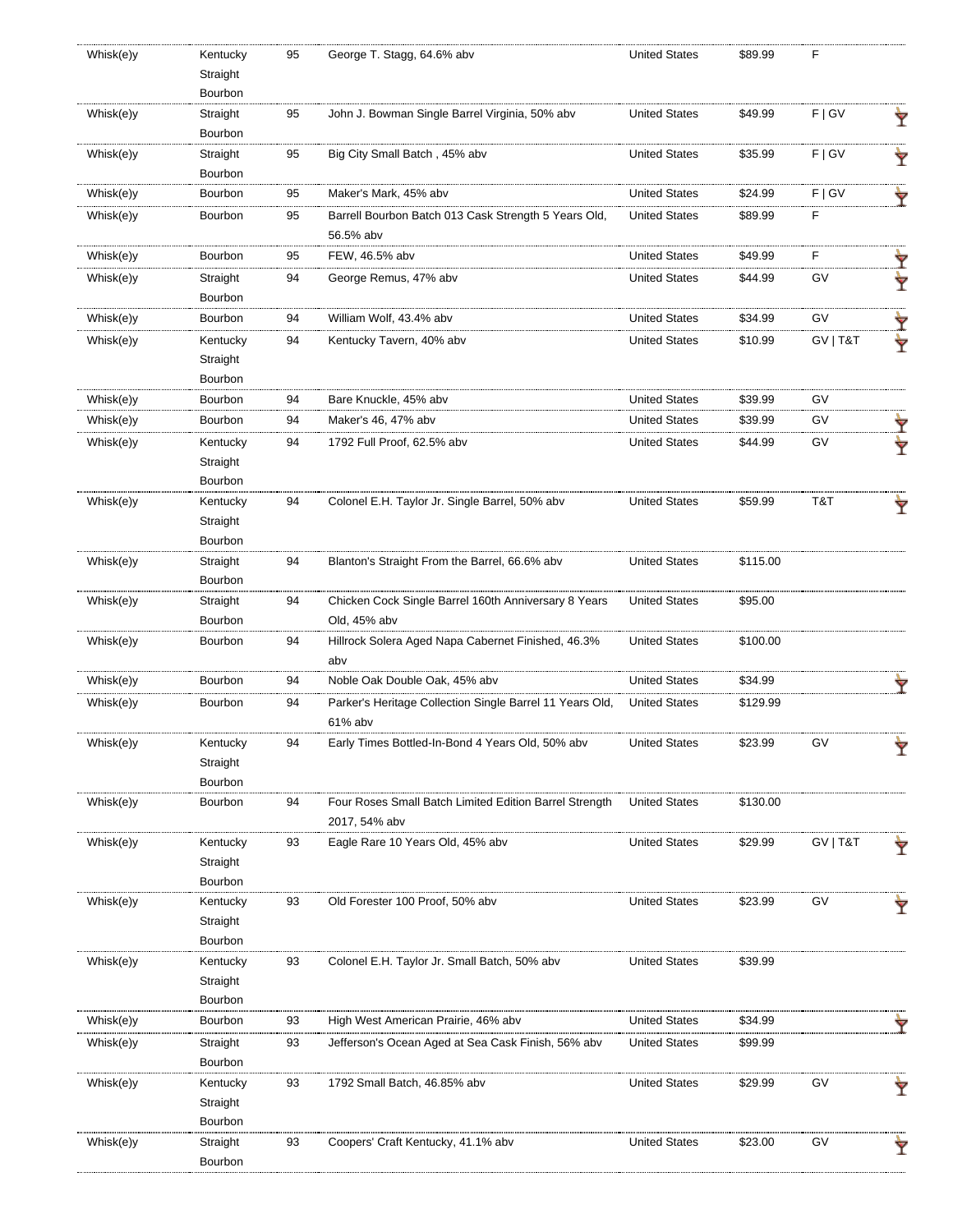| Whisk(e)y | Kentucky<br>Straight | 95 | George T. Stagg, 64.6% abv                               | <b>United States</b> | \$89.99  | F        |   |
|-----------|----------------------|----|----------------------------------------------------------|----------------------|----------|----------|---|
|           | Bourbon              |    |                                                          |                      |          |          |   |
| Whisk(e)y | Straight             | 95 | John J. Bowman Single Barrel Virginia, 50% abv           | <b>United States</b> | \$49.99  | F   G V  |   |
|           | Bourbon              |    |                                                          |                      |          |          | Ÿ |
| Whisk(e)y | Straight             | 95 | Big City Small Batch, 45% abv                            | <b>United States</b> | \$35.99  | F   G V  |   |
|           | Bourbon              |    |                                                          |                      |          |          |   |
| Whisk(e)y | Bourbon              | 95 | Maker's Mark, 45% abv                                    | <b>United States</b> | \$24.99  | F   G V  |   |
| Whisk(e)y | Bourbon              | 95 | Barrell Bourbon Batch 013 Cask Strength 5 Years Old,     | <b>United States</b> | \$89.99  | F        |   |
|           |                      |    | 56.5% abv                                                |                      |          |          |   |
| Whisk(e)y | Bourbon              | 95 | FEW, 46.5% abv                                           | <b>United States</b> | \$49.99  | F        |   |
| Whisk(e)y | Straight             | 94 | George Remus, 47% abv                                    | <b>United States</b> | \$44.99  | GV       | Ŷ |
|           | Bourbon              |    |                                                          |                      |          |          | Ŷ |
| Whisk(e)y | Bourbon              | 94 | William Wolf, 43.4% abv                                  | <b>United States</b> | \$34.99  | GV       |   |
| Whisk(e)y | Kentucky             | 94 | Kentucky Tavern, 40% abv                                 | <b>United States</b> | \$10.99  | GV   T&T | Ÿ |
|           | Straight             |    |                                                          |                      |          |          | Y |
|           | Bourbon              |    |                                                          |                      |          |          |   |
| Whisk(e)y | Bourbon              | 94 | Bare Knuckle, 45% abv                                    | <b>United States</b> | \$39.99  | GV       |   |
| Whisk(e)y | Bourbon              | 94 | Maker's 46, 47% abv                                      | <b>United States</b> | \$39.99  | G٧       |   |
| Whisk(e)y |                      | 94 | 1792 Full Proof, 62.5% abv                               | <b>United States</b> |          | GV       | Ÿ |
|           | Kentucky<br>Straight |    |                                                          |                      | \$44.99  |          |   |
|           | Bourbon              |    |                                                          |                      |          |          |   |
| Whisk(e)y | Kentucky             | 94 | Colonel E.H. Taylor Jr. Single Barrel, 50% abv           | <b>United States</b> | \$59.99  | T&T      |   |
|           | Straight             |    |                                                          |                      |          |          | Ÿ |
|           | Bourbon              |    |                                                          |                      |          |          |   |
| Whisk(e)y | Straight             | 94 | Blanton's Straight From the Barrel, 66.6% abv            | <b>United States</b> | \$115.00 |          |   |
|           | Bourbon              |    |                                                          |                      |          |          |   |
| Whisk(e)y | Straight             | 94 | Chicken Cock Single Barrel 160th Anniversary 8 Years     | <b>United States</b> | \$95.00  |          |   |
|           | Bourbon              |    | Old, 45% abv                                             |                      |          |          |   |
| Whisk(e)y | Bourbon              | 94 | Hillrock Solera Aged Napa Cabernet Finished, 46.3%       | <b>United States</b> | \$100.00 |          |   |
|           |                      |    | abv                                                      |                      |          |          |   |
| Whisk(e)y | Bourbon              | 94 | Noble Oak Double Oak, 45% abv                            | <b>United States</b> | \$34.99  |          |   |
| Whisk(e)y | Bourbon              | 94 | Parker's Heritage Collection Single Barrel 11 Years Old, | <b>United States</b> | \$129.99 |          |   |
|           |                      |    | 61% abv                                                  |                      |          |          |   |
| Whisk(e)y | Kentucky             |    | Early Times Bottled-In-Bond 4 Years Old, 50% abv         | <b>United States</b> | \$23.99  | G٧       |   |
|           | Straight             |    |                                                          |                      |          |          | Y |
|           | Bourbon              |    |                                                          |                      |          |          |   |
| Whisk(e)y | Bourbon              | 94 | Four Roses Small Batch Limited Edition Barrel Strength   | <b>United States</b> | \$130.00 |          |   |
|           |                      |    | 2017, 54% abv                                            |                      |          |          |   |
| Whisk(e)y | Kentucky             | 93 | Eagle Rare 10 Years Old, 45% abv                         | <b>United States</b> | \$29.99  | GV   T&T | Y |
|           | Straight             |    |                                                          |                      |          |          |   |
|           | Bourbon              |    |                                                          |                      |          |          |   |
| Whisk(e)y | Kentucky             | 93 | Old Forester 100 Proof, 50% abv                          | <b>United States</b> | \$23.99  | GV       | Y |
|           | Straight             |    |                                                          |                      |          |          |   |
|           | Bourbon              |    |                                                          |                      |          |          |   |
| Whisk(e)y | Kentucky             | 93 | Colonel E.H. Taylor Jr. Small Batch, 50% abv             | <b>United States</b> | \$39.99  |          |   |
|           | Straight             |    |                                                          |                      |          |          |   |
|           | Bourbon              |    |                                                          |                      |          |          |   |
| Whisk(e)y | Bourbon              | 93 | High West American Prairie, 46% abv                      | <b>United States</b> | \$34.99  |          |   |
| Whisk(e)y | Straight             | 93 | Jefferson's Ocean Aged at Sea Cask Finish, 56% abv       | <b>United States</b> | \$99.99  |          |   |
|           | Bourbon              |    |                                                          |                      |          |          |   |
| Whisk(e)y | Kentucky             | 93 | 1792 Small Batch, 46.85% abv                             | <b>United States</b> | \$29.99  | GV       | Y |
|           | Straight             |    |                                                          |                      |          |          |   |
|           | Bourbon              |    |                                                          |                      |          |          |   |
| Whisk(e)y | Straight             | 93 | Coopers' Craft Kentucky, 41.1% abv                       | <b>United States</b> | \$23.00  | GV       |   |
|           | Bourbon              |    |                                                          |                      |          |          |   |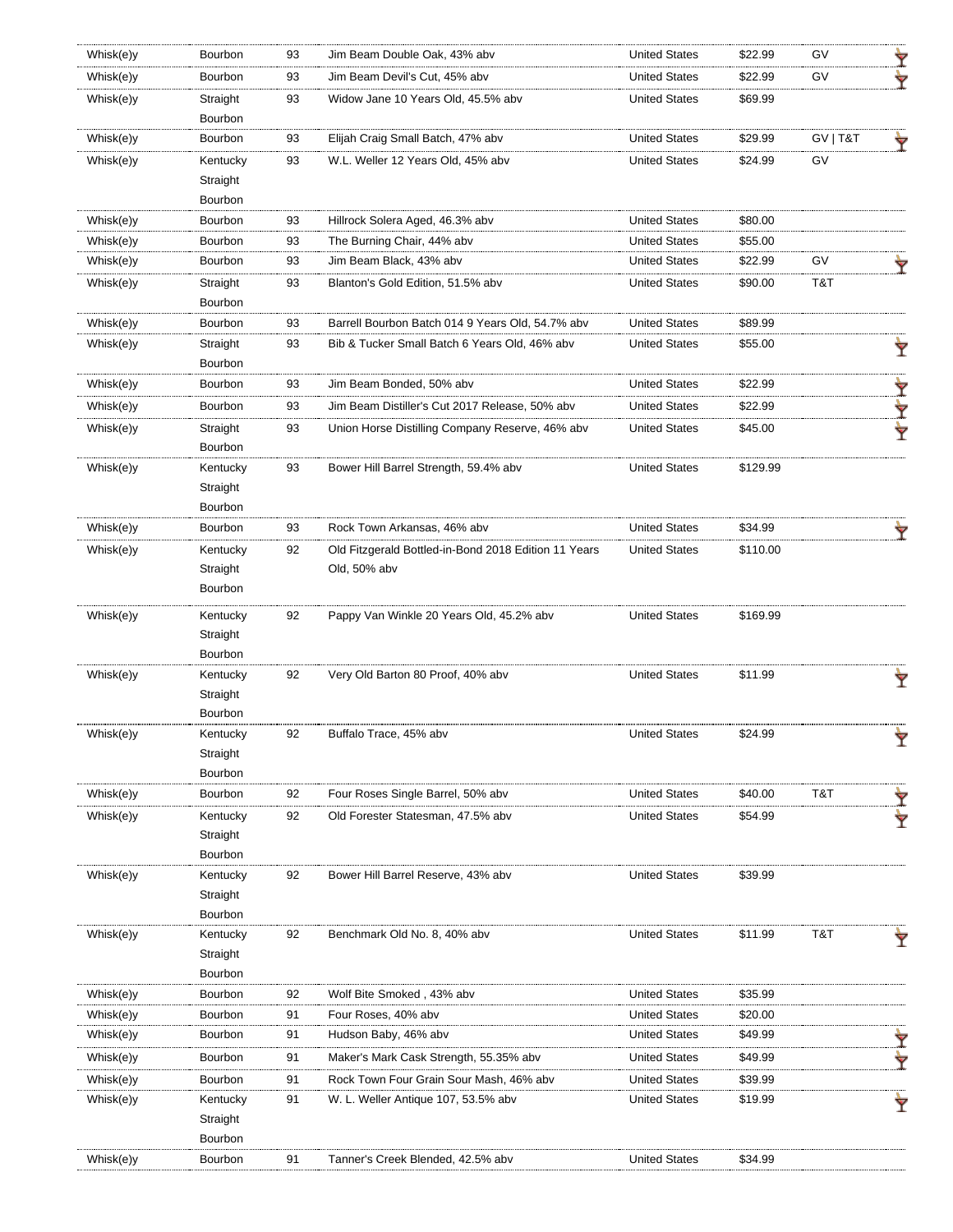| Whisk(e)y              | Bourbon             | 93 | Jim Beam Double Oak, 43% abv                         | <b>United States</b> | \$22.99            | GV       | Ÿ |
|------------------------|---------------------|----|------------------------------------------------------|----------------------|--------------------|----------|---|
| Whisk(e)y              | Bourbon             | 93 | Jim Beam Devil's Cut, 45% abv                        | <b>United States</b> | \$22.99            | GV       |   |
| Whisk(e)y              | Straight            | 93 | Widow Jane 10 Years Old, 45.5% abv                   | <b>United States</b> | \$69.99            |          |   |
|                        | Bourbon             |    |                                                      |                      |                    |          |   |
| Whisk(e)y              | Bourbon             | 93 | Elijah Craig Small Batch, 47% abv                    | <b>United States</b> | \$29.99            | GV   T&T | Ÿ |
| Whisk(e)y              | Kentucky            | 93 | W.L. Weller 12 Years Old, 45% abv                    | <b>United States</b> | \$24.99            | GV       |   |
|                        | Straight            |    |                                                      |                      |                    |          |   |
|                        | Bourbon             |    |                                                      |                      |                    |          |   |
| Whisk(e)y              | Bourbon             | 93 | Hillrock Solera Aged, 46.3% abv                      | <b>United States</b> | \$80.00            |          |   |
| Whisk(e)y              | <b>Bourbon</b>      | 93 | The Burning Chair, 44% abv                           | <b>United States</b> | \$55.00            |          |   |
| Whisk(e)y              | Bourbon             | 93 | Jim Beam Black, 43% abv                              | <b>United States</b> | \$22.99            | GV       | Ÿ |
| Whisk(e)y              | Straight            | 93 | Blanton's Gold Edition, 51.5% abv                    | <b>United States</b> | \$90.00            | T&T      |   |
|                        | Bourbon             |    |                                                      |                      |                    |          |   |
| Whisk(e)y              | Bourbon             | 93 | Barrell Bourbon Batch 014 9 Years Old, 54.7% abv     | <b>United States</b> | \$89.99            |          |   |
| Whisk(e)y              | Straight            | 93 | Bib & Tucker Small Batch 6 Years Old, 46% abv        | <b>United States</b> | \$55.00            |          | Y |
|                        | Bourbon             |    |                                                      |                      |                    |          |   |
| Whisk(e)y              | Bourbon             | 93 | Jim Beam Bonded, 50% abv                             | <b>United States</b> | \$22.99            |          | Ÿ |
| Whisk(e)y              | Bourbon             | 93 | Jim Beam Distiller's Cut 2017 Release, 50% aby       | <b>United States</b> | \$22.99            |          | Y |
| Whisk(e)y              | Straight            | 93 | Union Horse Distilling Company Reserve, 46% abv      | <b>United States</b> | \$45.00            |          | Ŷ |
|                        | Bourbon             |    |                                                      |                      |                    |          |   |
| Whisk(e)y              | Kentucky            | 93 | Bower Hill Barrel Strength, 59.4% abv                | <b>United States</b> | \$129.99           |          |   |
|                        | Straight            |    |                                                      |                      |                    |          |   |
|                        | Bourbon             |    |                                                      |                      |                    |          |   |
| Whisk(e)y              | Bourbon             | 93 | Rock Town Arkansas, 46% abv                          | <b>United States</b> | \$34.99            |          |   |
| Whisk(e)y              | Kentucky            | 92 | Old Fitzgerald Bottled-in-Bond 2018 Edition 11 Years | <b>United States</b> | \$110.00           |          |   |
|                        | Straight            |    | Old, 50% abv                                         |                      |                    |          |   |
|                        | Bourbon             |    |                                                      |                      |                    |          |   |
| Whisk(e)y              | Kentucky            | 92 | Pappy Van Winkle 20 Years Old, 45.2% abv             | <b>United States</b> | \$169.99           |          |   |
|                        | Straight            |    |                                                      |                      |                    |          |   |
|                        | Bourbon             |    |                                                      |                      |                    |          |   |
| Whisk(e)y              | Kentucky            | 92 | Very Old Barton 80 Proof, 40% abv                    | <b>United States</b> | \$11.99            |          |   |
|                        | Straight            |    |                                                      |                      |                    |          |   |
|                        | Bourbon             |    |                                                      |                      |                    |          |   |
| Whisk(e)y              | Kentucky            | 92 | Buffalo Trace, 45% abv                               | <b>United States</b> | \$24.99            |          | Ŷ |
|                        | Straight            |    |                                                      |                      |                    |          |   |
|                        | Bourbon             |    |                                                      |                      |                    |          |   |
| Whisk(e)y              | Bourbon             | 92 | Four Roses Single Barrel, 50% abv                    | <b>United States</b> | \$40.00            | T&T      |   |
| Whisk(e)y              | Kentucky            | 92 | Old Forester Statesman, 47.5% abv                    | <b>United States</b> | \$54.99            |          |   |
|                        | Straight            |    |                                                      |                      |                    |          |   |
|                        | Bourbon             |    |                                                      |                      |                    |          |   |
| Whisk(e)y              | Kentucky            | 92 | Bower Hill Barrel Reserve, 43% abv                   | <b>United States</b> | \$39.99            |          |   |
|                        | Straight            |    |                                                      |                      |                    |          |   |
|                        | Bourbon             |    |                                                      |                      |                    |          |   |
| Whisk(e)y              | Kentucky            | 92 | Benchmark Old No. 8, 40% abv                         | <b>United States</b> | \$11.99            | T&T      |   |
|                        | Straight<br>Bourbon |    |                                                      |                      |                    |          |   |
| Whisk(e)y              | Bourbon             | 92 | Wolf Bite Smoked, 43% abv                            | <b>United States</b> | \$35.99            |          |   |
|                        | Bourbon             | 91 | Four Roses, 40% abv                                  | <b>United States</b> |                    |          |   |
| Whisk(e)y<br>Whisk(e)y | Bourbon             | 91 | Hudson Baby, 46% aby                                 | <b>United States</b> | \$20.00<br>\$49.99 |          |   |
|                        |                     |    |                                                      |                      |                    |          |   |
| Whisk(e)y              | Bourbon             | 91 | Maker's Mark Cask Strength, 55.35% abv               | <b>United States</b> | \$49.99            |          |   |
| Whisk(e)y              | Bourbon             | 91 | Rock Town Four Grain Sour Mash, 46% abv              | <b>United States</b> | \$39.99            |          |   |
| Whisk(e)y              | Kentucky            | 91 | W. L. Weller Antique 107, 53.5% abv                  | <b>United States</b> | \$19.99            |          |   |
|                        | Straight            |    |                                                      |                      |                    |          |   |
|                        | Bourbon             |    |                                                      |                      |                    |          |   |
| Whisk(e)y              | Bourbon             | 91 | Tanner's Creek Blended, 42.5% abv                    | <b>United States</b> | \$34.99            |          |   |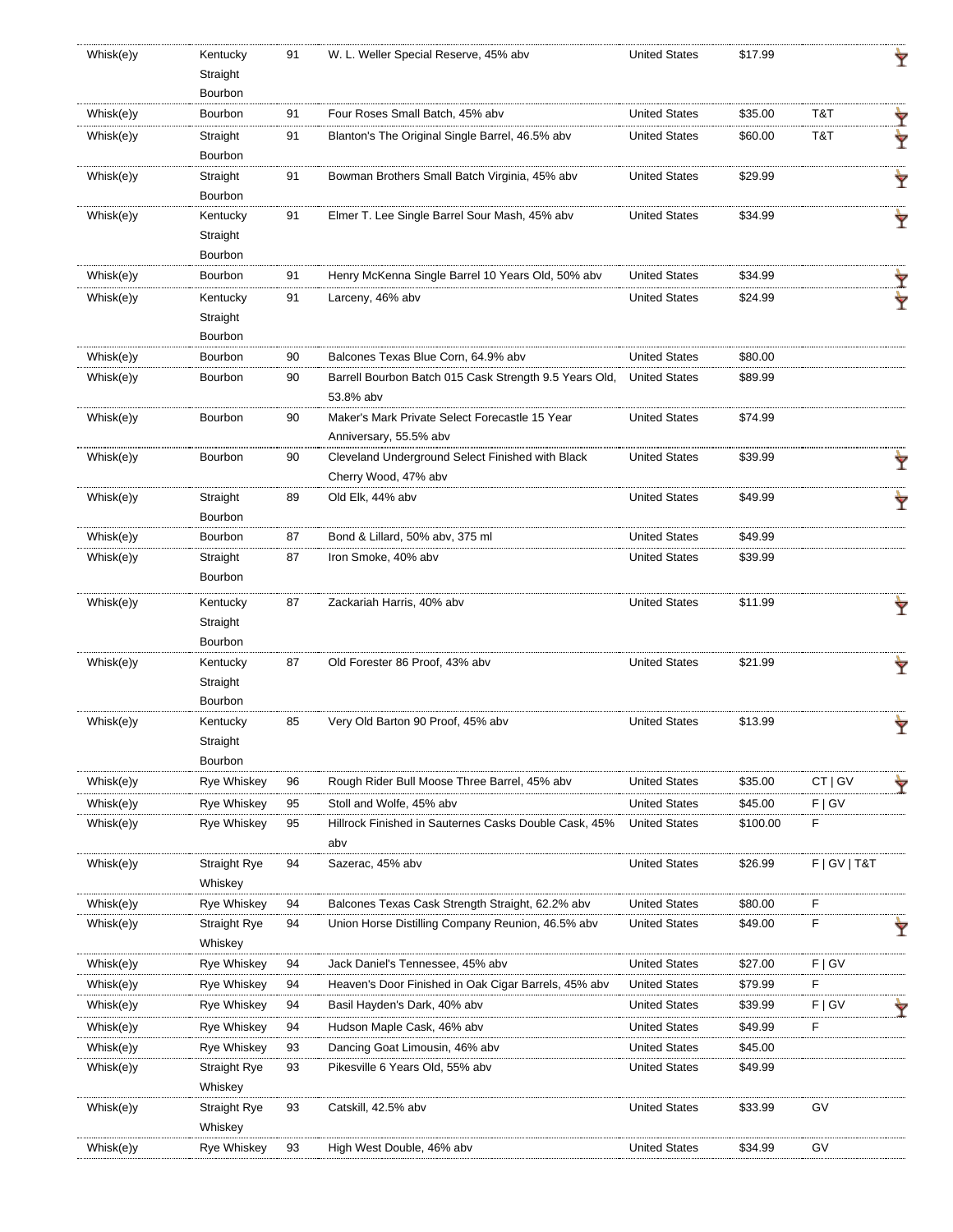| Whisk(e)y | Kentucky                       | 91 | W. L. Weller Special Reserve, 45% abv                                                    | <b>United States</b> | \$17.99  |              |   |
|-----------|--------------------------------|----|------------------------------------------------------------------------------------------|----------------------|----------|--------------|---|
|           | Straight                       |    |                                                                                          |                      |          |              |   |
|           | Bourbon                        |    |                                                                                          |                      |          |              |   |
| Whisk(e)y | Bourbon                        | 91 | Four Roses Small Batch, 45% abv                                                          | <b>United States</b> | \$35.00  | T&T          |   |
| Whisk(e)y | Straight<br>Bourbon            | 91 | Blanton's The Original Single Barrel, 46.5% abv                                          | <b>United States</b> | \$60.00  | T&T          |   |
| Whisk(e)y | Straight                       | 91 | Bowman Brothers Small Batch Virginia, 45% abv                                            | <b>United States</b> | \$29.99  |              |   |
|           | Bourbon                        |    |                                                                                          |                      |          |              | Ÿ |
| Whisk(e)y | Kentucky                       | 91 | Elmer T. Lee Single Barrel Sour Mash, 45% abv                                            | <b>United States</b> | \$34.99  |              |   |
|           | Straight                       |    |                                                                                          |                      |          |              |   |
|           | Bourbon                        |    |                                                                                          |                      |          |              |   |
| Whisk(e)y | Bourbon                        | 91 | Henry McKenna Single Barrel 10 Years Old, 50% abv                                        | <b>United States</b> | \$34.99  |              |   |
| Whisk(e)y | Kentucky                       | 91 | Larceny, 46% abv                                                                         | <b>United States</b> | \$24.99  |              |   |
|           | Straight                       |    |                                                                                          |                      |          |              |   |
|           | Bourbon                        |    |                                                                                          |                      |          |              |   |
| Whisk(e)y | Bourbon                        | 90 | Balcones Texas Blue Corn, 64.9% abv                                                      | <b>United States</b> | \$80.00  |              |   |
| Whisk(e)y | Bourbon                        | 90 | Barrell Bourbon Batch 015 Cask Strength 9.5 Years Old,                                   | <b>United States</b> | \$89.99  |              |   |
|           |                                |    | 53.8% abv                                                                                |                      |          |              |   |
| Whisk(e)y | Bourbon                        | 90 | Maker's Mark Private Select Forecastle 15 Year                                           | <b>United States</b> | \$74.99  |              |   |
|           |                                |    | Anniversary, 55.5% abv                                                                   |                      |          |              |   |
| Whisk(e)y | Bourbon                        | 90 | Cleveland Underground Select Finished with Black                                         | <b>United States</b> | \$39.99  |              |   |
|           |                                |    | Cherry Wood, 47% abv                                                                     |                      |          |              |   |
| Whisk(e)y | Straight                       | 89 | Old Elk, 44% abv                                                                         | <b>United States</b> | \$49.99  |              | Ÿ |
|           | Bourbon                        |    |                                                                                          |                      |          |              |   |
| Whisk(e)y | Bourbon                        | 87 | Bond & Lillard, 50% abv, 375 ml                                                          | <b>United States</b> | \$49.99  |              |   |
| Whisk(e)y | Straight                       | 87 | Iron Smoke, 40% abv                                                                      | <b>United States</b> | \$39.99  |              |   |
|           | Bourbon                        |    |                                                                                          |                      |          |              |   |
| Whisk(e)y | Kentucky                       | 87 | Zackariah Harris, 40% abv                                                                | <b>United States</b> | \$11.99  |              |   |
|           | Straight                       |    |                                                                                          |                      |          |              |   |
|           | Bourbon                        |    |                                                                                          |                      |          |              |   |
| Whisk(e)y | Kentucky                       | 87 | Old Forester 86 Proof, 43% abv                                                           | <b>United States</b> | \$21.99  |              |   |
|           | Straight                       |    |                                                                                          |                      |          |              |   |
|           | Bourbon                        |    |                                                                                          |                      |          |              |   |
| Whisk(e)y | Kentucky                       | 85 | Very Old Barton 90 Proof, 45% abv                                                        | <b>United States</b> | \$13.99  |              | Ÿ |
|           | Straight                       |    |                                                                                          |                      |          |              |   |
|           | Bourbon                        |    |                                                                                          |                      |          |              |   |
| Whisk(e)y | <b>Rye Whiskey</b>             | 96 | Rough Rider Bull Moose Three Barrel, 45% abv                                             | <b>United States</b> | \$35.00  | CT   GV      |   |
| Whisk(e)y | <b>Rye Whiskey</b>             | 95 | Stoll and Wolfe, 45% abv                                                                 | <b>United States</b> | \$45.00  | F   G V      |   |
| Whisk(e)y | Rye Whiskey                    | 95 | Hillrock Finished in Sauternes Casks Double Cask, 45%                                    | <b>United States</b> | \$100.00 | F            |   |
|           |                                |    | abv                                                                                      |                      |          |              |   |
| Whisk(e)y | Straight Rye                   | 94 | Sazerac, 45% abv                                                                         | <b>United States</b> | \$26.99  | F   GV   T&T |   |
|           | Whiskey                        |    |                                                                                          |                      |          |              |   |
| Whisk(e)y | Rye Whiskey                    | 94 | Balcones Texas Cask Strength Straight, 62.2% abv                                         | <b>United States</b> | \$80.00  | F            |   |
| Whisk(e)y | Straight Rye                   | 94 | Union Horse Distilling Company Reunion, 46.5% abv                                        | <b>United States</b> | \$49.00  | F            |   |
| Whisk(e)y | Whiskey<br>Rye Whiskey         | 94 |                                                                                          | <b>United States</b> | \$27.00  | F   G V      |   |
|           | Rye Whiskey                    | 94 | Jack Daniel's Tennessee, 45% abv<br>Heaven's Door Finished in Oak Cigar Barrels, 45% abv | <b>United States</b> | \$79.99  | F            |   |
| Whisk(e)y |                                |    |                                                                                          |                      |          |              |   |
| Whisk(e)y | Rye Whiskey                    | 94 | Basil Hayden's Dark, 40% abv                                                             | <b>United States</b> | \$39.99  | F   G V      |   |
| Whisk(e)y | <b>Rye Whiskey</b>             | 94 | Hudson Maple Cask, 46% abv                                                               | <b>United States</b> | \$49.99  | F            |   |
| Whisk(e)y | Rye Whiskey                    | 93 | Dancing Goat Limousin, 46% abv                                                           | <b>United States</b> | \$45.00  |              |   |
| Whisk(e)y | <b>Straight Rye</b>            | 93 | Pikesville 6 Years Old, 55% abv                                                          | <b>United States</b> | \$49.99  |              |   |
|           | Whiskey                        |    |                                                                                          |                      |          | GV           |   |
| Whisk(e)y | <b>Straight Rye</b><br>Whiskey | 93 | Catskill, 42.5% abv                                                                      | <b>United States</b> | \$33.99  |              |   |
| Whisk(e)y | Rye Whiskey                    | 93 | High West Double, 46% abv                                                                | <b>United States</b> | \$34.99  | GV           |   |
|           |                                |    |                                                                                          |                      |          |              |   |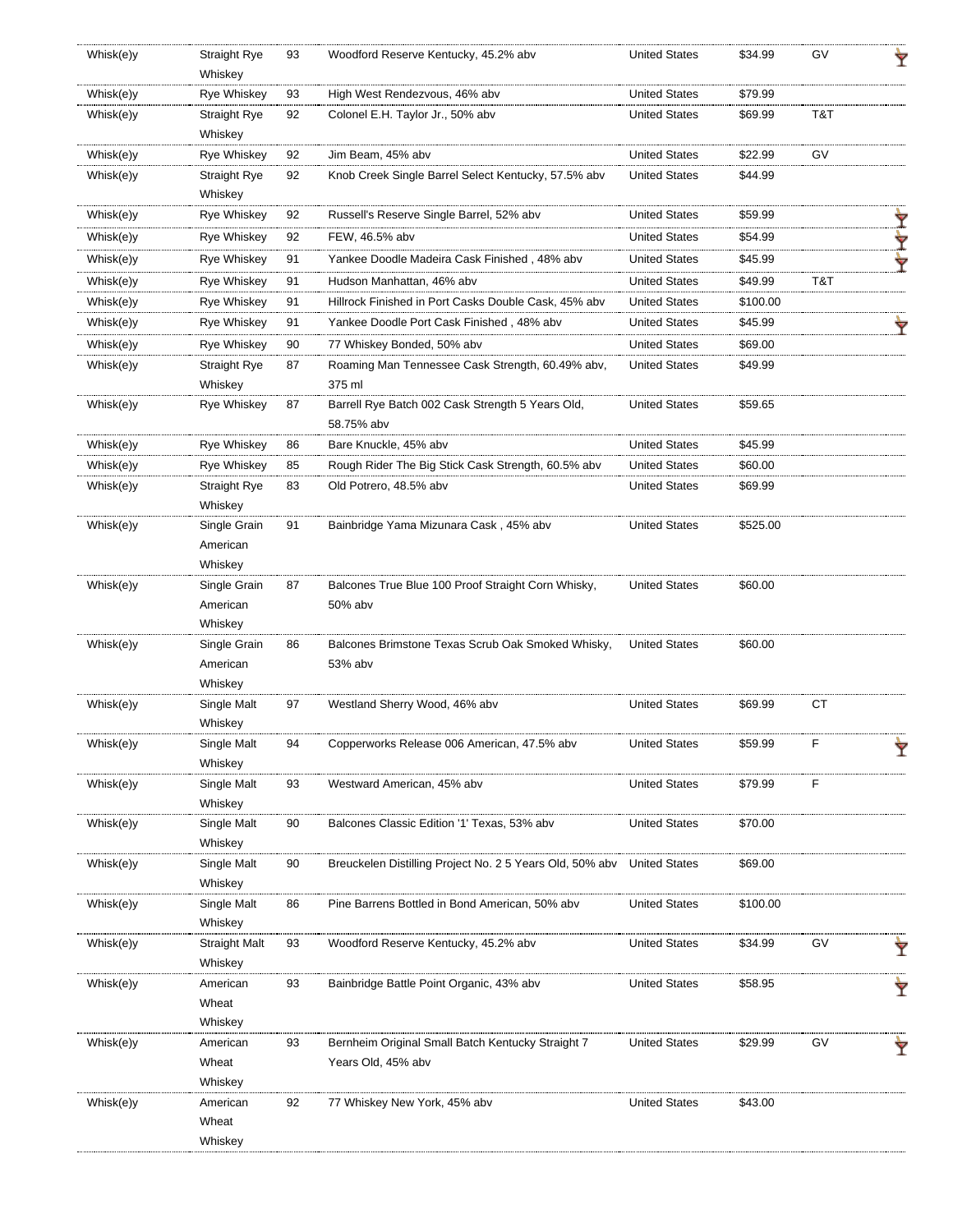| Whisk(e)y | <b>Straight Rye</b><br>Whiskey | 93 | Woodford Reserve Kentucky, 45.2% abv                     | <b>United States</b> | \$34.99  | GV        | Ÿ |
|-----------|--------------------------------|----|----------------------------------------------------------|----------------------|----------|-----------|---|
| Whisk(e)y | <b>Rye Whiskey</b>             | 93 | High West Rendezvous, 46% abv                            | <b>United States</b> | \$79.99  |           |   |
| Whisk(e)y | <b>Straight Rye</b>            | 92 | Colonel E.H. Taylor Jr., 50% abv                         | <b>United States</b> | \$69.99  | T&T       |   |
|           | Whiskey                        |    |                                                          |                      |          |           |   |
| Whisk(e)y | <b>Rye Whiskey</b>             | 92 | Jim Beam, 45% abv                                        | <b>United States</b> | \$22.99  | GV        |   |
| Whisk(e)y | <b>Straight Rye</b>            | 92 | Knob Creek Single Barrel Select Kentucky, 57.5% abv      | <b>United States</b> | \$44.99  |           |   |
|           | Whiskey                        |    |                                                          |                      |          |           |   |
| Whisk(e)y | <b>Rye Whiskey</b>             | 92 | Russell's Reserve Single Barrel, 52% abv                 | <b>United States</b> | \$59.99  |           | Ÿ |
| Whisk(e)y | <b>Rye Whiskey</b>             | 92 | FEW, 46.5% abv                                           | <b>United States</b> | \$54.99  |           | ₩ |
| Whisk(e)y | Rye Whiskey                    | 91 | Yankee Doodle Madeira Cask Finished , 48% abv            | <b>United States</b> | \$45.99  |           | Ÿ |
| Whisk(e)y | <b>Rye Whiskey</b>             | 91 | Hudson Manhattan, 46% abv                                | <b>United States</b> | \$49.99  | T&T       |   |
| Whisk(e)y | <b>Rye Whiskey</b>             | 91 | Hillrock Finished in Port Casks Double Cask, 45% abv     | <b>United States</b> | \$100.00 |           |   |
| Whisk(e)y | <b>Rye Whiskey</b>             | 91 | Yankee Doodle Port Cask Finished, 48% abv                | <b>United States</b> | \$45.99  |           |   |
| Whisk(e)y | Rye Whiskey                    | 90 | 77 Whiskey Bonded, 50% abv                               | <b>United States</b> | \$69.00  |           |   |
| Whisk(e)y | <b>Straight Rye</b>            | 87 | Roaming Man Tennessee Cask Strength, 60.49% abv,         | <b>United States</b> | \$49.99  |           |   |
|           | Whiskey                        |    | 375 ml                                                   |                      |          |           |   |
| Whisk(e)y | Rye Whiskey                    | 87 | Barrell Rye Batch 002 Cask Strength 5 Years Old,         | <b>United States</b> | \$59.65  |           |   |
|           |                                |    | 58.75% abv                                               |                      |          |           |   |
| Whisk(e)y | Rye Whiskey                    | 86 | Bare Knuckle, 45% abv                                    | <b>United States</b> | \$45.99  |           |   |
| Whisk(e)y | Rye Whiskey                    | 85 | Rough Rider The Big Stick Cask Strength, 60.5% abv       | <b>United States</b> | \$60.00  |           |   |
| Whisk(e)y | <b>Straight Rye</b>            | 83 | Old Potrero, 48.5% abv                                   | <b>United States</b> | \$69.99  |           |   |
|           | Whiskey                        |    |                                                          |                      |          |           |   |
| Whisk(e)y | Single Grain                   | 91 | Bainbridge Yama Mizunara Cask, 45% abv                   | <b>United States</b> | \$525.00 |           |   |
|           | American                       |    |                                                          |                      |          |           |   |
|           | Whiskey                        |    |                                                          |                      |          |           |   |
| Whisk(e)y | Single Grain                   | 87 | Balcones True Blue 100 Proof Straight Corn Whisky,       | <b>United States</b> | \$60.00  |           |   |
|           | American                       |    | 50% abv                                                  |                      |          |           |   |
|           | Whiskey                        |    |                                                          |                      |          |           |   |
| Whisk(e)y | Single Grain                   | 86 | Balcones Brimstone Texas Scrub Oak Smoked Whisky,        | <b>United States</b> | \$60.00  |           |   |
|           | American                       |    | 53% abv                                                  |                      |          |           |   |
|           | Whiskey                        |    |                                                          |                      |          |           |   |
| Whisk(e)y | Single Malt                    | 97 | Westland Sherry Wood, 46% abv                            | <b>United States</b> | \$69.99  | <b>CT</b> |   |
|           | Whiskey                        |    |                                                          |                      |          |           |   |
| Whisk(e)y | Single Malt<br>Whiskey         |    | Copperworks Release 006 American, 47.5% abv              | <b>United States</b> | \$59.99  |           |   |
| Whisk(e)y | Single Malt                    | 93 | Westward American, 45% abv                               | <b>United States</b> | \$79.99  | F         |   |
|           | Whiskey                        |    |                                                          |                      |          |           |   |
| Whisk(e)y | Single Malt                    | 90 | Balcones Classic Edition '1' Texas, 53% abv              | <b>United States</b> | \$70.00  |           |   |
|           | Whiskey                        |    |                                                          |                      |          |           |   |
| Whisk(e)y | Single Malt                    | 90 | Breuckelen Distilling Project No. 2 5 Years Old, 50% abv | <b>United States</b> | \$69.00  |           |   |
|           | Whiskey                        |    |                                                          |                      |          |           |   |
| Whisk(e)y | Single Malt                    | 86 | Pine Barrens Bottled in Bond American, 50% abv           | <b>United States</b> | \$100.00 |           |   |
|           | Whiskey                        |    |                                                          |                      |          |           |   |
| Whisk(e)y | Straight Malt                  | 93 | Woodford Reserve Kentucky, 45.2% abv                     | <b>United States</b> | \$34.99  | GV        | Ÿ |
|           | Whiskey                        |    |                                                          |                      |          |           |   |
| Whisk(e)y | American                       | 93 | Bainbridge Battle Point Organic, 43% abv                 | <b>United States</b> | \$58.95  |           |   |
|           | Wheat                          |    |                                                          |                      |          |           |   |
|           | Whiskey                        |    |                                                          |                      |          |           |   |
| Whisk(e)y | American                       | 93 | Bernheim Original Small Batch Kentucky Straight 7        | <b>United States</b> | \$29.99  | GV        | Ÿ |
|           | Wheat                          |    | Years Old, 45% abv                                       |                      |          |           |   |
|           | Whiskey                        |    |                                                          |                      |          |           |   |
| Whisk(e)y | American                       | 92 | 77 Whiskey New York, 45% abv                             | <b>United States</b> | \$43.00  |           |   |
|           | Wheat                          |    |                                                          |                      |          |           |   |
|           | Whiskey                        |    |                                                          |                      |          |           |   |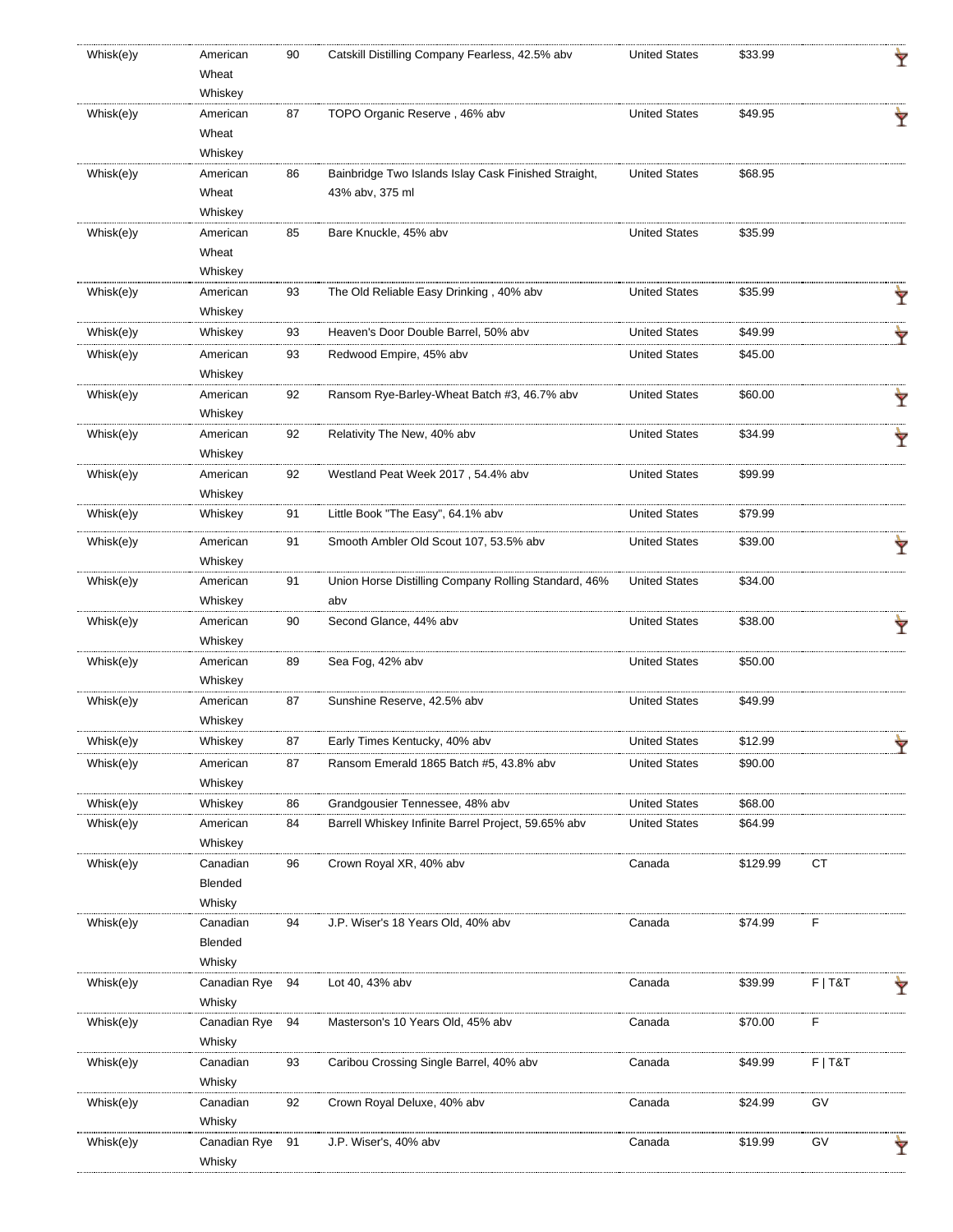| Whisk(e)y | American<br>Wheat | 90 | Catskill Distilling Company Fearless, 42.5% abv      | <b>United States</b> | \$33.99  |           | Ÿ |
|-----------|-------------------|----|------------------------------------------------------|----------------------|----------|-----------|---|
|           | Whiskey           |    |                                                      |                      |          |           |   |
| Whisk(e)y | American          | 87 | TOPO Organic Reserve, 46% abv                        | <b>United States</b> | \$49.95  |           |   |
|           | Wheat             |    |                                                      |                      |          |           |   |
|           | Whiskey           |    |                                                      |                      |          |           |   |
| Whisk(e)y | American          | 86 | Bainbridge Two Islands Islay Cask Finished Straight, | <b>United States</b> | \$68.95  |           |   |
|           | Wheat             |    | 43% abv, 375 ml                                      |                      |          |           |   |
|           | Whiskey           |    |                                                      |                      |          |           |   |
| Whisk(e)y | American          | 85 | Bare Knuckle, 45% abv                                | <b>United States</b> | \$35.99  |           |   |
|           | Wheat             |    |                                                      |                      |          |           |   |
|           | Whiskey           |    |                                                      |                      |          |           |   |
| Whisk(e)y | American          | 93 | The Old Reliable Easy Drinking, 40% abv              | <b>United States</b> | \$35.99  |           | Ÿ |
|           | Whiskey           |    |                                                      |                      |          |           |   |
| Whisk(e)y | Whiskey           | 93 | Heaven's Door Double Barrel, 50% abv                 | <b>United States</b> | \$49.99  |           | Ÿ |
| Whisk(e)y | American          | 93 | Redwood Empire, 45% abv                              | <b>United States</b> | \$45.00  |           |   |
|           | Whiskey           |    |                                                      |                      |          |           |   |
| Whisk(e)y | American          | 92 | Ransom Rye-Barley-Wheat Batch #3, 46.7% abv          | <b>United States</b> | \$60.00  |           | Y |
|           | Whiskey           |    |                                                      |                      |          |           |   |
| Whisk(e)y | American          | 92 | Relativity The New, 40% abv                          | <b>United States</b> | \$34.99  |           |   |
|           | Whiskey           |    |                                                      |                      |          |           | Ÿ |
| Whisk(e)y | American          | 92 | Westland Peat Week 2017, 54.4% abv                   | <b>United States</b> | \$99.99  |           |   |
|           | Whiskey           |    |                                                      |                      |          |           |   |
| Whisk(e)y | Whiskey           | 91 | Little Book "The Easy", 64.1% abv                    | <b>United States</b> | \$79.99  |           |   |
|           |                   |    |                                                      |                      |          |           |   |
| Whisk(e)y | American          | 91 | Smooth Ambler Old Scout 107, 53.5% abv               | <b>United States</b> | \$39.00  |           | Ŷ |
|           | Whiskey           |    |                                                      |                      |          |           |   |
| Whisk(e)y | American          | 91 | Union Horse Distilling Company Rolling Standard, 46% | <b>United States</b> | \$34.00  |           |   |
|           | Whiskey           |    | abv                                                  |                      |          |           |   |
| Whisk(e)y | American          | 90 | Second Glance, 44% abv                               | <b>United States</b> | \$38.00  |           |   |
|           | Whiskey           |    |                                                      |                      |          |           |   |
| Whisk(e)y | American          | 89 | Sea Fog, 42% abv                                     | <b>United States</b> | \$50.00  |           |   |
|           | Whiskey           |    |                                                      |                      |          |           |   |
| Whisk(e)y | American          | 87 | Sunshine Reserve, 42.5% abv                          | <b>United States</b> | \$49.99  |           |   |
|           | Whiskey           |    |                                                      |                      |          |           |   |
| Whisk(e)y | Whiskey           | 87 | Early Times Kentucky, 40% abv                        | <b>United States</b> | \$12.99  |           |   |
| Whisk(e)y | American          | 87 | Ransom Emerald 1865 Batch #5, 43.8% abv              | <b>United States</b> | \$90.00  |           |   |
|           | Whiskey           |    |                                                      |                      |          |           |   |
| Whisk(e)y | Whiskey           | 86 | Grandgousier Tennessee, 48% abv                      | <b>United States</b> | \$68.00  |           |   |
| Whisk(e)y | American          | 84 | Barrell Whiskey Infinite Barrel Project, 59.65% abv  | <b>United States</b> | \$64.99  |           |   |
|           | Whiskey           |    |                                                      |                      |          |           |   |
| Whisk(e)y | Canadian          | 96 | Crown Royal XR, 40% abv                              | Canada               | \$129.99 | CT        |   |
|           | Blended           |    |                                                      |                      |          |           |   |
|           | Whisky            |    |                                                      |                      |          |           |   |
| Whisk(e)y | Canadian          | 94 | J.P. Wiser's 18 Years Old, 40% abv                   | Canada               | \$74.99  | F         |   |
|           | Blended           |    |                                                      |                      |          |           |   |
|           | Whisky            |    |                                                      |                      |          |           |   |
| Whisk(e)y | Canadian Rye      | 94 | Lot 40, 43% abv                                      | Canada               | \$39.99  | $F$   T&T |   |
|           | Whisky            |    |                                                      |                      |          |           | Y |
| Whisk(e)y | Canadian Rye      |    | Masterson's 10 Years Old, 45% abv                    |                      | \$70.00  | F         |   |
|           | Whisky            | 94 |                                                      | Canada               |          |           |   |
|           |                   |    |                                                      |                      |          |           |   |
| Whisk(e)y | Canadian          | 93 | Caribou Crossing Single Barrel, 40% abv              | Canada               | \$49.99  | $F$   T&T |   |
|           | Whisky            |    |                                                      |                      |          |           |   |
| Whisk(e)y | Canadian          | 92 | Crown Royal Deluxe, 40% abv                          | Canada               | \$24.99  | GV        |   |
|           | Whisky            |    |                                                      |                      |          |           |   |
| Whisk(e)y | Canadian Rye      | 91 | J.P. Wiser's, 40% abv                                | Canada               | \$19.99  | GV        | Ÿ |
|           | Whisky            |    |                                                      |                      |          |           |   |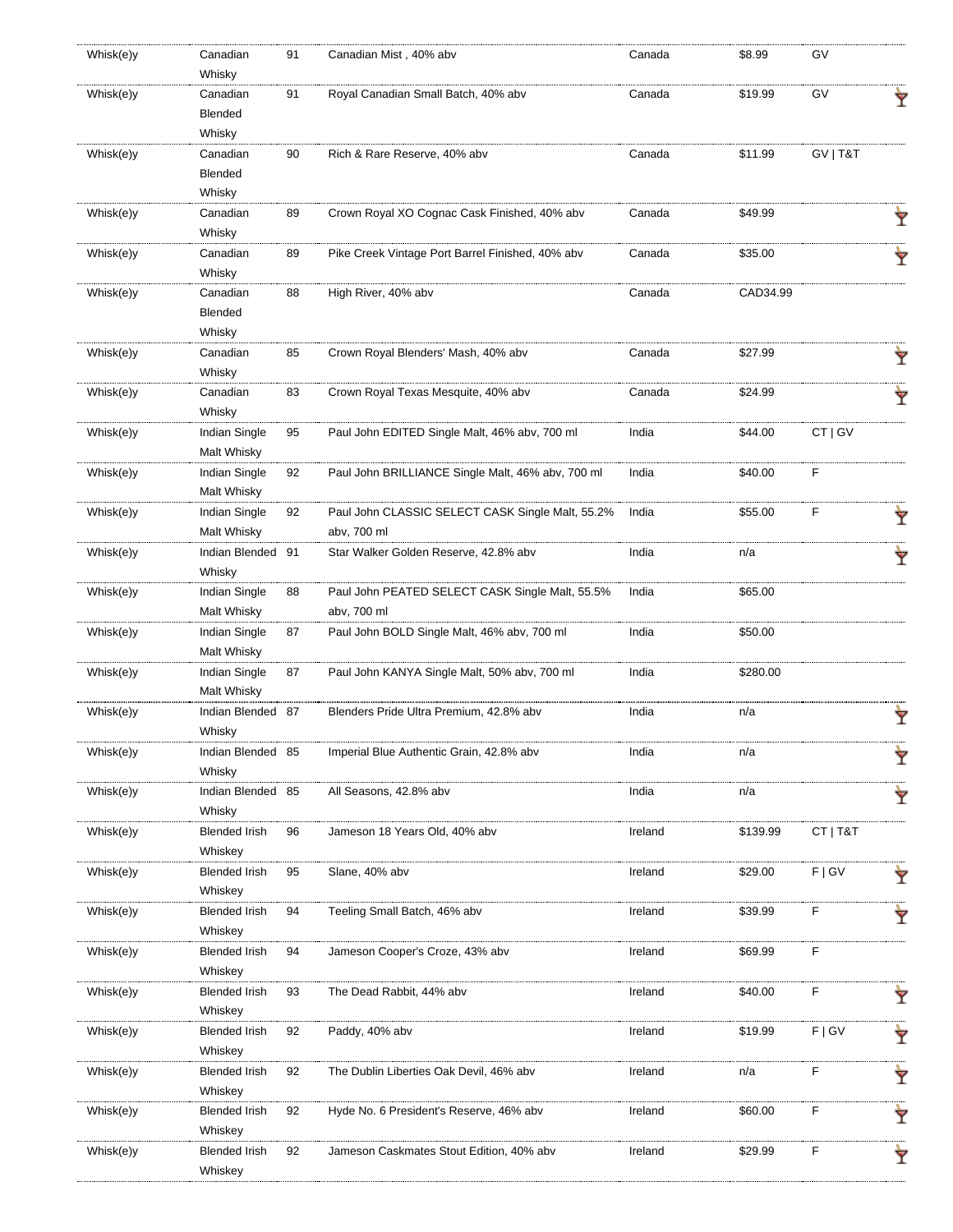| Whisk(e)y | Canadian             | 91 | Canadian Mist, 40% abv                            | Canada  | \$8.99   | G٧       |   |
|-----------|----------------------|----|---------------------------------------------------|---------|----------|----------|---|
|           | Whisky               |    |                                                   |         |          |          |   |
| Whisk(e)y | Canadian             | 91 | Royal Canadian Small Batch, 40% abv               | Canada  | \$19.99  | GV       | Ÿ |
|           | Blended              |    |                                                   |         |          |          |   |
|           | Whisky               |    |                                                   |         |          |          |   |
| Whisk(e)y | Canadian             | 90 | Rich & Rare Reserve, 40% abv                      | Canada  | \$11.99  | GV   T&T |   |
|           | Blended              |    |                                                   |         |          |          |   |
|           | Whisky               |    |                                                   |         |          |          |   |
| Whisk(e)y | Canadian             | 89 | Crown Royal XO Cognac Cask Finished, 40% abv      | Canada  | \$49.99  |          |   |
|           | Whisky               |    |                                                   |         |          |          | Ÿ |
| Whisk(e)y | Canadian             |    |                                                   |         |          |          |   |
|           |                      | 89 | Pike Creek Vintage Port Barrel Finished, 40% abv  | Canada  | \$35.00  |          | Ŷ |
|           | Whisky               |    |                                                   |         |          |          |   |
| Whisk(e)y | Canadian             | 88 | High River, 40% abv                               | Canada  | CAD34.99 |          |   |
|           | Blended              |    |                                                   |         |          |          |   |
|           | Whisky               |    |                                                   |         |          |          |   |
| Whisk(e)y | Canadian             | 85 | Crown Royal Blenders' Mash, 40% abv               | Canada  | \$27.99  |          | Ŷ |
|           | Whisky               |    |                                                   |         |          |          |   |
| Whisk(e)y | Canadian             | 83 | Crown Royal Texas Mesquite, 40% abv               | Canada  | \$24.99  |          | Ŷ |
|           | Whisky               |    |                                                   |         |          |          |   |
| Whisk(e)y | Indian Single        | 95 | Paul John EDITED Single Malt, 46% abv, 700 ml     | India   | \$44.00  | CT   GV  |   |
|           | Malt Whisky          |    |                                                   |         |          |          |   |
| Whisk(e)y | Indian Single        | 92 | Paul John BRILLIANCE Single Malt, 46% abv, 700 ml | India   | \$40.00  | F        |   |
|           |                      |    |                                                   |         |          |          |   |
|           | Malt Whisky          |    |                                                   |         |          |          |   |
| Whisk(e)y | Indian Single        | 92 | Paul John CLASSIC SELECT CASK Single Malt, 55.2%  | India   | \$55.00  | F        |   |
|           | Malt Whisky          |    | abv, 700 ml                                       |         |          |          |   |
| Whisk(e)y | Indian Blended 91    |    | Star Walker Golden Reserve, 42.8% abv             | India   | n/a      |          | Ŷ |
|           | Whisky               |    |                                                   |         |          |          |   |
| Whisk(e)y | Indian Single        | 88 | Paul John PEATED SELECT CASK Single Malt, 55.5%   | India   | \$65.00  |          |   |
|           | Malt Whisky          |    | abv, 700 ml                                       |         |          |          |   |
| Whisk(e)y | Indian Single        | 87 | Paul John BOLD Single Malt, 46% abv, 700 ml       | India   | \$50.00  |          |   |
|           | Malt Whisky          |    |                                                   |         |          |          |   |
| Whisk(e)y | Indian Single        | 87 | Paul John KANYA Single Malt, 50% abv, 700 ml      | India   | \$280.00 |          |   |
|           | Malt Whisky          |    |                                                   |         |          |          |   |
| Whisk(e)y | Indian Blended 87    |    | Blenders Pride Ultra Premium, 42.8% abv           | India   | n/a      |          |   |
|           |                      |    |                                                   |         |          |          | Y |
|           | Whisky               |    |                                                   |         |          |          |   |
| Whisk(e)y | Indian Blended 85    |    | Imperial Blue Authentic Grain, 42.8% abv          | India   | n/a      |          | Ÿ |
|           | Whisky               |    |                                                   |         |          |          |   |
| Whisk(e)y | Indian Blended       | 85 | All Seasons, 42.8% abv                            | India   | n/a      |          | Ŷ |
|           | Whisky               |    |                                                   |         |          |          |   |
| Whisk(e)y | <b>Blended Irish</b> | 96 | Jameson 18 Years Old, 40% abv                     | Ireland | \$139.99 | CT   T&T |   |
|           | Whiskey              |    |                                                   |         |          |          |   |
| Whisk(e)y | <b>Blended Irish</b> | 95 | Slane, 40% abv                                    | Ireland | \$29.00  | F   G V  | Ÿ |
|           | Whiskey              |    |                                                   |         |          |          |   |
| Whisk(e)y | <b>Blended Irish</b> | 94 | Teeling Small Batch, 46% abv                      | Ireland | \$39.99  | F        |   |
|           | Whiskey              |    |                                                   |         |          |          | Ŷ |
| Whisk(e)y | <b>Blended Irish</b> | 94 | Jameson Cooper's Croze, 43% abv                   | Ireland | \$69.99  | F        |   |
|           |                      |    |                                                   |         |          |          |   |
|           | Whiskey              |    |                                                   |         |          |          |   |
| Whisk(e)y | <b>Blended Irish</b> | 93 | The Dead Rabbit, 44% abv                          | Ireland | \$40.00  | F        | Y |
|           | Whiskey              |    |                                                   |         |          |          |   |
| Whisk(e)y | <b>Blended Irish</b> | 92 | Paddy, 40% abv                                    | Ireland | \$19.99  | F   G V  | Ÿ |
|           | Whiskey              |    |                                                   |         |          |          |   |
| Whisk(e)y | <b>Blended Irish</b> | 92 | The Dublin Liberties Oak Devil, 46% abv           | Ireland | n/a      | F        | Y |
|           | Whiskey              |    |                                                   |         |          |          |   |
| Whisk(e)y | <b>Blended Irish</b> | 92 | Hyde No. 6 President's Reserve, 46% abv           | Ireland | \$60.00  | F        | Y |
|           | Whiskey              |    |                                                   |         |          |          |   |
| Whisk(e)y | <b>Blended Irish</b> | 92 | Jameson Caskmates Stout Edition, 40% abv          | Ireland | \$29.99  | F        |   |
|           | Whiskey              |    |                                                   |         |          |          | Ÿ |
|           |                      |    |                                                   |         |          |          |   |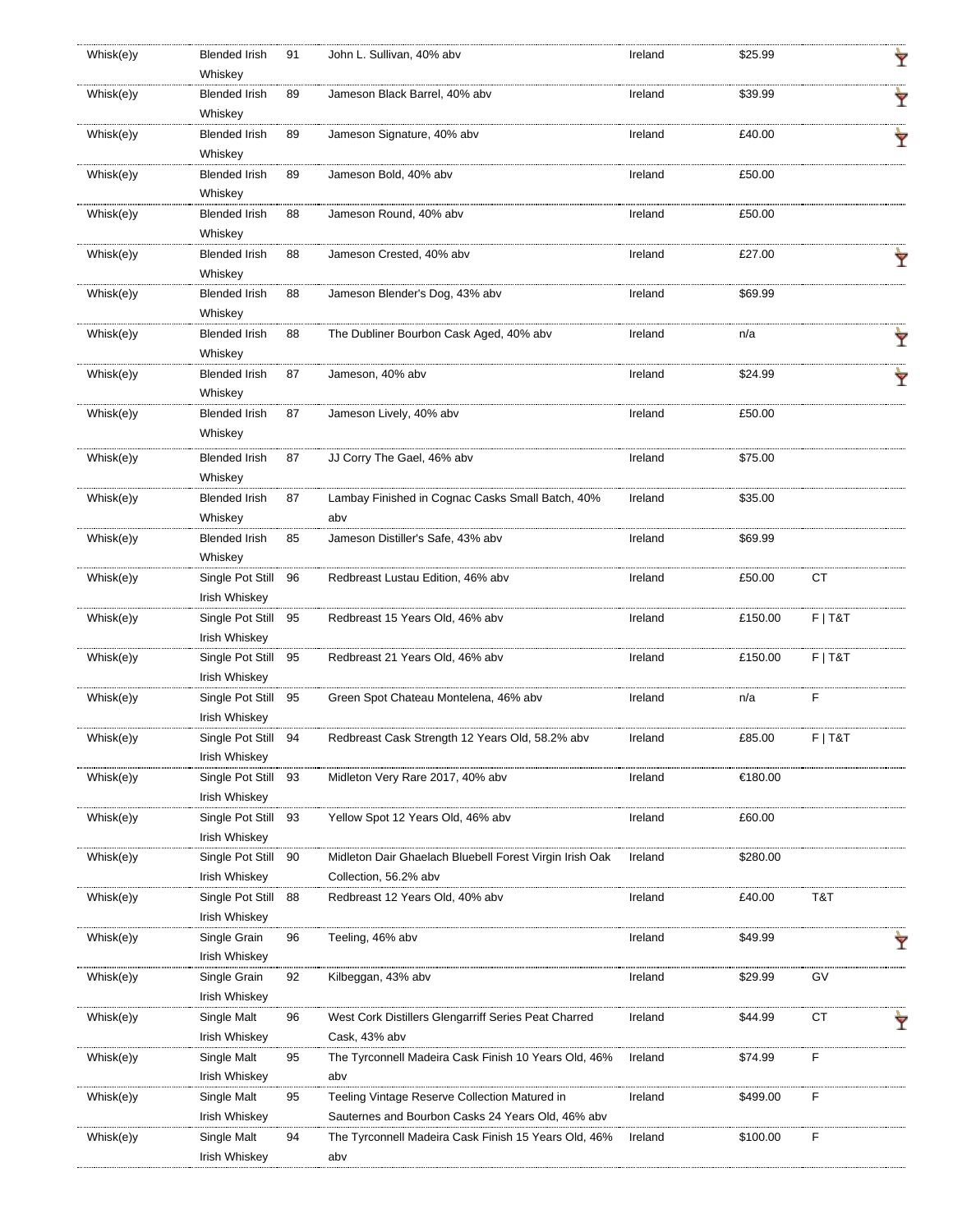| Whisk(e)y | <b>Blended Irish</b><br>Whiskey | 91 | John L. Sullivan, 40% abv                               | Ireland | \$25.99  |           | Ÿ |
|-----------|---------------------------------|----|---------------------------------------------------------|---------|----------|-----------|---|
| Whisk(e)y | <b>Blended Irish</b>            | 89 | Jameson Black Barrel, 40% abv                           | Ireland | \$39.99  |           |   |
|           | Whiskey                         |    |                                                         |         |          |           | Ÿ |
| Whisk(e)y | <b>Blended Irish</b>            | 89 | Jameson Signature, 40% abv                              | Ireland | £40.00   |           |   |
|           | Whiskey                         |    |                                                         |         |          |           |   |
| Whisk(e)y | <b>Blended Irish</b>            | 89 | Jameson Bold, 40% abv                                   | Ireland | £50.00   |           |   |
|           | Whiskey                         |    |                                                         |         |          |           |   |
| Whisk(e)y | <b>Blended Irish</b>            | 88 | Jameson Round, 40% abv                                  | Ireland | £50.00   |           |   |
|           | Whiskey                         |    |                                                         |         |          |           |   |
| Whisk(e)y | <b>Blended Irish</b>            | 88 | Jameson Crested, 40% abv                                | Ireland | £27.00   |           |   |
|           | Whiskey                         |    |                                                         |         |          |           |   |
| Whisk(e)y | <b>Blended Irish</b>            | 88 | Jameson Blender's Dog, 43% abv                          | Ireland | \$69.99  |           |   |
|           | Whiskey                         |    |                                                         |         |          |           |   |
| Whisk(e)y | <b>Blended Irish</b>            | 88 | The Dubliner Bourbon Cask Aged, 40% abv                 | Ireland | n/a      |           |   |
|           | Whiskey                         |    |                                                         |         |          |           | Ÿ |
|           |                                 | 87 |                                                         |         |          |           |   |
| Whisk(e)y | <b>Blended Irish</b><br>Whiskey |    | Jameson, 40% abv                                        | Ireland | \$24.99  |           |   |
|           |                                 |    |                                                         |         |          |           |   |
| Whisk(e)y | <b>Blended Irish</b>            | 87 | Jameson Lively, 40% abv                                 | Ireland | £50.00   |           |   |
|           | Whiskey                         |    |                                                         |         |          |           |   |
| Whisk(e)y | <b>Blended Irish</b>            | 87 | JJ Corry The Gael, 46% abv                              | Ireland | \$75.00  |           |   |
|           | Whiskey                         |    |                                                         |         |          |           |   |
| Whisk(e)y | <b>Blended Irish</b>            | 87 | Lambay Finished in Cognac Casks Small Batch, 40%        | Ireland | \$35.00  |           |   |
|           | Whiskey                         |    | abv                                                     |         |          |           |   |
| Whisk(e)y | <b>Blended Irish</b>            | 85 | Jameson Distiller's Safe, 43% abv                       | Ireland | \$69.99  |           |   |
|           | Whiskey                         |    |                                                         |         |          |           |   |
| Whisk(e)y | Single Pot Still                | 96 | Redbreast Lustau Edition, 46% abv                       | Ireland | £50.00   | CT        |   |
|           | Irish Whiskey                   |    |                                                         |         |          |           |   |
| Whisk(e)y | Single Pot Still                | 95 | Redbreast 15 Years Old, 46% abv                         | Ireland | £150.00  | $F$   T&T |   |
|           | Irish Whiskey                   |    |                                                         |         |          |           |   |
| Whisk(e)y | Single Pot Still                | 95 | Redbreast 21 Years Old, 46% abv                         | Ireland | £150.00  | $F$   T&T |   |
|           | Irish Whiskey                   |    |                                                         |         |          |           |   |
| Whisk(e)y | Single Pot Still                | 95 | Green Spot Chateau Montelena, 46% abv                   | Ireland | n/a      | F         |   |
|           | Irish Whiskey                   |    |                                                         |         |          |           |   |
| Whisk(e)y | Single Pot Still                | 94 | Redbreast Cask Strength 12 Years Old, 58.2% abv         | Ireland | £85.00   | $F$   T&T |   |
|           | Irish Whiskey                   |    |                                                         |         |          |           |   |
| Whisk(e)y | Single Pot Still                | 93 | Midleton Very Rare 2017, 40% abv                        | Ireland | €180.00  |           |   |
|           | Irish Whiskey                   |    |                                                         |         |          |           |   |
| Whisk(e)y | Single Pot Still                | 93 | Yellow Spot 12 Years Old, 46% abv                       | Ireland | £60.00   |           |   |
|           | Irish Whiskey                   |    |                                                         |         |          |           |   |
| Whisk(e)y | Single Pot Still                | 90 | Midleton Dair Ghaelach Bluebell Forest Virgin Irish Oak | Ireland | \$280.00 |           |   |
|           | Irish Whiskey                   |    | Collection, 56.2% abv                                   |         |          |           |   |
| Whisk(e)y | Single Pot Still                | 88 | Redbreast 12 Years Old, 40% abv                         | Ireland | £40.00   | T&T       |   |
|           | Irish Whiskey                   |    |                                                         |         |          |           |   |
| Whisk(e)y | Single Grain                    | 96 | Teeling, 46% abv                                        | Ireland | \$49.99  |           |   |
|           | Irish Whiskey                   |    |                                                         |         |          |           |   |
| Whisk(e)y | Single Grain                    | 92 | Kilbeggan, 43% abv                                      | Ireland | \$29.99  | GV        |   |
|           | Irish Whiskey                   |    |                                                         |         |          |           |   |
| Whisk(e)y | Single Malt                     | 96 | West Cork Distillers Glengarriff Series Peat Charred    | Ireland | \$44.99  | CT        |   |
|           | Irish Whiskey                   |    | Cask, 43% abv                                           |         |          |           |   |
| Whisk(e)y | Single Malt                     | 95 | The Tyrconnell Madeira Cask Finish 10 Years Old, 46%    | Ireland | \$74.99  | F         |   |
|           | Irish Whiskey                   |    | abv                                                     |         |          |           |   |
| Whisk(e)y | Single Malt                     | 95 | Teeling Vintage Reserve Collection Matured in           | Ireland | \$499.00 | F         |   |
|           | Irish Whiskey                   |    | Sauternes and Bourbon Casks 24 Years Old, 46% abv       |         |          |           |   |
| Whisk(e)y | Single Malt                     | 94 | The Tyrconnell Madeira Cask Finish 15 Years Old, 46%    | Ireland | \$100.00 | F         |   |
|           | Irish Whiskey                   |    | abv                                                     |         |          |           |   |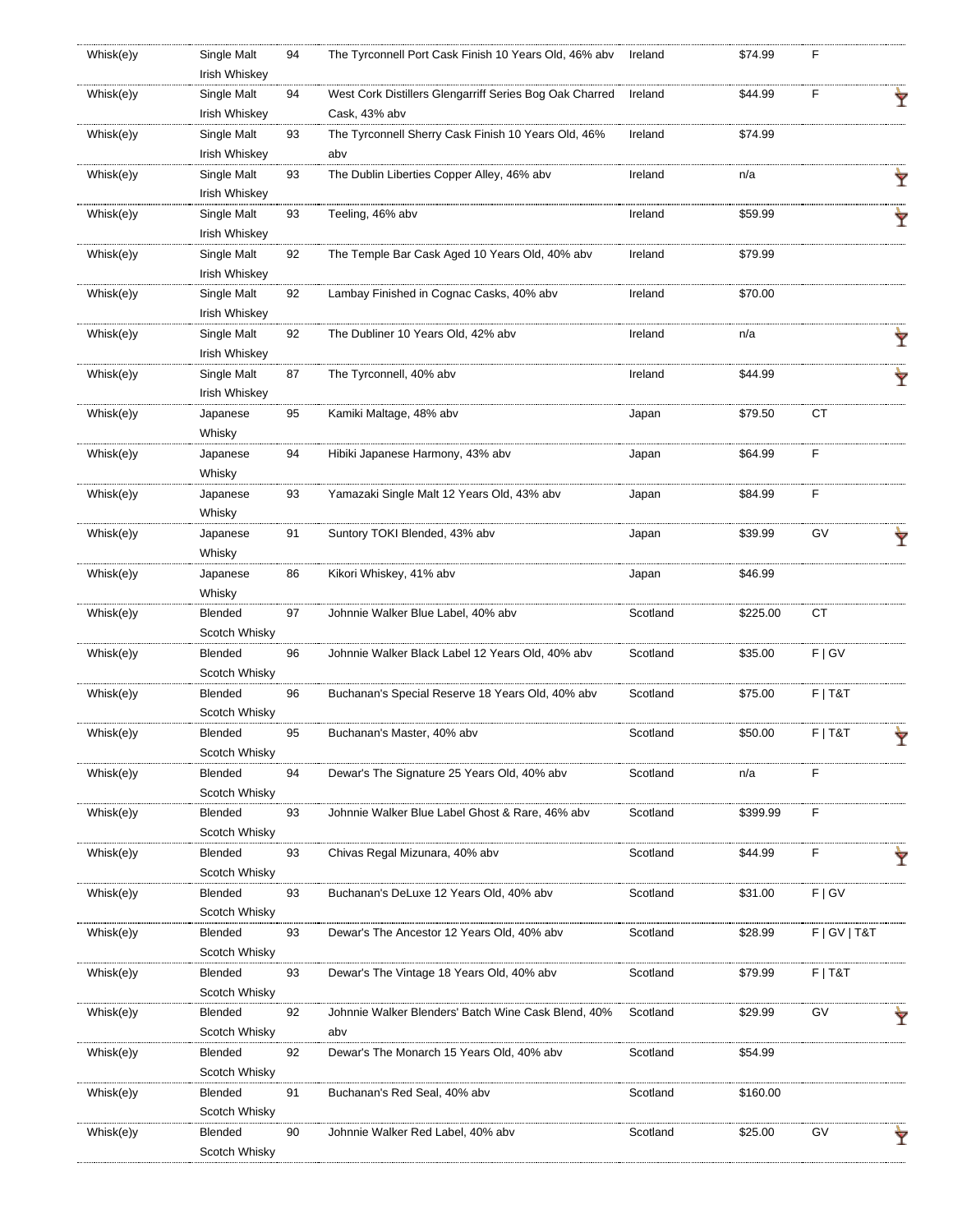| Whisk(e)y | Single Malt<br>Irish Whiskey | 94 | The Tyrconnell Port Cask Finish 10 Years Old, 46% abv   | Ireland  | \$74.99  | F               |   |
|-----------|------------------------------|----|---------------------------------------------------------|----------|----------|-----------------|---|
| Whisk(e)y | Single Malt                  | 94 | West Cork Distillers Glengarriff Series Bog Oak Charred | Ireland  | \$44.99  | F               |   |
|           | Irish Whiskey                |    | Cask, 43% abv                                           |          |          |                 | Ŷ |
| Whisk(e)y | Single Malt                  | 93 | The Tyrconnell Sherry Cask Finish 10 Years Old, 46%     | Ireland  | \$74.99  |                 |   |
|           | Irish Whiskey                |    | abv                                                     |          |          |                 |   |
| Whisk(e)y | Single Malt                  | 93 | The Dublin Liberties Copper Alley, 46% abv              | Ireland  | n/a      |                 | Ÿ |
|           | Irish Whiskey                |    |                                                         |          |          |                 |   |
| Whisk(e)y | Single Malt                  | 93 | Teeling, 46% abv                                        | Ireland  | \$59.99  |                 | Ÿ |
|           | Irish Whiskey                |    |                                                         |          |          |                 |   |
| Whisk(e)y | Single Malt                  | 92 | The Temple Bar Cask Aged 10 Years Old, 40% abv          | Ireland  | \$79.99  |                 |   |
|           | Irish Whiskey                |    |                                                         |          |          |                 |   |
| Whisk(e)y | Single Malt                  | 92 | Lambay Finished in Cognac Casks, 40% abv                | Ireland  | \$70.00  |                 |   |
|           | Irish Whiskey                |    |                                                         |          |          |                 |   |
| Whisk(e)y | Single Malt                  | 92 | The Dubliner 10 Years Old, 42% abv                      | Ireland  | n/a      |                 | Ÿ |
|           | Irish Whiskey                |    |                                                         |          |          |                 |   |
| Whisk(e)y | Single Malt                  | 87 | The Tyrconnell, 40% abv                                 | Ireland  | \$44.99  |                 | Ÿ |
|           | Irish Whiskey                |    |                                                         |          |          |                 |   |
| Whisk(e)y | Japanese                     | 95 | Kamiki Maltage, 48% abv                                 | Japan    | \$79.50  | <b>CT</b>       |   |
|           | Whisky                       |    |                                                         |          |          |                 |   |
| Whisk(e)y | Japanese                     | 94 | Hibiki Japanese Harmony, 43% abv                        | Japan    | \$64.99  | F               |   |
|           | Whisky                       |    |                                                         |          |          |                 |   |
| Whisk(e)y | Japanese                     | 93 | Yamazaki Single Malt 12 Years Old, 43% abv              | Japan    | \$84.99  | F               |   |
|           | Whisky                       |    |                                                         |          |          |                 |   |
| Whisk(e)y | Japanese                     | 91 | Suntory TOKI Blended, 43% abv                           | Japan    | \$39.99  | GV              |   |
|           | Whisky                       |    |                                                         |          |          |                 |   |
| Whisk(e)y | Japanese                     | 86 | Kikori Whiskey, 41% abv                                 | Japan    | \$46.99  |                 |   |
|           | Whisky                       |    |                                                         |          |          |                 |   |
| Whisk(e)y | Blended                      | 97 | Johnnie Walker Blue Label, 40% abv                      | Scotland | \$225.00 | CT              |   |
|           | Scotch Whisky                |    |                                                         |          |          |                 |   |
| Whisk(e)y | Blended                      | 96 | Johnnie Walker Black Label 12 Years Old, 40% abv        | Scotland | \$35.00  | F   G V         |   |
|           | Scotch Whisky                |    |                                                         |          |          |                 |   |
| Whisk(e)y | Blended                      | 96 | Buchanan's Special Reserve 18 Years Old, 40% abv        | Scotland | \$75.00  | $F$   T&T       |   |
|           | Scotch Whisky                |    |                                                         |          |          |                 |   |
| Whisk(e)y | Blended                      | 95 | Buchanan's Master, 40% abv                              | Scotland | \$50.00  | $F$   T&T       | Ÿ |
|           | Scotch Whisky                |    |                                                         |          |          |                 |   |
| Whisk(e)y | Blended                      | 94 | Dewar's The Signature 25 Years Old, 40% abv             | Scotland | n/a      | F               |   |
|           | Scotch Whisky                |    |                                                         |          |          |                 |   |
| Whisk(e)y | Blended                      | 93 | Johnnie Walker Blue Label Ghost & Rare, 46% abv         | Scotland | \$399.99 | F               |   |
|           | Scotch Whisky                |    |                                                         |          |          | F               |   |
| Whisk(e)y | Blended<br>Scotch Whisky     | 93 | Chivas Regal Mizunara, 40% abv                          | Scotland | \$44.99  |                 |   |
| Whisk(e)y | Blended                      | 93 | Buchanan's DeLuxe 12 Years Old, 40% abv                 | Scotland | \$31.00  | F   G V         |   |
|           | Scotch Whisky                |    |                                                         |          |          |                 |   |
| Whisk(e)y | Blended                      | 93 | Dewar's The Ancestor 12 Years Old, 40% abv              | Scotland | \$28.99  | F   G V   T & T |   |
|           | Scotch Whisky                |    |                                                         |          |          |                 |   |
| Whisk(e)y | Blended                      | 93 | Dewar's The Vintage 18 Years Old, 40% abv               | Scotland | \$79.99  | $F$   T&T       |   |
|           | Scotch Whisky                |    |                                                         |          |          |                 |   |
| Whisk(e)y | <b>Blended</b>               | 92 | Johnnie Walker Blenders' Batch Wine Cask Blend, 40%     | Scotland | \$29.99  | GV              |   |
|           | Scotch Whisky                |    | abv                                                     |          |          |                 |   |
| Whisk(e)y | Blended                      | 92 | Dewar's The Monarch 15 Years Old, 40% abv               | Scotland | \$54.99  |                 |   |
|           | Scotch Whisky                |    |                                                         |          |          |                 |   |
| Whisk(e)y | Blended                      | 91 | Buchanan's Red Seal, 40% abv                            | Scotland | \$160.00 |                 |   |
|           | Scotch Whisky                |    |                                                         |          |          |                 |   |
| Whisk(e)y | <b>Blended</b>               | 90 | Johnnie Walker Red Label, 40% abv                       | Scotland | \$25.00  | GV              |   |
|           | Scotch Whisky                |    |                                                         |          |          |                 |   |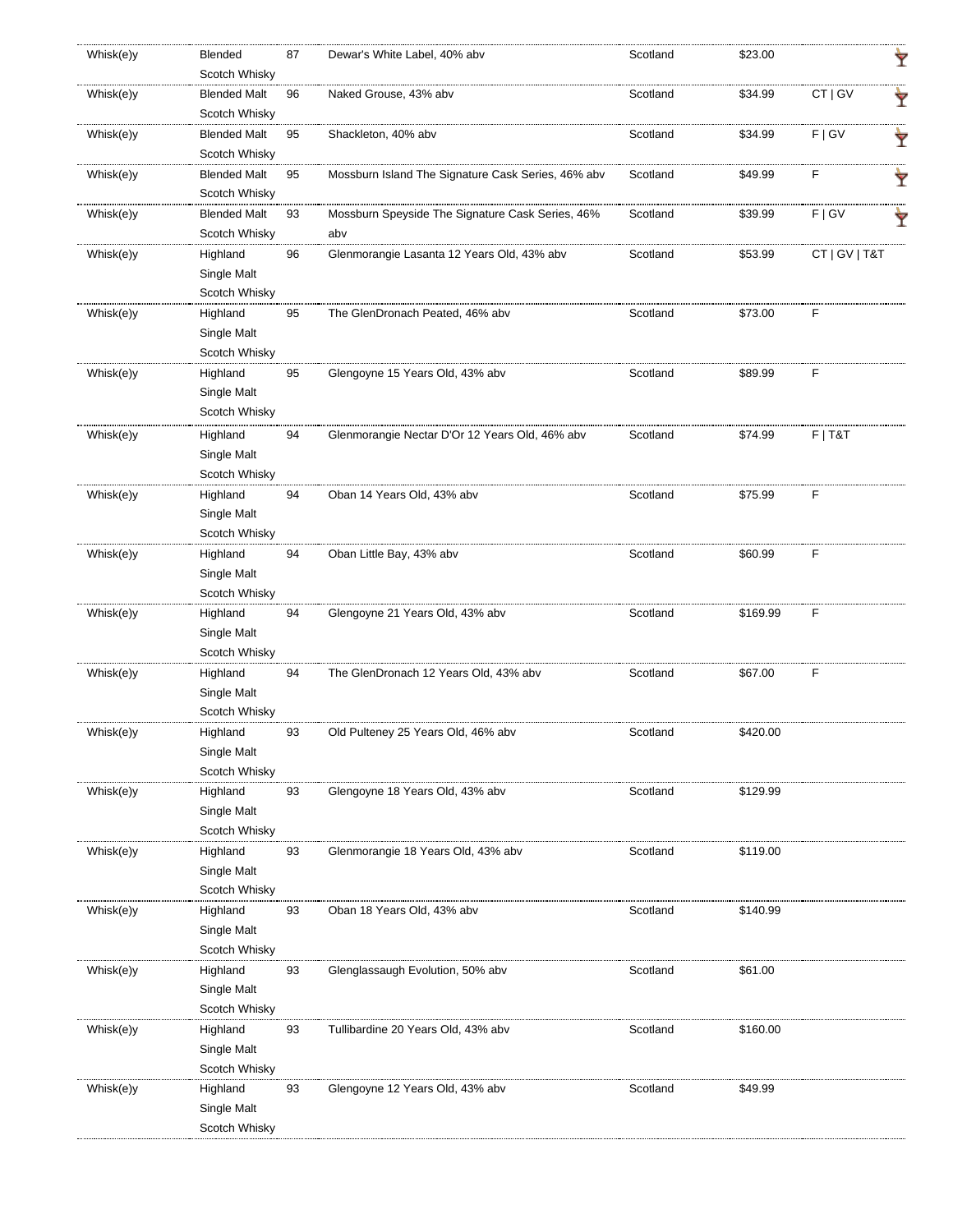| Whisk(e)y | Blended<br>Scotch Whisky             | 87 | Dewar's White Label, 40% abv                       | Scotland | \$23.00  |               | Ÿ |
|-----------|--------------------------------------|----|----------------------------------------------------|----------|----------|---------------|---|
|           |                                      |    |                                                    |          |          |               |   |
| Whisk(e)y | <b>Blended Malt</b><br>Scotch Whisky | 96 | Naked Grouse, 43% abv                              | Scotland | \$34.99  | CT   GV       | Ý |
| Whisk(e)y | <b>Blended Malt</b>                  | 95 | Shackleton, 40% abv                                | Scotland | \$34.99  | F   G V       |   |
|           | Scotch Whisky                        |    |                                                    |          |          |               | Ÿ |
|           |                                      |    | Mossburn Island The Signature Cask Series, 46% abv |          |          |               |   |
| Whisk(e)y | <b>Blended Malt</b>                  | 95 |                                                    | Scotland | \$49.99  | F             | Y |
|           | Scotch Whisky                        |    |                                                    |          |          |               |   |
| Whisk(e)y | <b>Blended Malt</b>                  | 93 | Mossburn Speyside The Signature Cask Series, 46%   | Scotland | \$39.99  | F   G V       |   |
|           | Scotch Whisky                        |    | abv                                                |          |          |               |   |
| Whisk(e)y | Highland                             | 96 | Glenmorangie Lasanta 12 Years Old, 43% abv         | Scotland | \$53.99  | CT   GV   T&T |   |
|           | Single Malt                          |    |                                                    |          |          |               |   |
|           | Scotch Whisky                        |    |                                                    |          |          |               |   |
| Whisk(e)y | Highland                             | 95 | The GlenDronach Peated, 46% abv                    | Scotland | \$73.00  | F             |   |
|           | Single Malt                          |    |                                                    |          |          |               |   |
|           | Scotch Whisky                        |    |                                                    |          |          |               |   |
| Whisk(e)y | Highland                             | 95 | Glengoyne 15 Years Old, 43% abv                    | Scotland | \$89.99  | F             |   |
|           | Single Malt                          |    |                                                    |          |          |               |   |
|           | Scotch Whisky                        |    |                                                    |          |          |               |   |
| Whisk(e)y | Highland                             | 94 | Glenmorangie Nectar D'Or 12 Years Old, 46% abv     | Scotland | \$74.99  | $F$   T&T     |   |
|           | Single Malt                          |    |                                                    |          |          |               |   |
|           | Scotch Whisky                        |    |                                                    |          |          |               |   |
| Whisk(e)y | Highland                             | 94 | Oban 14 Years Old, 43% abv                         | Scotland | \$75.99  | F             |   |
|           | Single Malt                          |    |                                                    |          |          |               |   |
|           | Scotch Whisky                        |    |                                                    |          |          |               |   |
| Whisk(e)y | Highland                             | 94 | Oban Little Bay, 43% abv                           | Scotland | \$60.99  | F             |   |
|           | Single Malt                          |    |                                                    |          |          |               |   |
|           | Scotch Whisky                        |    |                                                    |          |          |               |   |
| Whisk(e)y | Highland                             | 94 | Glengoyne 21 Years Old, 43% abv                    | Scotland | \$169.99 | F             |   |
|           | Single Malt                          |    |                                                    |          |          |               |   |
|           | Scotch Whisky                        |    |                                                    |          |          |               |   |
| Whisk(e)y | Highland                             | 94 | The GlenDronach 12 Years Old, 43% abv              | Scotland | \$67.00  | F             |   |
|           | Single Malt                          |    |                                                    |          |          |               |   |
|           | Scotch Whisky                        |    |                                                    |          |          |               |   |
| Whisk(e)y | Highland                             | 93 | Old Pulteney 25 Years Old, 46% abv                 | Scotland | \$420.00 |               |   |
|           | Single Malt                          |    |                                                    |          |          |               |   |
|           | Scotch Whisky                        |    |                                                    |          |          |               |   |
| Whisk(e)y | Highland                             | 93 | Glengoyne 18 Years Old, 43% abv                    | Scotland | \$129.99 |               |   |
|           | Single Malt                          |    |                                                    |          |          |               |   |
|           | Scotch Whisky                        |    |                                                    |          |          |               |   |
| Whisk(e)y | Highland                             | 93 | Glenmorangie 18 Years Old, 43% abv                 | Scotland | \$119.00 |               |   |
|           | Single Malt                          |    |                                                    |          |          |               |   |
|           | Scotch Whisky                        |    |                                                    |          |          |               |   |
| Whisk(e)y | Highland                             | 93 | Oban 18 Years Old, 43% abv                         | Scotland | \$140.99 |               |   |
|           | Single Malt<br>Scotch Whisky         |    |                                                    |          |          |               |   |
|           |                                      |    |                                                    |          |          |               |   |
| Whisk(e)y | Highland                             | 93 | Glenglassaugh Evolution, 50% abv                   | Scotland | \$61.00  |               |   |
|           | Single Malt<br>Scotch Whisky         |    |                                                    |          |          |               |   |
|           |                                      |    |                                                    |          |          |               |   |
| Whisk(e)y | Highland<br>Single Malt              | 93 | Tullibardine 20 Years Old, 43% abv                 | Scotland | \$160.00 |               |   |
|           | Scotch Whisky                        |    |                                                    |          |          |               |   |
|           |                                      |    |                                                    | Scotland |          |               |   |
| Whisk(e)y | Highland<br>Single Malt              | 93 | Glengoyne 12 Years Old, 43% abv                    |          | \$49.99  |               |   |
|           | Scotch Whisky                        |    |                                                    |          |          |               |   |
|           |                                      |    |                                                    |          |          |               |   |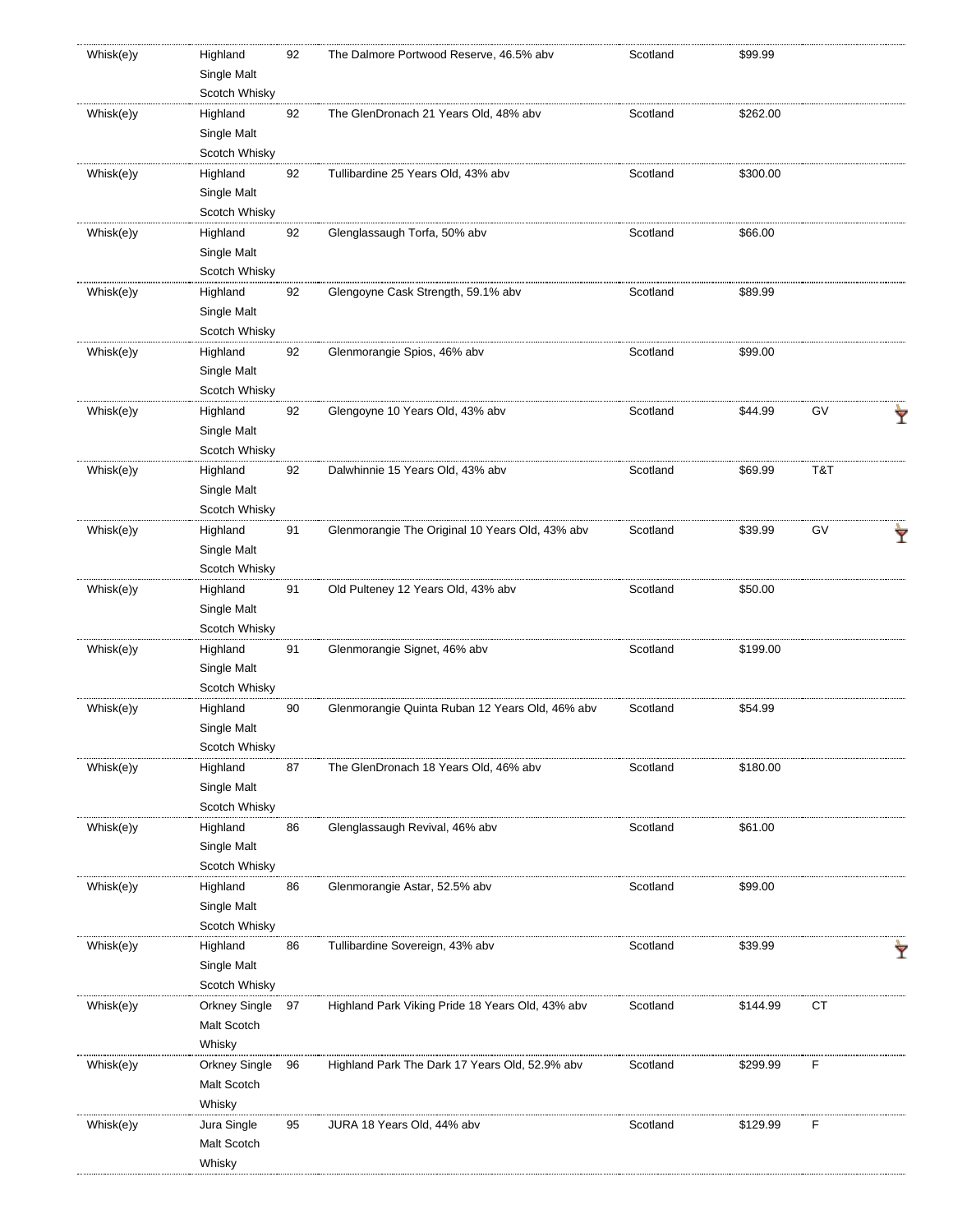| Whisk(e)y | Highland      | 92 | The Dalmore Portwood Reserve, 46.5% abv          | Scotland | \$99.99  |     |  |
|-----------|---------------|----|--------------------------------------------------|----------|----------|-----|--|
|           | Single Malt   |    |                                                  |          |          |     |  |
|           | Scotch Whisky |    |                                                  |          |          |     |  |
| Whisk(e)y | Highland      | 92 | The GlenDronach 21 Years Old, 48% abv            | Scotland | \$262.00 |     |  |
|           | Single Malt   |    |                                                  |          |          |     |  |
|           | Scotch Whisky |    |                                                  |          |          |     |  |
| Whisk(e)y | Highland      | 92 | Tullibardine 25 Years Old, 43% abv               | Scotland | \$300.00 |     |  |
|           | Single Malt   |    |                                                  |          |          |     |  |
|           | Scotch Whisky |    |                                                  |          |          |     |  |
| Whisk(e)y | Highland      | 92 | Glenglassaugh Torfa, 50% abv                     | Scotland | \$66.00  |     |  |
|           | Single Malt   |    |                                                  |          |          |     |  |
|           | Scotch Whisky |    |                                                  |          |          |     |  |
| Whisk(e)y | Highland      | 92 | Glengoyne Cask Strength, 59.1% abv               | Scotland | \$89.99  |     |  |
|           | Single Malt   |    |                                                  |          |          |     |  |
|           | Scotch Whisky |    |                                                  |          |          |     |  |
|           |               |    |                                                  |          |          |     |  |
| Whisk(e)y | Highland      | 92 | Glenmorangie Spios, 46% abv                      | Scotland | \$99.00  |     |  |
|           | Single Malt   |    |                                                  |          |          |     |  |
|           | Scotch Whisky |    |                                                  |          |          |     |  |
| Whisk(e)y | Highland      | 92 | Glengoyne 10 Years Old, 43% abv                  | Scotland | \$44.99  | GV  |  |
|           | Single Malt   |    |                                                  |          |          |     |  |
|           | Scotch Whisky |    |                                                  |          |          |     |  |
| Whisk(e)y | Highland      | 92 | Dalwhinnie 15 Years Old, 43% abv                 | Scotland | \$69.99  | T&T |  |
|           | Single Malt   |    |                                                  |          |          |     |  |
|           | Scotch Whisky |    |                                                  |          |          |     |  |
| Whisk(e)y | Highland      | 91 | Glenmorangie The Original 10 Years Old, 43% abv  | Scotland | \$39.99  | GV  |  |
|           | Single Malt   |    |                                                  |          |          |     |  |
|           | Scotch Whisky |    |                                                  |          |          |     |  |
| Whisk(e)y | Highland      | 91 | Old Pulteney 12 Years Old, 43% abv               | Scotland | \$50.00  |     |  |
|           | Single Malt   |    |                                                  |          |          |     |  |
|           | Scotch Whisky |    |                                                  |          |          |     |  |
| Whisk(e)y | Highland      | 91 | Glenmorangie Signet, 46% abv                     | Scotland | \$199.00 |     |  |
|           | Single Malt   |    |                                                  |          |          |     |  |
|           | Scotch Whisky |    |                                                  |          |          |     |  |
| Whisk(e)y | Highland      | 90 | Glenmorangie Quinta Ruban 12 Years Old, 46% abv  | Scotland | \$54.99  |     |  |
|           |               |    |                                                  |          |          |     |  |
|           | Single Malt   |    |                                                  |          |          |     |  |
|           | Scotch Whisky |    |                                                  |          |          |     |  |
| Whisk(e)y | Highland      | 87 | The GlenDronach 18 Years Old, 46% abv            | Scotland | \$180.00 |     |  |
|           | Single Malt   |    |                                                  |          |          |     |  |
|           | Scotch Whisky |    |                                                  |          |          |     |  |
| Whisk(e)y | Highland      | 86 | Glenglassaugh Revival, 46% abv                   | Scotland | \$61.00  |     |  |
|           | Single Malt   |    |                                                  |          |          |     |  |
|           | Scotch Whisky |    |                                                  |          |          |     |  |
| Whisk(e)y | Highland      | 86 | Glenmorangie Astar, 52.5% abv                    | Scotland | \$99.00  |     |  |
|           | Single Malt   |    |                                                  |          |          |     |  |
|           | Scotch Whisky |    |                                                  |          |          |     |  |
| Whisk(e)y | Highland      | 86 | Tullibardine Sovereign, 43% abv                  | Scotland | \$39.99  |     |  |
|           | Single Malt   |    |                                                  |          |          |     |  |
|           | Scotch Whisky |    |                                                  |          |          |     |  |
| Whisk(e)y | Orkney Single | 97 | Highland Park Viking Pride 18 Years Old, 43% abv | Scotland | \$144.99 | CT  |  |
|           | Malt Scotch   |    |                                                  |          |          |     |  |
|           | Whisky        |    |                                                  |          |          |     |  |
|           |               |    |                                                  |          |          | F   |  |
| Whisk(e)y | Orkney Single | 96 | Highland Park The Dark 17 Years Old, 52.9% abv   | Scotland | \$299.99 |     |  |
|           | Malt Scotch   |    |                                                  |          |          |     |  |
|           | Whisky        |    |                                                  |          |          |     |  |
| Whisk(e)y | Jura Single   | 95 | JURA 18 Years Old, 44% abv                       | Scotland | \$129.99 | F   |  |
|           | Malt Scotch   |    |                                                  |          |          |     |  |
|           | Whisky        |    |                                                  |          |          |     |  |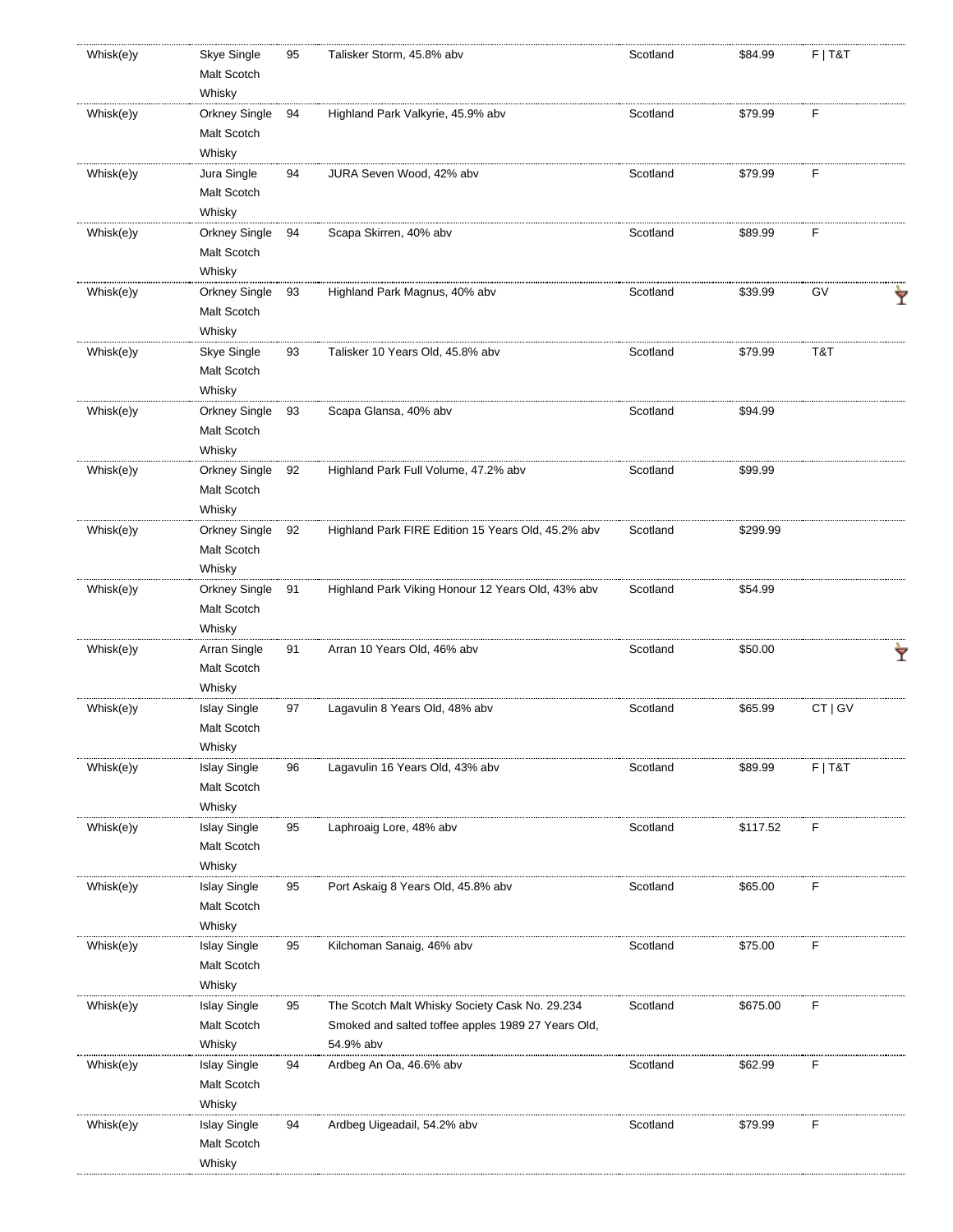| Whisk(e)y | Skye Single         | 95 | Talisker Storm, 45.8% abv                          | Scotland | \$84.99  | $F$   T&T |   |
|-----------|---------------------|----|----------------------------------------------------|----------|----------|-----------|---|
|           | Malt Scotch         |    |                                                    |          |          |           |   |
|           | Whisky              |    |                                                    |          |          |           |   |
| Whisk(e)y | Orkney Single       | 94 | Highland Park Valkyrie, 45.9% abv                  | Scotland | \$79.99  | F         |   |
|           | Malt Scotch         |    |                                                    |          |          |           |   |
|           | Whisky              |    |                                                    |          |          |           |   |
| Whisk(e)y | Jura Single         | 94 | JURA Seven Wood, 42% abv                           | Scotland | \$79.99  | F         |   |
|           | Malt Scotch         |    |                                                    |          |          |           |   |
|           | Whisky              |    |                                                    |          |          |           |   |
| Whisk(e)y | Orkney Single       | 94 | Scapa Skirren, 40% abv                             | Scotland | \$89.99  | F         |   |
|           | Malt Scotch         |    |                                                    |          |          |           |   |
|           | Whisky              |    |                                                    |          |          |           |   |
| Whisk(e)y | Orkney Single       | 93 | Highland Park Magnus, 40% abv                      | Scotland | \$39.99  | GV        |   |
|           |                     |    |                                                    |          |          |           |   |
|           | Malt Scotch         |    |                                                    |          |          |           |   |
|           | Whisky              |    |                                                    |          |          |           |   |
| Whisk(e)y | Skye Single         | 93 | Talisker 10 Years Old, 45.8% abv                   | Scotland | \$79.99  | T&T       |   |
|           | Malt Scotch         |    |                                                    |          |          |           |   |
|           | Whisky              |    |                                                    |          |          |           |   |
| Whisk(e)y | Orkney Single       | 93 | Scapa Glansa, 40% abv                              | Scotland | \$94.99  |           |   |
|           | Malt Scotch         |    |                                                    |          |          |           |   |
|           | Whisky              |    |                                                    |          |          |           |   |
| Whisk(e)y | Orkney Single       | 92 | Highland Park Full Volume, 47.2% abv               | Scotland | \$99.99  |           |   |
|           | Malt Scotch         |    |                                                    |          |          |           |   |
|           | Whisky              |    |                                                    |          |          |           |   |
| Whisk(e)y | Orkney Single       | 92 | Highland Park FIRE Edition 15 Years Old, 45.2% abv | Scotland | \$299.99 |           |   |
|           | Malt Scotch         |    |                                                    |          |          |           |   |
|           | Whisky              |    |                                                    |          |          |           |   |
| Whisk(e)y | Orkney Single       | 91 | Highland Park Viking Honour 12 Years Old, 43% abv  | Scotland | \$54.99  |           |   |
|           | Malt Scotch         |    |                                                    |          |          |           |   |
|           | Whisky              |    |                                                    |          |          |           |   |
| Whisk(e)y | Arran Single        | 91 | Arran 10 Years Old, 46% abv                        | Scotland | \$50.00  |           |   |
|           |                     |    |                                                    |          |          |           | Y |
|           | Malt Scotch         |    |                                                    |          |          |           |   |
|           | Whisky              |    |                                                    |          |          |           |   |
| Whisk(e)y | <b>Islay Single</b> | 97 | Lagavulin 8 Years Old, 48% abv                     | Scotland | \$65.99  | CT   GV   |   |
|           | Malt Scotch         |    |                                                    |          |          |           |   |
|           | Whisky              |    |                                                    |          |          |           |   |
| Whisk(e)y | <b>Islay Single</b> | 96 | Lagavulin 16 Years Old, 43% abv                    | Scotland | \$89.99  | $F$   T&T |   |
|           | Malt Scotch         |    |                                                    |          |          |           |   |
|           | Whisky              |    |                                                    |          |          |           |   |
| Whisk(e)y | <b>Islay Single</b> | 95 | Laphroaig Lore, 48% abv                            | Scotland | \$117.52 | F         |   |
|           | Malt Scotch         |    |                                                    |          |          |           |   |
|           | Whisky              |    |                                                    |          |          |           |   |
| Whisk(e)y | <b>Islay Single</b> | 95 | Port Askaig 8 Years Old, 45.8% abv                 | Scotland | \$65.00  | F         |   |
|           | Malt Scotch         |    |                                                    |          |          |           |   |
|           | Whisky              |    |                                                    |          |          |           |   |
| Whisk(e)y | <b>Islay Single</b> | 95 | Kilchoman Sanaig, 46% abv                          | Scotland | \$75.00  | F         |   |
|           | Malt Scotch         |    |                                                    |          |          |           |   |
|           | Whisky              |    |                                                    |          |          |           |   |
| Whisk(e)y | <b>Islay Single</b> | 95 | The Scotch Malt Whisky Society Cask No. 29.234     | Scotland | \$675.00 | F         |   |
|           | Malt Scotch         |    | Smoked and salted toffee apples 1989 27 Years Old, |          |          |           |   |
|           |                     |    |                                                    |          |          |           |   |
|           | Whisky              |    | 54.9% abv                                          |          |          |           |   |
| Whisk(e)y | <b>Islay Single</b> | 94 | Ardbeg An Oa, 46.6% abv                            | Scotland | \$62.99  | F         |   |
|           | Malt Scotch         |    |                                                    |          |          |           |   |
|           |                     |    |                                                    |          |          |           |   |
|           | Whisky              |    |                                                    |          |          |           |   |
| Whisk(e)y | <b>Islay Single</b> | 94 | Ardbeg Uigeadail, 54.2% abv                        | Scotland | \$79.99  | F         |   |
|           | Malt Scotch         |    |                                                    |          |          |           |   |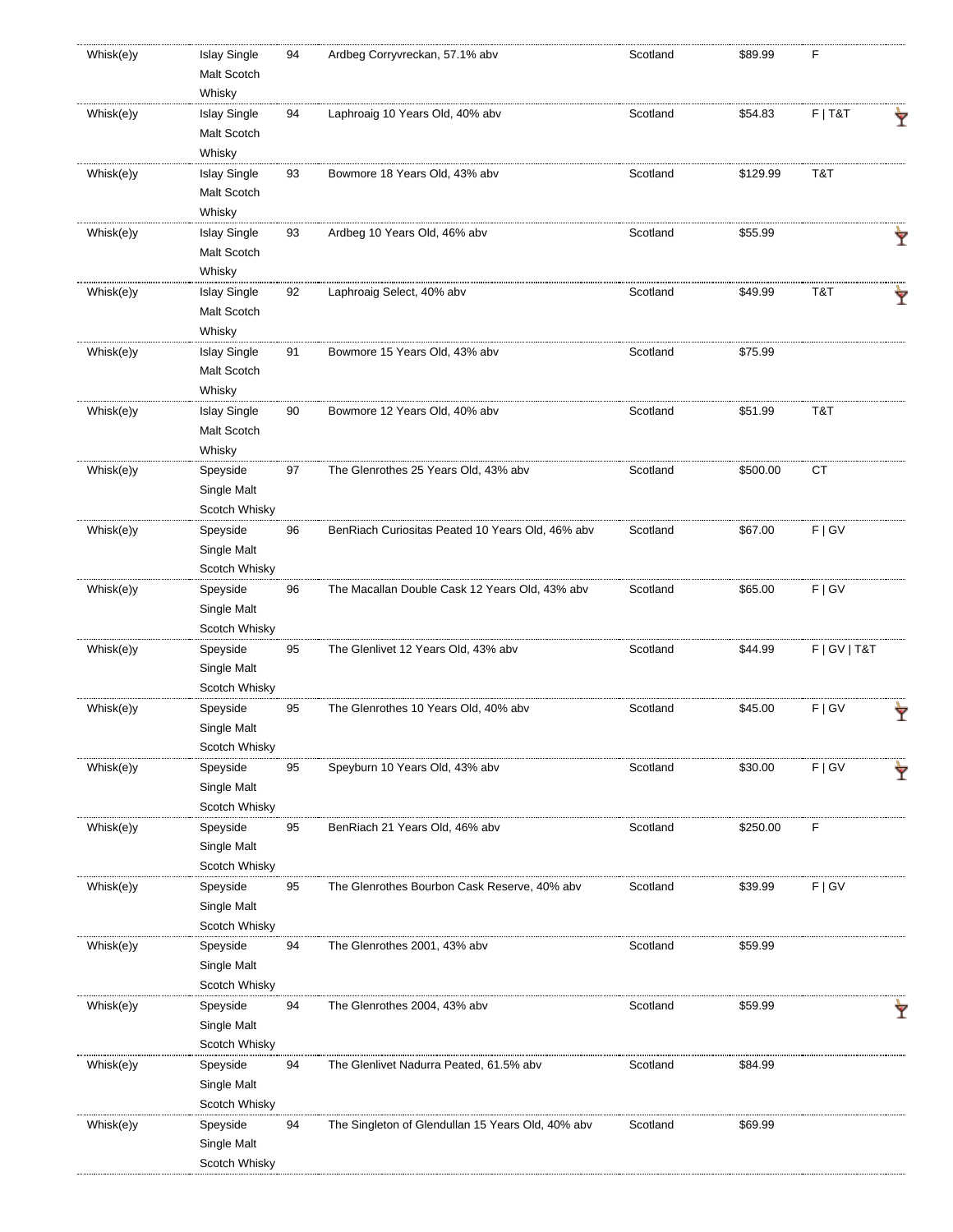| Whisk(e)y | <b>Islay Single</b>     | 94 | Ardbeg Corryvreckan, 57.1% abv                    | Scotland | \$89.99  | F               |   |
|-----------|-------------------------|----|---------------------------------------------------|----------|----------|-----------------|---|
|           | Malt Scotch             |    |                                                   |          |          |                 |   |
|           | Whisky                  |    |                                                   |          |          |                 |   |
| Whisk(e)y | <b>Islay Single</b>     | 94 | Laphroaig 10 Years Old, 40% abv                   | Scotland | \$54.83  | $F$   T&T       | Ÿ |
|           | Malt Scotch             |    |                                                   |          |          |                 |   |
|           | Whisky                  |    |                                                   |          |          |                 |   |
| Whisk(e)y | <b>Islay Single</b>     | 93 | Bowmore 18 Years Old, 43% abv                     | Scotland | \$129.99 | T&T             |   |
|           | Malt Scotch             |    |                                                   |          |          |                 |   |
|           | Whisky                  |    |                                                   |          |          |                 |   |
|           |                         |    |                                                   |          |          |                 |   |
| Whisk(e)y | <b>Islay Single</b>     | 93 | Ardbeg 10 Years Old, 46% abv                      | Scotland | \$55.99  |                 | Ÿ |
|           | Malt Scotch             |    |                                                   |          |          |                 |   |
|           | Whisky                  |    |                                                   |          |          |                 |   |
| Whisk(e)y | <b>Islay Single</b>     | 92 | Laphroaig Select, 40% abv                         | Scotland | \$49.99  | T&T             | Ŷ |
|           | Malt Scotch             |    |                                                   |          |          |                 |   |
|           | Whisky                  |    |                                                   |          |          |                 |   |
| Whisk(e)y | <b>Islay Single</b>     | 91 | Bowmore 15 Years Old, 43% abv                     | Scotland | \$75.99  |                 |   |
|           | Malt Scotch             |    |                                                   |          |          |                 |   |
|           | Whisky                  |    |                                                   |          |          |                 |   |
| Whisk(e)y | <b>Islay Single</b>     | 90 | Bowmore 12 Years Old, 40% abv                     | Scotland | \$51.99  | T&T             |   |
|           | Malt Scotch             |    |                                                   |          |          |                 |   |
|           | Whisky                  |    |                                                   |          |          |                 |   |
| Whisk(e)y | Speyside                | 97 | The Glenrothes 25 Years Old, 43% abv              | Scotland | \$500.00 | <b>CT</b>       |   |
|           | Single Malt             |    |                                                   |          |          |                 |   |
|           |                         |    |                                                   |          |          |                 |   |
|           | Scotch Whisky           |    |                                                   |          |          |                 |   |
| Whisk(e)y | Speyside                | 96 | BenRiach Curiositas Peated 10 Years Old, 46% abv  | Scotland | \$67.00  | F   G V         |   |
|           | Single Malt             |    |                                                   |          |          |                 |   |
|           | Scotch Whisky           |    |                                                   |          |          |                 |   |
| Whisk(e)y | Speyside                | 96 | The Macallan Double Cask 12 Years Old, 43% abv    | Scotland | \$65.00  | F   G V         |   |
|           | Single Malt             |    |                                                   |          |          |                 |   |
|           | Scotch Whisky           |    |                                                   |          |          |                 |   |
| Whisk(e)y | Speyside                | 95 | The Glenlivet 12 Years Old, 43% abv               | Scotland | \$44.99  | F   G V   T & T |   |
|           | Single Malt             |    |                                                   |          |          |                 |   |
|           | Scotch Whisky           |    |                                                   |          |          |                 |   |
| Whisk(e)y | Speyside                | 95 | The Glenrothes 10 Years Old, 40% abv              | Scotland | \$45.00  | F   G V         | Ÿ |
|           | Single Malt             |    |                                                   |          |          |                 |   |
|           | Scotch Whisky           |    |                                                   |          |          |                 |   |
| Whisk(e)y | Speyside                | 95 | Speyburn 10 Years Old, 43% abv                    | Scotland | \$30.00  | F   G V         |   |
|           | Single Malt             |    |                                                   |          |          |                 | Ŷ |
|           | Scotch Whisky           |    |                                                   |          |          |                 |   |
|           |                         |    |                                                   | Scotland |          | F               |   |
| Whisk(e)y | Speyside                | 95 | BenRiach 21 Years Old, 46% abv                    |          | \$250.00 |                 |   |
|           | Single Malt             |    |                                                   |          |          |                 |   |
|           | Scotch Whisky           |    |                                                   |          |          |                 |   |
| Whisk(e)y | Speyside                | 95 | The Glenrothes Bourbon Cask Reserve, 40% abv      | Scotland | \$39.99  | F   G V         |   |
|           | Single Malt             |    |                                                   |          |          |                 |   |
|           | Scotch Whisky           |    |                                                   |          |          |                 |   |
| Whisk(e)y | Speyside                | 94 | The Glenrothes 2001, 43% abv                      | Scotland | \$59.99  |                 |   |
|           | Single Malt             |    |                                                   |          |          |                 |   |
|           | Scotch Whisky           |    |                                                   |          |          |                 |   |
| Whisk(e)y | Speyside                | 94 | The Glenrothes 2004, 43% abv                      | Scotland | \$59.99  |                 | Ÿ |
|           | Single Malt             |    |                                                   |          |          |                 |   |
|           | Scotch Whisky           |    |                                                   |          |          |                 |   |
| Whisk(e)y | Speyside                | 94 | The Glenlivet Nadurra Peated, 61.5% abv           | Scotland | \$84.99  |                 |   |
|           | Single Malt             |    |                                                   |          |          |                 |   |
|           | Scotch Whisky           |    |                                                   |          |          |                 |   |
| Whisk(e)y |                         | 94 | The Singleton of Glendullan 15 Years Old, 40% abv | Scotland | \$69.99  |                 |   |
|           | Speyside<br>Single Malt |    |                                                   |          |          |                 |   |
|           |                         |    |                                                   |          |          |                 |   |
|           | Scotch Whisky           |    |                                                   |          |          |                 |   |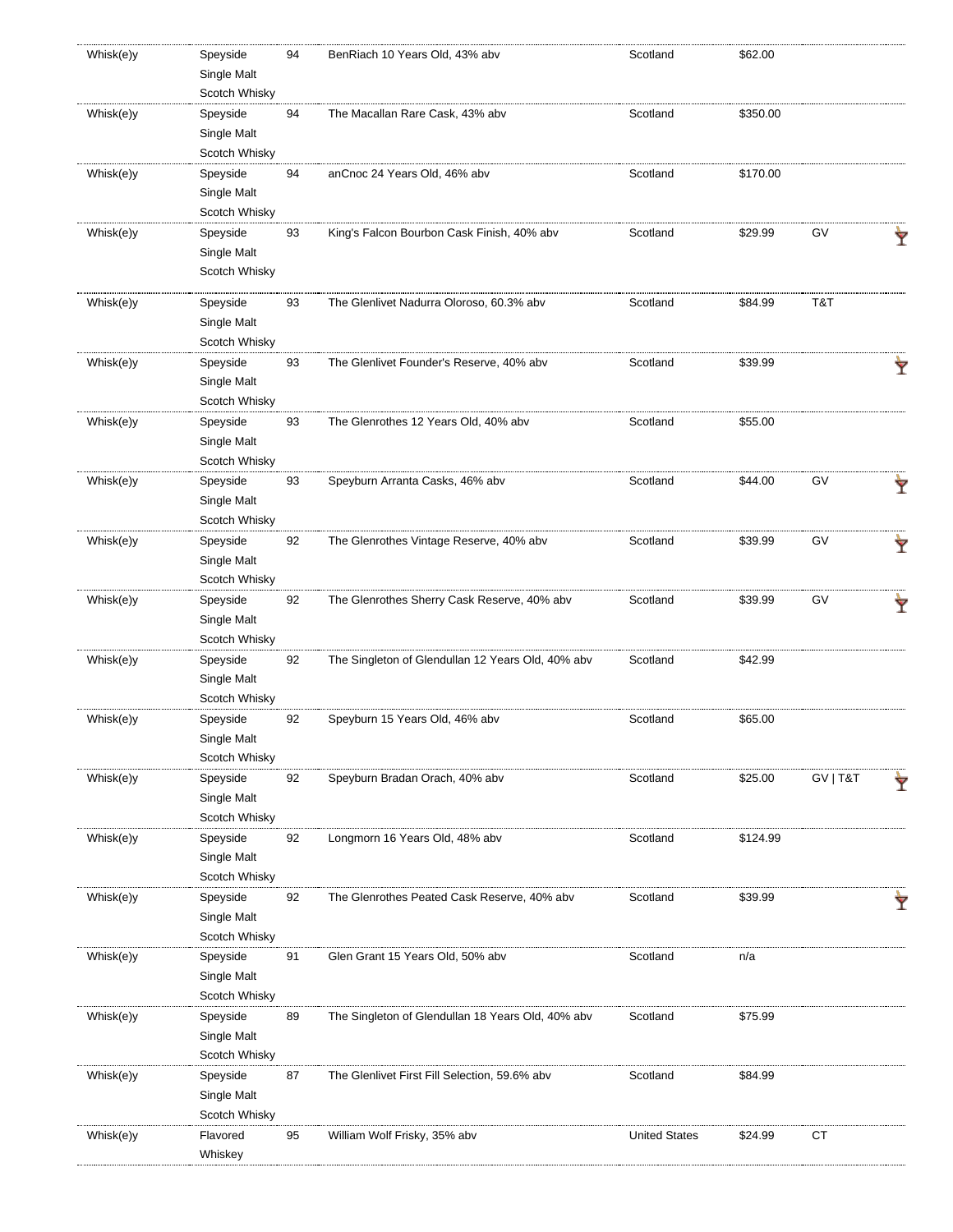| Whisk(e)y | Speyside      | 94 | BenRiach 10 Years Old, 43% abv                    | Scotland             | \$62.00  |          |   |
|-----------|---------------|----|---------------------------------------------------|----------------------|----------|----------|---|
|           | Single Malt   |    |                                                   |                      |          |          |   |
|           | Scotch Whisky |    |                                                   |                      |          |          |   |
| Whisk(e)y | Speyside      | 94 | The Macallan Rare Cask, 43% abv                   | Scotland             | \$350.00 |          |   |
|           | Single Malt   |    |                                                   |                      |          |          |   |
|           | Scotch Whisky |    |                                                   |                      |          |          |   |
| Whisk(e)y | Speyside      | 94 | anCnoc 24 Years Old, 46% abv                      | Scotland             | \$170.00 |          |   |
|           | Single Malt   |    |                                                   |                      |          |          |   |
|           | Scotch Whisky |    |                                                   |                      |          |          |   |
| Whisk(e)y | Speyside      | 93 | King's Falcon Bourbon Cask Finish, 40% abv        | Scotland             | \$29.99  | GV       |   |
|           | Single Malt   |    |                                                   |                      |          |          |   |
|           | Scotch Whisky |    |                                                   |                      |          |          |   |
|           |               |    |                                                   |                      |          |          |   |
| Whisk(e)y | Speyside      | 93 | The Glenlivet Nadurra Oloroso, 60.3% abv          | Scotland             | \$84.99  | T&T      |   |
|           | Single Malt   |    |                                                   |                      |          |          |   |
|           | Scotch Whisky |    |                                                   |                      |          |          |   |
| Whisk(e)y | Speyside      | 93 | The Glenlivet Founder's Reserve, 40% abv          | Scotland             | \$39.99  |          |   |
|           | Single Malt   |    |                                                   |                      |          |          |   |
|           | Scotch Whisky |    |                                                   |                      |          |          |   |
| Whisk(e)y | Speyside      | 93 | The Glenrothes 12 Years Old, 40% abv              | Scotland             | \$55.00  |          |   |
|           | Single Malt   |    |                                                   |                      |          |          |   |
|           | Scotch Whisky |    |                                                   |                      |          |          |   |
| Whisk(e)y | Speyside      | 93 | Speyburn Arranta Casks, 46% abv                   | Scotland             | \$44.00  | GV       |   |
|           | Single Malt   |    |                                                   |                      |          |          | Y |
|           | Scotch Whisky |    |                                                   |                      |          |          |   |
| Whisk(e)y | Speyside      | 92 | The Glenrothes Vintage Reserve, 40% abv           | Scotland             | \$39.99  | GV       |   |
|           | Single Malt   |    |                                                   |                      |          |          |   |
|           | Scotch Whisky |    |                                                   |                      |          |          |   |
|           |               |    |                                                   |                      |          |          |   |
| Whisk(e)y | Speyside      | 92 | The Glenrothes Sherry Cask Reserve, 40% abv       | Scotland             | \$39.99  | GV       | Ÿ |
|           | Single Malt   |    |                                                   |                      |          |          |   |
|           | Scotch Whisky |    |                                                   |                      |          |          |   |
| Whisk(e)y | Speyside      | 92 | The Singleton of Glendullan 12 Years Old, 40% abv | Scotland             | \$42.99  |          |   |
|           | Single Malt   |    |                                                   |                      |          |          |   |
|           | Scotch Whisky |    |                                                   |                      |          |          |   |
| Whisk(e)y | Speyside      | 92 | Speyburn 15 Years Old, 46% abv                    | Scotland             | \$65.00  |          |   |
|           | Single Malt   |    |                                                   |                      |          |          |   |
|           | Scotch Whisky |    |                                                   |                      |          |          |   |
| Whisk(e)y | Speyside      | 92 | Speyburn Bradan Orach, 40% abv                    | Scotland             | \$25.00  | GV   T&T | Y |
|           | Single Malt   |    |                                                   |                      |          |          |   |
|           | Scotch Whisky |    |                                                   |                      |          |          |   |
| Whisk(e)y | Speyside      | 92 | Longmorn 16 Years Old, 48% abv                    | Scotland             | \$124.99 |          |   |
|           | Single Malt   |    |                                                   |                      |          |          |   |
|           | Scotch Whisky |    |                                                   |                      |          |          |   |
| Whisk(e)y | Speyside      | 92 | The Glenrothes Peated Cask Reserve, 40% abv       | Scotland             | \$39.99  |          |   |
|           | Single Malt   |    |                                                   |                      |          |          |   |
|           | Scotch Whisky |    |                                                   |                      |          |          |   |
| Whisk(e)y | Speyside      | 91 | Glen Grant 15 Years Old, 50% abv                  | Scotland             | n/a      |          |   |
|           | Single Malt   |    |                                                   |                      |          |          |   |
|           | Scotch Whisky |    |                                                   |                      |          |          |   |
| Whisk(e)y | Speyside      | 89 | The Singleton of Glendullan 18 Years Old, 40% abv | Scotland             | \$75.99  |          |   |
|           | Single Malt   |    |                                                   |                      |          |          |   |
|           | Scotch Whisky |    |                                                   |                      |          |          |   |
| Whisk(e)y |               | 87 | The Glenlivet First Fill Selection, 59.6% abv     | Scotland             | \$84.99  |          |   |
|           | Speyside      |    |                                                   |                      |          |          |   |
|           | Single Malt   |    |                                                   |                      |          |          |   |
|           | Scotch Whisky |    |                                                   |                      |          |          |   |
| Whisk(e)y | Flavored      | 95 | William Wolf Frisky, 35% abv                      | <b>United States</b> | \$24.99  | CT       |   |
|           | Whiskey       |    |                                                   |                      |          |          |   |